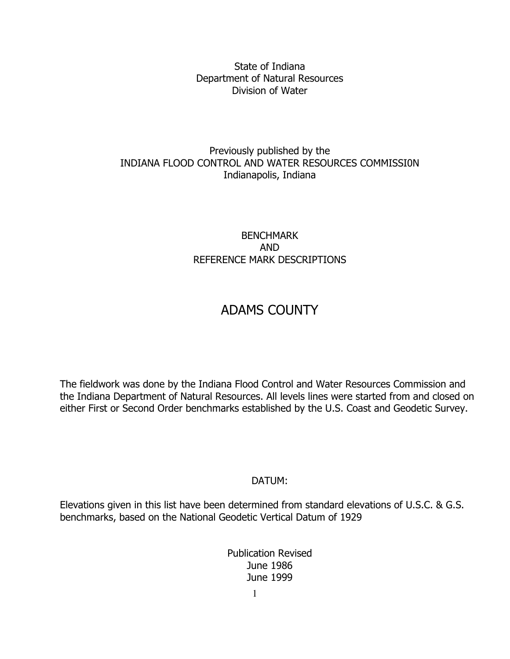State of Indiana Department of Natural Resources Division of Water

# Previously published by the INDIANA FLOOD CONTROL AND WATER RESOURCES COMMISSI0N Indianapolis, Indiana

# BENCHMARK AND REFERENCE MARK DESCRIPTIONS

# ADAMS COUNTY

The fieldwork was done by the Indiana Flood Control and Water Resources Commission and the Indiana Department of Natural Resources. All levels lines were started from and closed on either First or Second Order benchmarks established by the U.S. Coast and Geodetic Survey.

# DATUM:

Elevations given in this list have been determined from standard elevations of U.S.C. & G.S. benchmarks, based on the National Geodetic Vertical Datum of 1929

> Publication Revised June 1986 June 1999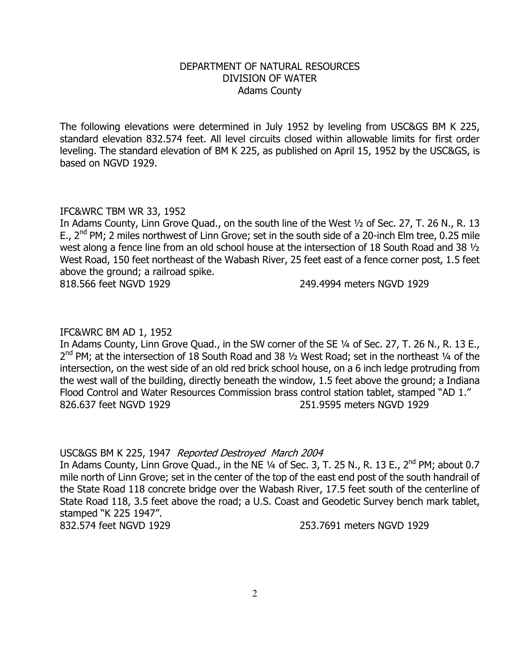# DEPARTMENT OF NATURAL RESOURCES DIVISION OF WATER Adams County

The following elevations were determined in July 1952 by leveling from USC&GS BM K 225, standard elevation 832.574 feet. All level circuits closed within allowable limits for first order leveling. The standard elevation of BM K 225, as published on April 15, 1952 by the USC&GS, is based on NGVD 1929.

# IFC&WRC TBM WR 33, 1952

In Adams County, Linn Grove Quad., on the south line of the West ½ of Sec. 27, T. 26 N., R. 13 E., 2<sup>nd</sup> PM; 2 miles northwest of Linn Grove; set in the south side of a 20-inch Elm tree, 0.25 mile west along a fence line from an old school house at the intersection of 18 South Road and 38 ½ West Road, 150 feet northeast of the Wabash River, 25 feet east of a fence corner post, 1.5 feet above the ground; a railroad spike. 818.566 feet NGVD 1929 249.4994 meters NGVD 1929

# IFC&WRC BM AD 1, 1952

In Adams County, Linn Grove Quad., in the SW corner of the SE 1/4 of Sec. 27, T. 26 N., R. 13 E., 2<sup>nd</sup> PM; at the intersection of 18 South Road and 38 1/2 West Road; set in the northeast 1/4 of the intersection, on the west side of an old red brick school house, on a 6 inch ledge protruding from the west wall of the building, directly beneath the window, 1.5 feet above the ground; a Indiana Flood Control and Water Resources Commission brass control station tablet, stamped "AD 1." 826.637 feet NGVD 1929 251.9595 meters NGVD 1929

# USC&GS BM K 225, 1947 Reported Destroyed March 2004

In Adams County, Linn Grove Quad., in the NE 1/4 of Sec. 3, T. 25 N., R. 13 E., 2<sup>nd</sup> PM; about 0.7 mile north of Linn Grove; set in the center of the top of the east end post of the south handrail of the State Road 118 concrete bridge over the Wabash River, 17.5 feet south of the centerline of State Road 118, 3.5 feet above the road; a U.S. Coast and Geodetic Survey bench mark tablet, stamped "K 225 1947".

832.574 feet NGVD 1929 253.7691 meters NGVD 1929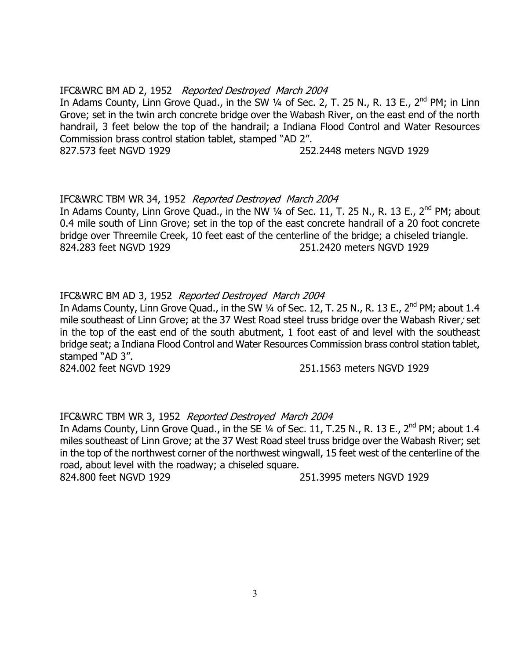# IFC&WRC BM AD 2, 1952 Reported Destroyed March 2004

In Adams County, Linn Grove Quad., in the SW  $\frac{1}{4}$  of Sec. 2, T. 25 N., R. 13 E., 2<sup>nd</sup> PM; in Linn Grove; set in the twin arch concrete bridge over the Wabash River, on the east end of the north handrail, 3 feet below the top of the handrail; a Indiana Flood Control and Water Resources Commission brass control station tablet, stamped "AD 2". 827.573 feet NGVD 1929 252.2448 meters NGVD 1929

# IFC&WRC TBM WR 34, 1952 Reported Destroyed March 2004

In Adams County, Linn Grove Quad., in the NW  $\frac{1}{4}$  of Sec. 11, T. 25 N., R. 13 E., 2<sup>nd</sup> PM; about 0.4 mile south of Linn Grove; set in the top of the east concrete handrail of a 20 foot concrete bridge over Threemile Creek, 10 feet east of the centerline of the bridge; a chiseled triangle. 824.283 feet NGVD 1929 251.2420 meters NGVD 1929

# IFC&WRC BM AD 3, 1952 Reported Destroyed March 2004

In Adams County, Linn Grove Quad., in the SW 1/4 of Sec. 12, T. 25 N., R. 13 E., 2<sup>nd</sup> PM; about 1.4 mile southeast of Linn Grove; at the 37 West Road steel truss bridge over the Wabash River; set in the top of the east end of the south abutment, 1 foot east of and level with the southeast bridge seat; a Indiana Flood Control and Water Resources Commission brass control station tablet, stamped "AD 3".

824.002 feet NGVD 1929 251.1563 meters NGVD 1929

# IFC&WRC TBM WR 3, 1952 Reported Destroyed March 2004

In Adams County, Linn Grove Quad., in the SE 1/4 of Sec. 11, T.25 N., R. 13 E., 2<sup>nd</sup> PM; about 1.4 miles southeast of Linn Grove; at the 37 West Road steel truss bridge over the Wabash River; set in the top of the northwest corner of the northwest wingwall, 15 feet west of the centerline of the road, about level with the roadway; a chiseled square.

824.800 feet NGVD 1929 251.3995 meters NGVD 1929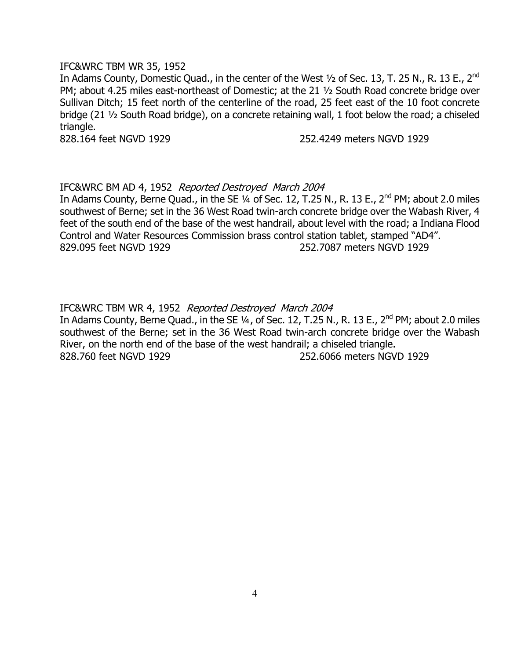#### IFC&WRC TBM WR 35, 1952

In Adams County, Domestic Quad., in the center of the West 1/2 of Sec. 13, T. 25 N., R. 13 E., 2<sup>nd</sup> PM; about 4.25 miles east-northeast of Domestic; at the 21 ½ South Road concrete bridge over Sullivan Ditch; 15 feet north of the centerline of the road, 25 feet east of the 10 foot concrete bridge (21 ½ South Road bridge), on a concrete retaining wall, 1 foot below the road; a chiseled triangle.

828.164 feet NGVD 1929 252.4249 meters NGVD 1929

# IFC&WRC BM AD 4, 1952 Reported Destroyed March 2004

In Adams County, Berne Quad., in the SE  $\frac{1}{4}$  of Sec. 12, T.25 N., R. 13 E., 2<sup>nd</sup> PM; about 2.0 miles southwest of Berne; set in the 36 West Road twin-arch concrete bridge over the Wabash River, 4 feet of the south end of the base of the west handrail, about level with the road; a Indiana Flood Control and Water Resources Commission brass control station tablet, stamped "AD4". 829.095 feet NGVD 1929 252.7087 meters NGVD 1929

IFC&WRC TBM WR 4, 1952 Reported Destroyed March 2004

In Adams County, Berne Quad., in the SE 1/4, of Sec. 12, T.25 N., R. 13 E., 2<sup>nd</sup> PM; about 2.0 miles southwest of the Berne; set in the 36 West Road twin-arch concrete bridge over the Wabash River, on the north end of the base of the west handrail; a chiseled triangle. 828.760 feet NGVD 1929 252.6066 meters NGVD 1929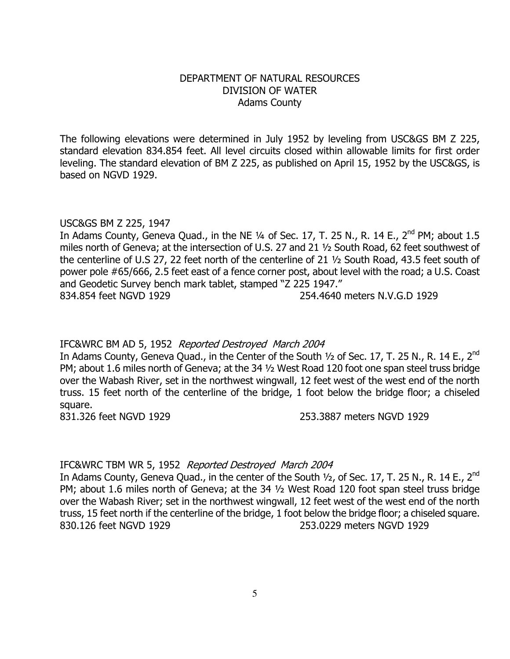# DEPARTMENT OF NATURAL RESOURCES DIVISION OF WATER Adams County

The following elevations were determined in July 1952 by leveling from USC&GS BM Z 225, standard elevation 834.854 feet. All level circuits closed within allowable limits for first order leveling. The standard elevation of BM Z 225, as published on April 15, 1952 by the USC&GS, is based on NGVD 1929.

# USC&GS BM Z 225, 1947

In Adams County, Geneva Quad., in the NE  $\frac{1}{4}$  of Sec. 17, T. 25 N., R. 14 E., 2<sup>nd</sup> PM; about 1.5 miles north of Geneva; at the intersection of U.S. 27 and 21 ½ South Road, 62 feet southwest of the centerline of U.S 27, 22 feet north of the centerline of 21 ½ South Road, 43.5 feet south of power pole #65/666, 2.5 feet east of a fence corner post, about level with the road; a U.S. Coast and Geodetic Survey bench mark tablet, stamped "Z 225 1947." 834.854 feet NGVD 1929 254.4640 meters N.V.G.D 1929

# IFC&WRC BM AD 5, 1952 Reported Destroyed March 2004

In Adams County, Geneva Quad., in the Center of the South 1/2 of Sec. 17, T. 25 N., R. 14 E., 2<sup>nd</sup> PM; about 1.6 miles north of Geneva; at the 34 ½ West Road 120 foot one span steel truss bridge over the Wabash River, set in the northwest wingwall, 12 feet west of the west end of the north truss. 15 feet north of the centerline of the bridge, 1 foot below the bridge floor; a chiseled square.

831.326 feet NGVD 1929 253.3887 meters NGVD 1929

# IFC&WRC TBM WR 5, 1952 Reported Destroyed March 2004

In Adams County, Geneva Quad., in the center of the South 1/2, of Sec. 17, T. 25 N., R. 14 E., 2<sup>nd</sup> PM; about 1.6 miles north of Geneva; at the 34 ½ West Road 120 foot span steel truss bridge over the Wabash River; set in the northwest wingwall, 12 feet west of the west end of the north truss, 15 feet north if the centerline of the bridge, 1 foot below the bridge floor; a chiseled square. 830.126 feet NGVD 1929 253.0229 meters NGVD 1929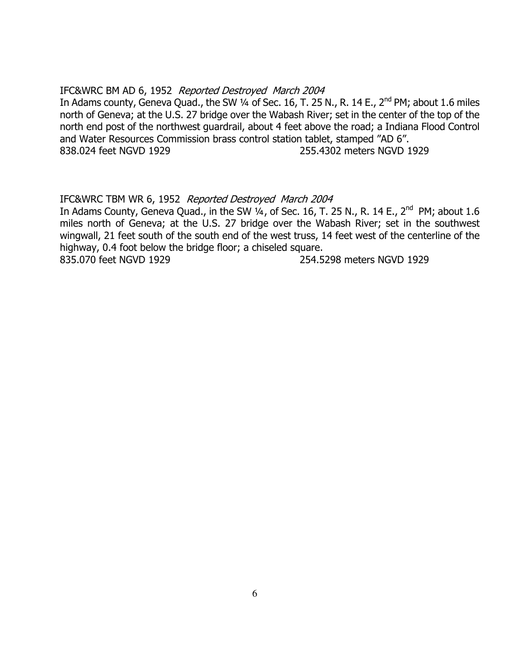# IFC&WRC BM AD 6, 1952 Reported Destroyed March 2004

In Adams county, Geneva Quad., the SW 1/4 of Sec. 16, T. 25 N., R. 14 E.,  $2^{nd}$  PM; about 1.6 miles north of Geneva; at the U.S. 27 bridge over the Wabash River; set in the center of the top of the north end post of the northwest guardrail, about 4 feet above the road; a Indiana Flood Control and Water Resources Commission brass control station tablet, stamped "AD 6". 838.024 feet NGVD 1929 255.4302 meters NGVD 1929

# IFC&WRC TBM WR 6, 1952 Reported Destroyed March 2004

In Adams County, Geneva Quad., in the SW  $\frac{1}{4}$ , of Sec. 16, T. 25 N., R. 14 E., 2<sup>nd</sup> PM; about 1.6 miles north of Geneva; at the U.S. 27 bridge over the Wabash River; set in the southwest wingwall, 21 feet south of the south end of the west truss, 14 feet west of the centerline of the highway, 0.4 foot below the bridge floor; a chiseled square.

835.070 feet NGVD 1929 254.5298 meters NGVD 1929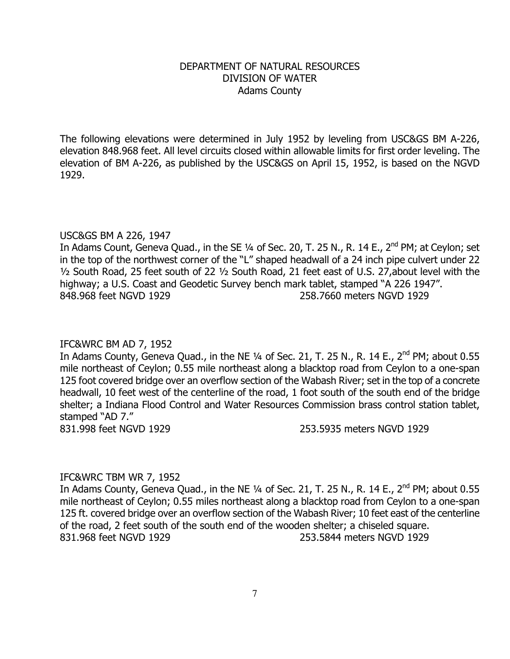# DEPARTMENT OF NATURAL RESOURCES DIVISION OF WATER Adams County

The following elevations were determined in July 1952 by leveling from USC&GS BM A-226, elevation 848.968 feet. All level circuits closed within allowable limits for first order leveling. The elevation of BM A-226, as published by the USC&GS on April 15, 1952, is based on the NGVD 1929.

#### USC&GS BM A 226, 1947

In Adams Count, Geneva Quad., in the SE 1/4 of Sec. 20, T. 25 N., R. 14 E., 2<sup>nd</sup> PM; at Ceylon; set in the top of the northwest corner of the "L" shaped headwall of a 24 inch pipe culvert under 22 ½ South Road, 25 feet south of 22 ½ South Road, 21 feet east of U.S. 27,about level with the highway; a U.S. Coast and Geodetic Survey bench mark tablet, stamped "A 226 1947". 848.968 feet NGVD 1929 258.7660 meters NGVD 1929

#### IFC&WRC BM AD 7, 1952

In Adams County, Geneva Quad., in the NE 1/4 of Sec. 21, T. 25 N., R. 14 E., 2<sup>nd</sup> PM; about 0.55 mile northeast of Ceylon; 0.55 mile northeast along a blacktop road from Ceylon to a one-span 125 foot covered bridge over an overflow section of the Wabash River; set in the top of a concrete headwall, 10 feet west of the centerline of the road, 1 foot south of the south end of the bridge shelter; a Indiana Flood Control and Water Resources Commission brass control station tablet, stamped "AD 7."

831.998 feet NGVD 1929 253.5935 meters NGVD 1929

#### IFC&WRC TBM WR 7, 1952

In Adams County, Geneva Quad., in the NE  $\frac{1}{4}$  of Sec. 21, T. 25 N., R. 14 E., 2<sup>nd</sup> PM; about 0.55 mile northeast of Ceylon; 0.55 miles northeast along a blacktop road from Ceylon to a one-span 125 ft. covered bridge over an overflow section of the Wabash River; 10 feet east of the centerline of the road, 2 feet south of the south end of the wooden shelter; a chiseled square. 831.968 feet NGVD 1929 253.5844 meters NGVD 1929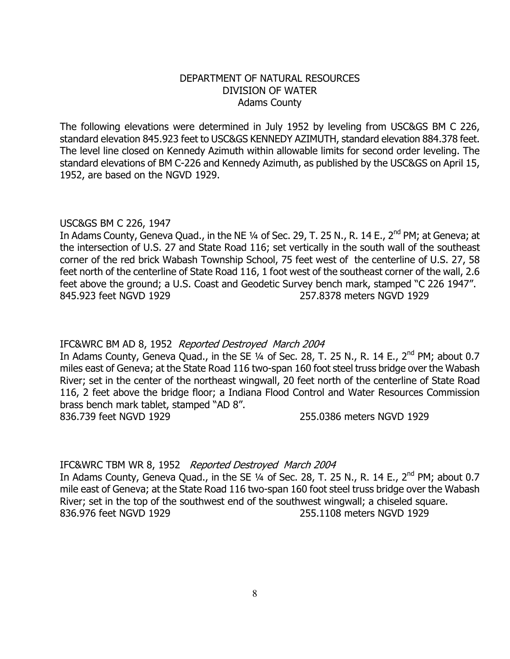# DEPARTMENT OF NATURAL RESOURCES DIVISION OF WATER Adams County

The following elevations were determined in July 1952 by leveling from USC&GS BM C 226, standard elevation 845.923 feet to USC&GS KENNEDY AZIMUTH, standard elevation 884.378 feet. The level line closed on Kennedy Azimuth within allowable limits for second order leveling. The standard elevations of BM C-226 and Kennedy Azimuth, as published by the USC&GS on April 15, 1952, are based on the NGVD 1929.

# USC&GS BM C 226, 1947

In Adams County, Geneva Quad., in the NE ¼ of Sec. 29, T. 25 N., R. 14 E., 2<sup>nd</sup> PM; at Geneva; at the intersection of U.S. 27 and State Road 116; set vertically in the south wall of the southeast corner of the red brick Wabash Township School, 75 feet west of the centerline of U.S. 27, 58 feet north of the centerline of State Road 116, 1 foot west of the southeast corner of the wall, 2.6 feet above the ground; a U.S. Coast and Geodetic Survey bench mark, stamped "C 226 1947". 845.923 feet NGVD 1929 257.8378 meters NGVD 1929

# IFC&WRC BM AD 8, 1952 Reported Destroyed March 2004

In Adams County, Geneva Quad., in the SE 1/4 of Sec. 28, T. 25 N., R. 14 E., 2<sup>nd</sup> PM; about 0.7 miles east of Geneva; at the State Road 116 two-span 160 foot steel truss bridge over the Wabash River; set in the center of the northeast wingwall, 20 feet north of the centerline of State Road 116, 2 feet above the bridge floor; a Indiana Flood Control and Water Resources Commission brass bench mark tablet, stamped "AD 8".

836.739 feet NGVD 1929 255.0386 meters NGVD 1929

# IFC&WRC TBM WR 8, 1952 Reported Destroyed March 2004

In Adams County, Geneva Quad., in the SE  $\frac{1}{4}$  of Sec. 28, T. 25 N., R. 14 E., 2<sup>nd</sup> PM; about 0.7 mile east of Geneva; at the State Road 116 two-span 160 foot steel truss bridge over the Wabash River; set in the top of the southwest end of the southwest wingwall; a chiseled square. 836.976 feet NGVD 1929 255.1108 meters NGVD 1929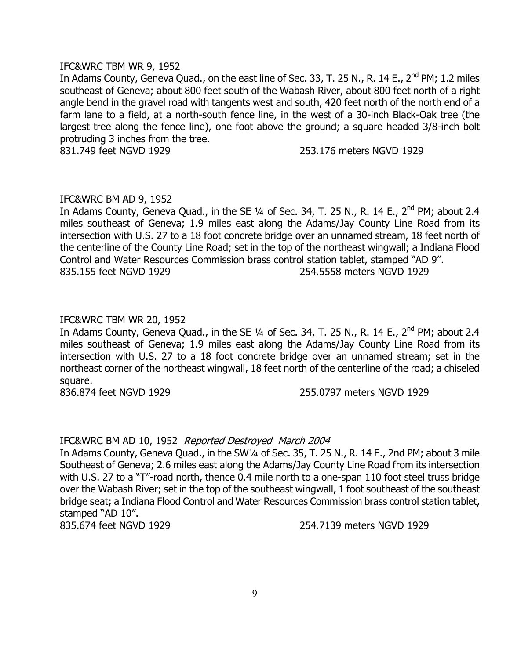#### IFC&WRC TBM WR 9, 1952

In Adams County, Geneva Quad., on the east line of Sec. 33, T. 25 N., R. 14 E.,  $2^{nd}$  PM; 1.2 miles southeast of Geneva; about 800 feet south of the Wabash River, about 800 feet north of a right angle bend in the gravel road with tangents west and south, 420 feet north of the north end of a farm lane to a field, at a north-south fence line, in the west of a 30-inch Black-Oak tree (the largest tree along the fence line), one foot above the ground; a square headed 3/8-inch bolt protruding 3 inches from the tree.

831.749 feet NGVD 1929 253.176 meters NGVD 1929

#### IFC&WRC BM AD 9, 1952

In Adams County, Geneva Quad., in the SE  $\frac{1}{4}$  of Sec. 34, T. 25 N., R. 14 E., 2<sup>nd</sup> PM; about 2.4 miles southeast of Geneva; 1.9 miles east along the Adams/Jay County Line Road from its intersection with U.S. 27 to a 18 foot concrete bridge over an unnamed stream, 18 feet north of the centerline of the County Line Road; set in the top of the northeast wingwall; a Indiana Flood Control and Water Resources Commission brass control station tablet, stamped "AD 9". 835.155 feet NGVD 1929 254.5558 meters NGVD 1929

# IFC&WRC TBM WR 20, 1952

In Adams County, Geneva Quad., in the SE  $\frac{1}{4}$  of Sec. 34, T. 25 N., R. 14 E., 2<sup>nd</sup> PM; about 2.4 miles southeast of Geneva; 1.9 miles east along the Adams/Jay County Line Road from its intersection with U.S. 27 to a 18 foot concrete bridge over an unnamed stream; set in the northeast corner of the northeast wingwall, 18 feet north of the centerline of the road; a chiseled square.

836.874 feet NGVD 1929 255.0797 meters NGVD 1929

# IFC&WRC BM AD 10, 1952 Reported Destroyed March 2004

In Adams County, Geneva Quad., in the SW1/4 of Sec. 35, T. 25 N., R. 14 E., 2nd PM; about 3 mile Southeast of Geneva; 2.6 miles east along the Adams/Jay County Line Road from its intersection with U.S. 27 to a "T"-road north, thence 0.4 mile north to a one-span 110 foot steel truss bridge over the Wabash River; set in the top of the southeast wingwall, 1 foot southeast of the southeast bridge seat; a Indiana Flood Control and Water Resources Commission brass control station tablet, stamped "AD 10".

835.674 feet NGVD 1929 254.7139 meters NGVD 1929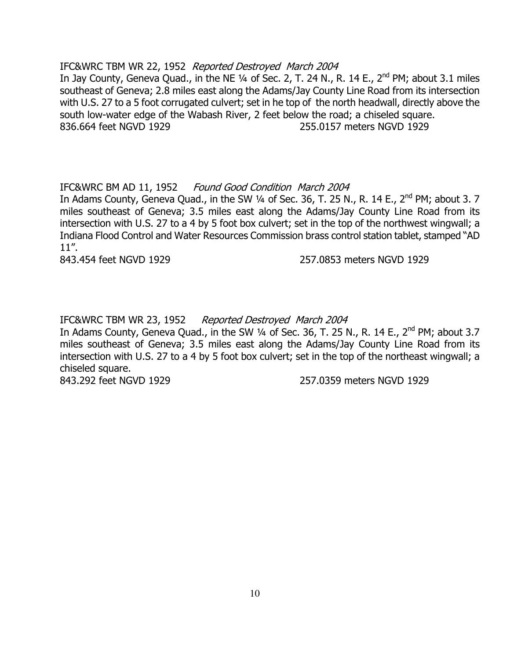#### IFC&WRC TBM WR 22, 1952 Reported Destroyed March 2004

In Jay County, Geneva Quad., in the NE  $\frac{1}{4}$  of Sec. 2, T. 24 N., R. 14 E., 2<sup>nd</sup> PM; about 3.1 miles southeast of Geneva; 2.8 miles east along the Adams/Jay County Line Road from its intersection with U.S. 27 to a 5 foot corrugated culvert; set in he top of the north headwall, directly above the south low-water edge of the Wabash River, 2 feet below the road; a chiseled square. 836.664 feet NGVD 1929 255.0157 meters NGVD 1929

# IFC&WRC BM AD 11, 1952 Found Good Condition March 2004

In Adams County, Geneva Quad., in the SW  $\frac{1}{4}$  of Sec. 36, T. 25 N., R. 14 E., 2<sup>nd</sup> PM; about 3. 7 miles southeast of Geneva; 3.5 miles east along the Adams/Jay County Line Road from its intersection with U.S. 27 to a 4 by 5 foot box culvert; set in the top of the northwest wingwall; a Indiana Flood Control and Water Resources Commission brass control station tablet, stamped "AD 11".

843.454 feet NGVD 1929 257.0853 meters NGVD 1929

IFC&WRC TBM WR 23, 1952 Reported Destroyed March 2004

In Adams County, Geneva Quad., in the SW 1/4 of Sec. 36, T. 25 N., R. 14 E., 2<sup>nd</sup> PM; about 3.7 miles southeast of Geneva; 3.5 miles east along the Adams/Jay County Line Road from its intersection with U.S. 27 to a 4 by 5 foot box culvert; set in the top of the northeast wingwall; a chiseled square.

843.292 feet NGVD 1929 257.0359 meters NGVD 1929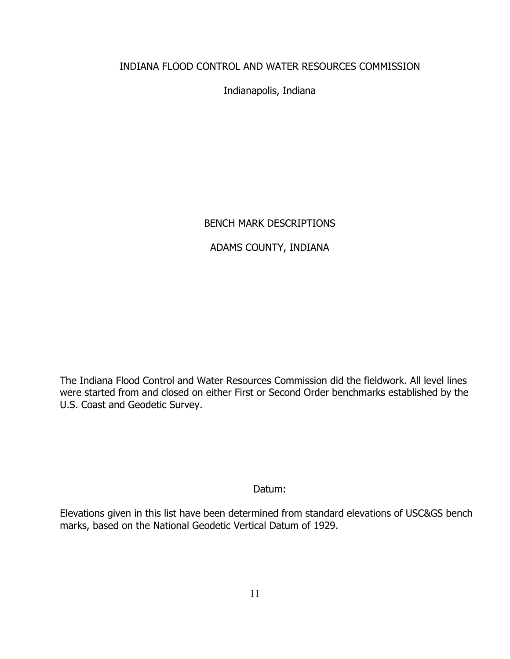# INDIANA FLOOD CONTROL AND WATER RESOURCES COMMISSION

Indianapolis, Indiana

# BENCH MARK DESCRIPTIONS

# ADAMS COUNTY, INDIANA

The Indiana Flood Control and Water Resources Commission did the fieldwork. All level lines were started from and closed on either First or Second Order benchmarks established by the U.S. Coast and Geodetic Survey.

# Datum:

Elevations given in this list have been determined from standard elevations of USC&GS bench marks, based on the National Geodetic Vertical Datum of 1929.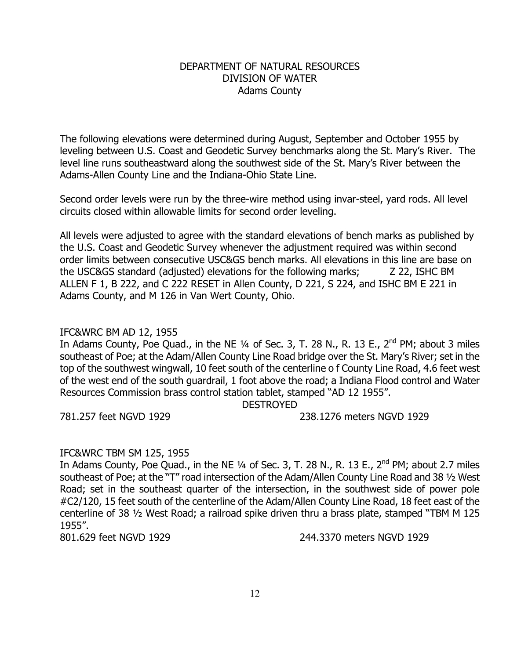# DEPARTMENT OF NATURAL RESOURCES DIVISION OF WATER Adams County

The following elevations were determined during August, September and October 1955 by leveling between U.S. Coast and Geodetic Survey benchmarks along the St. Mary's River. The level line runs southeastward along the southwest side of the St. Mary's River between the Adams-Allen County Line and the Indiana-Ohio State Line.

Second order levels were run by the three-wire method using invar-steel, yard rods. All level circuits closed within allowable limits for second order leveling.

All levels were adjusted to agree with the standard elevations of bench marks as published by the U.S. Coast and Geodetic Survey whenever the adjustment required was within second order limits between consecutive USC&GS bench marks. All elevations in this line are base on the USC&GS standard (adjusted) elevations for the following marks; Z 22, ISHC BM ALLEN F 1, B 222, and C 222 RESET in Allen County, D 221, S 224, and ISHC BM E 221 in Adams County, and M 126 in Van Wert County, Ohio.

# IFC&WRC BM AD 12, 1955

In Adams County, Poe Quad., in the NE  $\frac{1}{4}$  of Sec. 3, T. 28 N., R. 13 E., 2<sup>nd</sup> PM; about 3 miles southeast of Poe; at the Adam/Allen County Line Road bridge over the St. Mary's River; set in the top of the southwest wingwall, 10 feet south of the centerline o f County Line Road, 4.6 feet west of the west end of the south guardrail, 1 foot above the road; a Indiana Flood control and Water Resources Commission brass control station tablet, stamped "AD 12 1955".

DESTROYED

781.257 feet NGVD 1929 238.1276 meters NGVD 1929

# IFC&WRC TBM SM 125, 1955

In Adams County, Poe Quad., in the NE  $\frac{1}{4}$  of Sec. 3, T. 28 N., R. 13 E., 2<sup>nd</sup> PM; about 2.7 miles southeast of Poe; at the "T" road intersection of the Adam/Allen County Line Road and 38 1/2 West Road; set in the southeast quarter of the intersection, in the southwest side of power pole #C2/120, 15 feet south of the centerline of the Adam/Allen County Line Road, 18 feet east of the centerline of 38 ½ West Road; a railroad spike driven thru a brass plate, stamped "TBM M 125 1955".

801.629 feet NGVD 1929 244.3370 meters NGVD 1929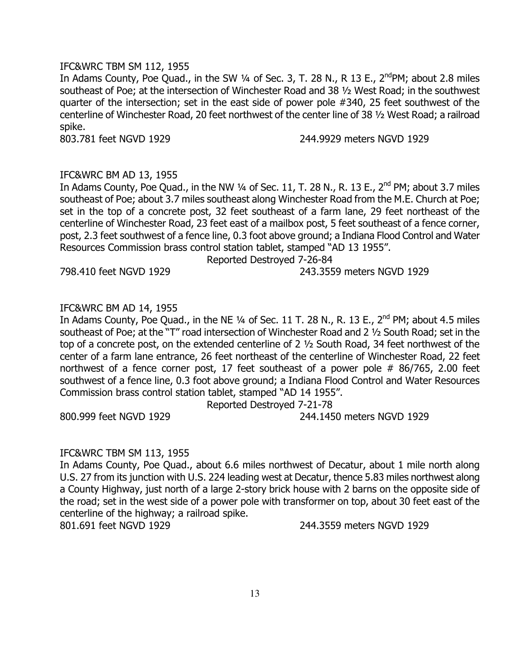#### IFC&WRC TBM SM 112, 1955

In Adams County, Poe Quad., in the SW  $\frac{1}{4}$  of Sec. 3, T. 28 N., R 13 E., 2<sup>nd</sup>PM; about 2.8 miles southeast of Poe; at the intersection of Winchester Road and 38 ½ West Road; in the southwest quarter of the intersection; set in the east side of power pole #340, 25 feet southwest of the centerline of Winchester Road, 20 feet northwest of the center line of 38 ½ West Road; a railroad spike.

803.781 feet NGVD 1929 244.9929 meters NGVD 1929

# IFC&WRC BM AD 13, 1955

In Adams County, Poe Quad., in the NW  $\frac{1}{4}$  of Sec. 11, T. 28 N., R. 13 E., 2<sup>nd</sup> PM; about 3.7 miles southeast of Poe; about 3.7 miles southeast along Winchester Road from the M.E. Church at Poe; set in the top of a concrete post, 32 feet southeast of a farm lane, 29 feet northeast of the centerline of Winchester Road, 23 feet east of a mailbox post, 5 feet southeast of a fence corner, post, 2.3 feet southwest of a fence line, 0.3 foot above ground; a Indiana Flood Control and Water Resources Commission brass control station tablet, stamped "AD 13 1955".

798.410 feet NGVD 1929 243.3559 meters NGVD 1929

Reported Destroyed 7-26-84

# IFC&WRC BM AD 14, 1955

In Adams County, Poe Quad., in the NE  $\frac{1}{4}$  of Sec. 11 T. 28 N., R. 13 E.,  $2^{nd}$  PM; about 4.5 miles southeast of Poe; at the "T" road intersection of Winchester Road and 2 ½ South Road; set in the top of a concrete post, on the extended centerline of 2 ½ South Road, 34 feet northwest of the center of a farm lane entrance, 26 feet northeast of the centerline of Winchester Road, 22 feet northwest of a fence corner post, 17 feet southeast of a power pole # 86/765, 2.00 feet southwest of a fence line, 0.3 foot above ground; a Indiana Flood Control and Water Resources Commission brass control station tablet, stamped "AD 14 1955".

Reported Destroyed 7-21-78

800.999 feet NGVD 1929 244.1450 meters NGVD 1929

#### IFC&WRC TBM SM 113, 1955

In Adams County, Poe Quad., about 6.6 miles northwest of Decatur, about 1 mile north along U.S. 27 from its junction with U.S. 224 leading west at Decatur, thence 5.83 miles northwest along a County Highway, just north of a large 2-story brick house with 2 barns on the opposite side of the road; set in the west side of a power pole with transformer on top, about 30 feet east of the centerline of the highway; a railroad spike.

801.691 feet NGVD 1929 244.3559 meters NGVD 1929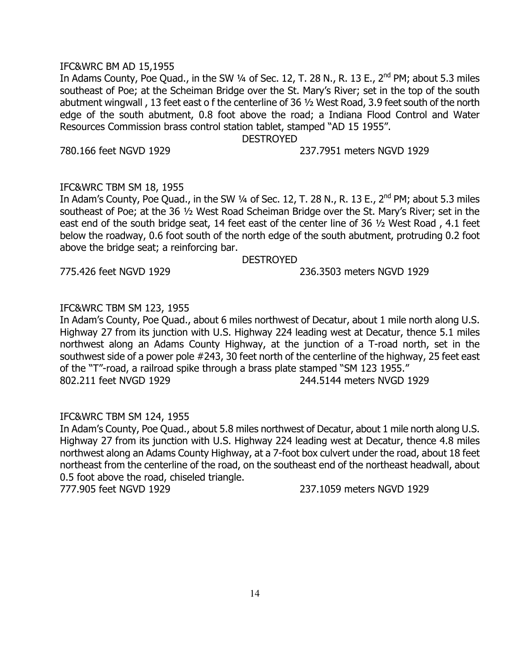#### IFC&WRC BM AD 15,1955

In Adams County, Poe Quad., in the SW  $\frac{1}{4}$  of Sec. 12, T. 28 N., R. 13 E., 2<sup>nd</sup> PM; about 5.3 miles southeast of Poe; at the Scheiman Bridge over the St. Mary's River; set in the top of the south abutment wingwall , 13 feet east o f the centerline of 36 ½ West Road, 3.9 feet south of the north edge of the south abutment, 0.8 foot above the road; a Indiana Flood Control and Water Resources Commission brass control station tablet, stamped "AD 15 1955".

DESTROYED

780.166 feet NGVD 1929 237.7951 meters NGVD 1929

#### IFC&WRC TBM SM 18, 1955

In Adam's County, Poe Quad., in the SW  $\frac{1}{4}$  of Sec. 12, T. 28 N., R. 13 E., 2<sup>nd</sup> PM; about 5.3 miles southeast of Poe; at the 36 ½ West Road Scheiman Bridge over the St. Mary's River; set in the east end of the south bridge seat, 14 feet east of the center line of 36 ½ West Road , 4.1 feet below the roadway, 0.6 foot south of the north edge of the south abutment, protruding 0.2 foot above the bridge seat; a reinforcing bar.

#### DESTROYED

775.426 feet NGVD 1929 236.3503 meters NGVD 1929

# IFC&WRC TBM SM 123, 1955

In Adam's County, Poe Quad., about 6 miles northwest of Decatur, about 1 mile north along U.S. Highway 27 from its junction with U.S. Highway 224 leading west at Decatur, thence 5.1 miles northwest along an Adams County Highway, at the junction of a T-road north, set in the southwest side of a power pole #243, 30 feet north of the centerline of the highway, 25 feet east of the "T"-road, a railroad spike through a brass plate stamped "SM 123 1955." 802.211 feet NVGD 1929 244.5144 meters NVGD 1929

#### IFC&WRC TBM SM 124, 1955

In Adam's County, Poe Quad., about 5.8 miles northwest of Decatur, about 1 mile north along U.S. Highway 27 from its junction with U.S. Highway 224 leading west at Decatur, thence 4.8 miles northwest along an Adams County Highway, at a 7-foot box culvert under the road, about 18 feet northeast from the centerline of the road, on the southeast end of the northeast headwall, about 0.5 foot above the road, chiseled triangle. 777.905 feet NGVD 1929 237.1059 meters NGVD 1929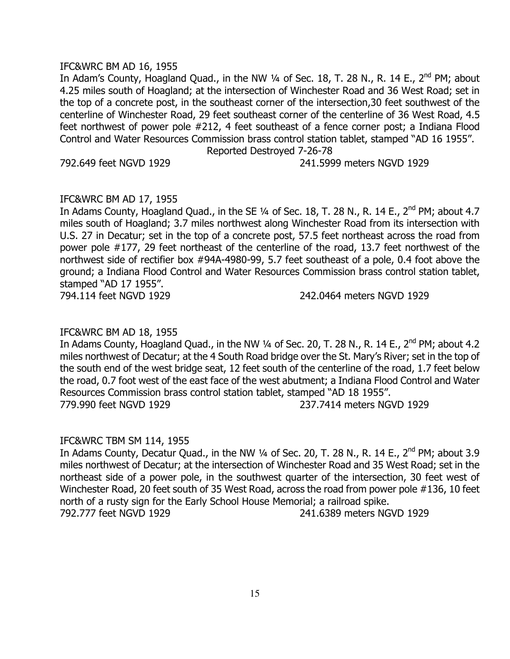#### IFC&WRC BM AD 16, 1955

In Adam's County, Hoagland Quad., in the NW 1/4 of Sec. 18, T. 28 N., R. 14 E., 2<sup>nd</sup> PM; about 4.25 miles south of Hoagland; at the intersection of Winchester Road and 36 West Road; set in the top of a concrete post, in the southeast corner of the intersection,30 feet southwest of the centerline of Winchester Road, 29 feet southeast corner of the centerline of 36 West Road, 4.5 feet northwest of power pole #212, 4 feet southeast of a fence corner post; a Indiana Flood Control and Water Resources Commission brass control station tablet, stamped "AD 16 1955". Reported Destroyed 7-26-78

792.649 feet NGVD 1929 241.5999 meters NGVD 1929

# IFC&WRC BM AD 17, 1955

In Adams County, Hoagland Quad., in the SE  $\frac{1}{4}$  of Sec. 18, T. 28 N., R. 14 E., 2<sup>nd</sup> PM; about 4.7 miles south of Hoagland; 3.7 miles northwest along Winchester Road from its intersection with U.S. 27 in Decatur; set in the top of a concrete post, 57.5 feet northeast across the road from power pole #177, 29 feet northeast of the centerline of the road, 13.7 feet northwest of the northwest side of rectifier box #94A-4980-99, 5.7 feet southeast of a pole, 0.4 foot above the ground; a Indiana Flood Control and Water Resources Commission brass control station tablet, stamped "AD 17 1955".

794.114 feet NGVD 1929 242.0464 meters NGVD 1929

#### IFC&WRC BM AD 18, 1955

In Adams County, Hoagland Quad., in the NW 1/4 of Sec. 20, T. 28 N., R. 14 E., 2<sup>nd</sup> PM; about 4.2 miles northwest of Decatur; at the 4 South Road bridge over the St. Mary's River; set in the top of the south end of the west bridge seat, 12 feet south of the centerline of the road, 1.7 feet below the road, 0.7 foot west of the east face of the west abutment; a Indiana Flood Control and Water Resources Commission brass control station tablet, stamped "AD 18 1955". 779.990 feet NGVD 1929 237.7414 meters NGVD 1929

#### IFC&WRC TBM SM 114, 1955

In Adams County, Decatur Quad., in the NW  $\frac{1}{4}$  of Sec. 20, T. 28 N., R. 14 E., 2<sup>nd</sup> PM; about 3.9 miles northwest of Decatur; at the intersection of Winchester Road and 35 West Road; set in the northeast side of a power pole, in the southwest quarter of the intersection, 30 feet west of Winchester Road, 20 feet south of 35 West Road, across the road from power pole #136, 10 feet north of a rusty sign for the Early School House Memorial; a railroad spike. 792.777 feet NGVD 1929 241.6389 meters NGVD 1929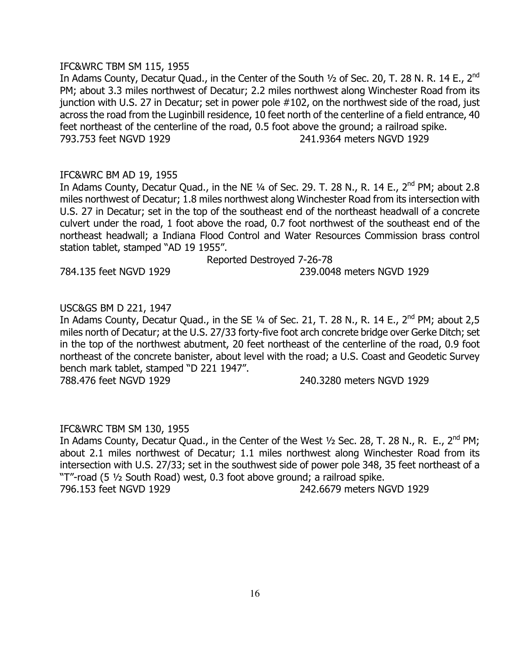#### IFC&WRC TBM SM 115, 1955

In Adams County, Decatur Quad., in the Center of the South 1/2 of Sec. 20, T. 28 N. R. 14 E., 2<sup>nd</sup> PM; about 3.3 miles northwest of Decatur; 2.2 miles northwest along Winchester Road from its junction with U.S. 27 in Decatur; set in power pole #102, on the northwest side of the road, just across the road from the Luginbill residence, 10 feet north of the centerline of a field entrance, 40 feet northeast of the centerline of the road, 0.5 foot above the ground; a railroad spike. 793.753 feet NGVD 1929 241.9364 meters NGVD 1929

# IFC&WRC BM AD 19, 1955

In Adams County, Decatur Quad., in the NE  $\frac{1}{4}$  of Sec. 29. T. 28 N., R. 14 E., 2<sup>nd</sup> PM; about 2.8 miles northwest of Decatur; 1.8 miles northwest along Winchester Road from its intersection with U.S. 27 in Decatur; set in the top of the southeast end of the northeast headwall of a concrete culvert under the road, 1 foot above the road, 0.7 foot northwest of the southeast end of the northeast headwall; a Indiana Flood Control and Water Resources Commission brass control station tablet, stamped "AD 19 1955".

Reported Destroyed 7-26-78

784.135 feet NGVD 1929 239.0048 meters NGVD 1929

# USC&GS BM D 221, 1947

In Adams County, Decatur Quad., in the SE  $\frac{1}{4}$  of Sec. 21, T. 28 N., R. 14 E., 2<sup>nd</sup> PM; about 2,5 miles north of Decatur; at the U.S. 27/33 forty-five foot arch concrete bridge over Gerke Ditch; set in the top of the northwest abutment, 20 feet northeast of the centerline of the road, 0.9 foot northeast of the concrete banister, about level with the road; a U.S. Coast and Geodetic Survey bench mark tablet, stamped "D 221 1947".

788.476 feet NGVD 1929 240.3280 meters NGVD 1929

# IFC&WRC TBM SM 130, 1955

In Adams County, Decatur Quad., in the Center of the West  $\frac{1}{2}$  Sec. 28, T. 28 N., R. E., 2<sup>nd</sup> PM; about 2.1 miles northwest of Decatur; 1.1 miles northwest along Winchester Road from its intersection with U.S. 27/33; set in the southwest side of power pole 348, 35 feet northeast of a "T"-road (5 ½ South Road) west, 0.3 foot above ground; a railroad spike. 796.153 feet NGVD 1929 242.6679 meters NGVD 1929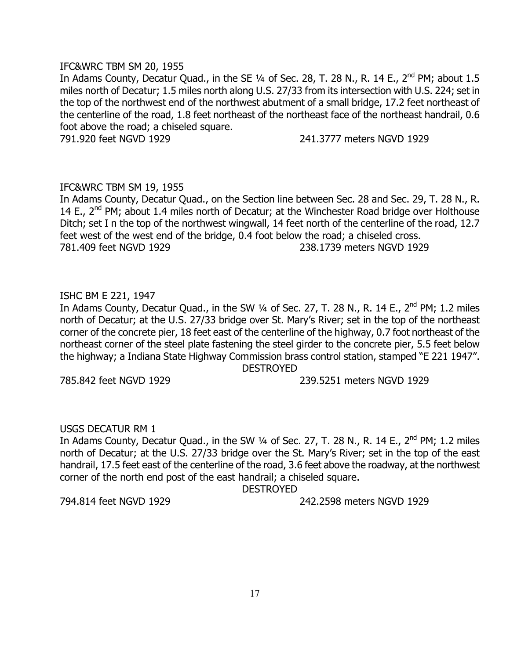#### IFC&WRC TBM SM 20, 1955

In Adams County, Decatur Quad., in the SE  $\frac{1}{4}$  of Sec. 28, T. 28 N., R. 14 E., 2<sup>nd</sup> PM; about 1.5 miles north of Decatur; 1.5 miles north along U.S. 27/33 from its intersection with U.S. 224; set in the top of the northwest end of the northwest abutment of a small bridge, 17.2 feet northeast of the centerline of the road, 1.8 feet northeast of the northeast face of the northeast handrail, 0.6 foot above the road; a chiseled square.

791.920 feet NGVD 1929 241.3777 meters NGVD 1929

#### IFC&WRC TBM SM 19, 1955

In Adams County, Decatur Quad., on the Section line between Sec. 28 and Sec. 29, T. 28 N., R. 14 E.,  $2^{nd}$  PM; about 1.4 miles north of Decatur; at the Winchester Road bridge over Holthouse Ditch; set I n the top of the northwest wingwall, 14 feet north of the centerline of the road, 12.7 feet west of the west end of the bridge, 0.4 foot below the road; a chiseled cross. 781.409 feet NGVD 1929 238.1739 meters NGVD 1929

# ISHC BM E 221, 1947

In Adams County, Decatur Quad., in the SW  $1/4$  of Sec. 27, T. 28 N., R. 14 E., 2<sup>nd</sup> PM; 1.2 miles north of Decatur; at the U.S. 27/33 bridge over St. Mary's River; set in the top of the northeast corner of the concrete pier, 18 feet east of the centerline of the highway, 0.7 foot northeast of the northeast corner of the steel plate fastening the steel girder to the concrete pier, 5.5 feet below the highway; a Indiana State Highway Commission brass control station, stamped "E 221 1947". DESTROYED

785.842 feet NGVD 1929 239.5251 meters NGVD 1929

#### USGS DECATUR RM 1

In Adams County, Decatur Quad., in the SW 1/4 of Sec. 27, T. 28 N., R. 14 E., 2<sup>nd</sup> PM; 1.2 miles north of Decatur; at the U.S. 27/33 bridge over the St. Mary's River; set in the top of the east handrail, 17.5 feet east of the centerline of the road, 3.6 feet above the roadway, at the northwest corner of the north end post of the east handrail; a chiseled square.

DESTROYED

794.814 feet NGVD 1929 242.2598 meters NGVD 1929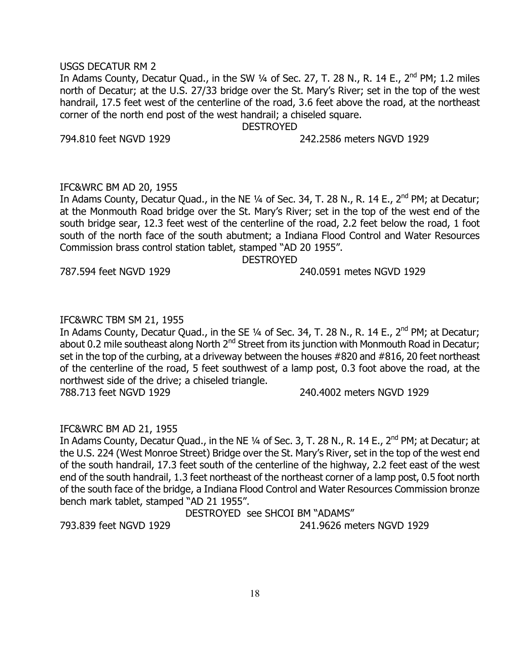#### USGS DECATUR RM 2

In Adams County, Decatur Quad., in the SW  $\frac{1}{4}$  of Sec. 27, T. 28 N., R. 14 E., 2<sup>nd</sup> PM; 1.2 miles north of Decatur; at the U.S. 27/33 bridge over the St. Mary's River; set in the top of the west handrail, 17.5 feet west of the centerline of the road, 3.6 feet above the road, at the northeast corner of the north end post of the west handrail; a chiseled square.

DESTROYED

794.810 feet NGVD 1929 242.2586 meters NGVD 1929

# IFC&WRC BM AD 20, 1955

In Adams County, Decatur Quad., in the NE  $\frac{1}{4}$  of Sec. 34, T. 28 N., R. 14 E., 2<sup>nd</sup> PM; at Decatur; at the Monmouth Road bridge over the St. Mary's River; set in the top of the west end of the south bridge sear, 12.3 feet west of the centerline of the road, 2.2 feet below the road, 1 foot south of the north face of the south abutment; a Indiana Flood Control and Water Resources Commission brass control station tablet, stamped "AD 20 1955".

DESTROYED

787.594 feet NGVD 1929 240.0591 metes NGVD 1929

# IFC&WRC TBM SM 21, 1955

In Adams County, Decatur Quad., in the SE 1/4 of Sec. 34, T. 28 N., R. 14 E., 2<sup>nd</sup> PM; at Decatur; about 0.2 mile southeast along North 2<sup>nd</sup> Street from its junction with Monmouth Road in Decatur; set in the top of the curbing, at a driveway between the houses #820 and #816, 20 feet northeast of the centerline of the road, 5 feet southwest of a lamp post, 0.3 foot above the road, at the northwest side of the drive; a chiseled triangle.

788.713 feet NGVD 1929 240.4002 meters NGVD 1929

# IFC&WRC BM AD 21, 1955

In Adams County, Decatur Quad., in the NE  $\frac{1}{4}$  of Sec. 3, T. 28 N., R. 14 E., 2<sup>nd</sup> PM; at Decatur; at the U.S. 224 (West Monroe Street) Bridge over the St. Mary's River, set in the top of the west end of the south handrail, 17.3 feet south of the centerline of the highway, 2.2 feet east of the west end of the south handrail, 1.3 feet northeast of the northeast corner of a lamp post, 0.5 foot north of the south face of the bridge, a Indiana Flood Control and Water Resources Commission bronze bench mark tablet, stamped "AD 21 1955".

DESTROYED see SHCOI BM "ADAMS"

793.839 feet NGVD 1929 241.9626 meters NGVD 1929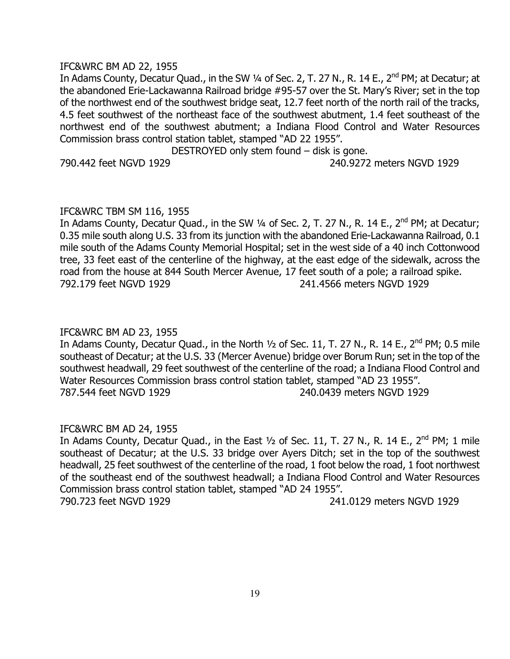#### IFC&WRC BM AD 22, 1955

In Adams County, Decatur Quad., in the SW ¼ of Sec. 2, T. 27 N., R. 14 E., 2<sup>nd</sup> PM; at Decatur; at the abandoned Erie-Lackawanna Railroad bridge #95-57 over the St. Mary's River; set in the top of the northwest end of the southwest bridge seat, 12.7 feet north of the north rail of the tracks, 4.5 feet southwest of the northeast face of the southwest abutment, 1.4 feet southeast of the northwest end of the southwest abutment; a Indiana Flood Control and Water Resources Commission brass control station tablet, stamped "AD 22 1955".

DESTROYED only stem found – disk is gone. 790.442 feet NGVD 1929 240.9272 meters NGVD 1929

#### IFC&WRC TBM SM 116, 1955

In Adams County, Decatur Quad., in the SW 1/4 of Sec. 2, T. 27 N., R. 14 E., 2<sup>nd</sup> PM; at Decatur; 0.35 mile south along U.S. 33 from its junction with the abandoned Erie-Lackawanna Railroad, 0.1 mile south of the Adams County Memorial Hospital; set in the west side of a 40 inch Cottonwood tree, 33 feet east of the centerline of the highway, at the east edge of the sidewalk, across the road from the house at 844 South Mercer Avenue, 17 feet south of a pole; a railroad spike. 792.179 feet NGVD 1929 241.4566 meters NGVD 1929

#### IFC&WRC BM AD 23, 1955

In Adams County, Decatur Quad., in the North  $\frac{1}{2}$  of Sec. 11, T. 27 N., R. 14 E., 2<sup>nd</sup> PM; 0.5 mile southeast of Decatur; at the U.S. 33 (Mercer Avenue) bridge over Borum Run; set in the top of the southwest headwall, 29 feet southwest of the centerline of the road; a Indiana Flood Control and Water Resources Commission brass control station tablet, stamped "AD 23 1955". 787.544 feet NGVD 1929 240.0439 meters NGVD 1929

#### IFC&WRC BM AD 24, 1955

In Adams County, Decatur Quad., in the East  $\frac{1}{2}$  of Sec. 11, T. 27 N., R. 14 E., 2<sup>nd</sup> PM; 1 mile southeast of Decatur; at the U.S. 33 bridge over Ayers Ditch; set in the top of the southwest headwall, 25 feet southwest of the centerline of the road, 1 foot below the road, 1 foot northwest of the southeast end of the southwest headwall; a Indiana Flood Control and Water Resources Commission brass control station tablet, stamped "AD 24 1955". 790.723 feet NGVD 1929 241.0129 meters NGVD 1929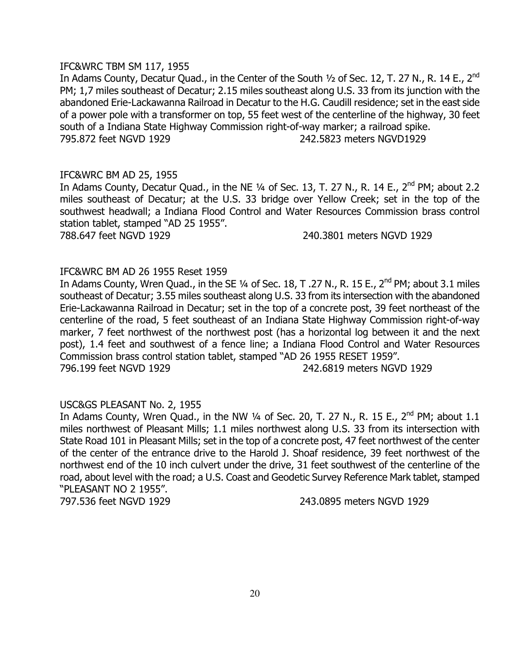#### IFC&WRC TBM SM 117, 1955

In Adams County, Decatur Quad., in the Center of the South 1/2 of Sec. 12, T. 27 N., R. 14 E., 2<sup>nd</sup> PM; 1,7 miles southeast of Decatur; 2.15 miles southeast along U.S. 33 from its junction with the abandoned Erie-Lackawanna Railroad in Decatur to the H.G. Caudill residence; set in the east side of a power pole with a transformer on top, 55 feet west of the centerline of the highway, 30 feet south of a Indiana State Highway Commission right-of-way marker; a railroad spike. 795.872 feet NGVD 1929 242.5823 meters NGVD1929

#### IFC&WRC BM AD 25, 1955

In Adams County, Decatur Quad., in the NE 1/4 of Sec. 13, T. 27 N., R. 14 E., 2<sup>nd</sup> PM; about 2.2 miles southeast of Decatur; at the U.S. 33 bridge over Yellow Creek; set in the top of the southwest headwall; a Indiana Flood Control and Water Resources Commission brass control station tablet, stamped "AD 25 1955".

788.647 feet NGVD 1929 240.3801 meters NGVD 1929

# IFC&WRC BM AD 26 1955 Reset 1959

In Adams County, Wren Quad., in the SE 1/4 of Sec. 18, T .27 N., R. 15 E., 2<sup>nd</sup> PM; about 3.1 miles southeast of Decatur; 3.55 miles southeast along U.S. 33 from its intersection with the abandoned Erie-Lackawanna Railroad in Decatur; set in the top of a concrete post, 39 feet northeast of the centerline of the road, 5 feet southeast of an Indiana State Highway Commission right-of-way marker, 7 feet northwest of the northwest post (has a horizontal log between it and the next post), 1.4 feet and southwest of a fence line; a Indiana Flood Control and Water Resources Commission brass control station tablet, stamped "AD 26 1955 RESET 1959". 796.199 feet NGVD 1929 242.6819 meters NGVD 1929

#### USC&GS PLEASANT No. 2, 1955

In Adams County, Wren Quad., in the NW  $\frac{1}{4}$  of Sec. 20, T. 27 N., R. 15 E., 2<sup>nd</sup> PM; about 1.1 miles northwest of Pleasant Mills; 1.1 miles northwest along U.S. 33 from its intersection with State Road 101 in Pleasant Mills; set in the top of a concrete post, 47 feet northwest of the center of the center of the entrance drive to the Harold J. Shoaf residence, 39 feet northwest of the northwest end of the 10 inch culvert under the drive, 31 feet southwest of the centerline of the road, about level with the road; a U.S. Coast and Geodetic Survey Reference Mark tablet, stamped "PLEASANT NO 2 1955".

797.536 feet NGVD 1929 243.0895 meters NGVD 1929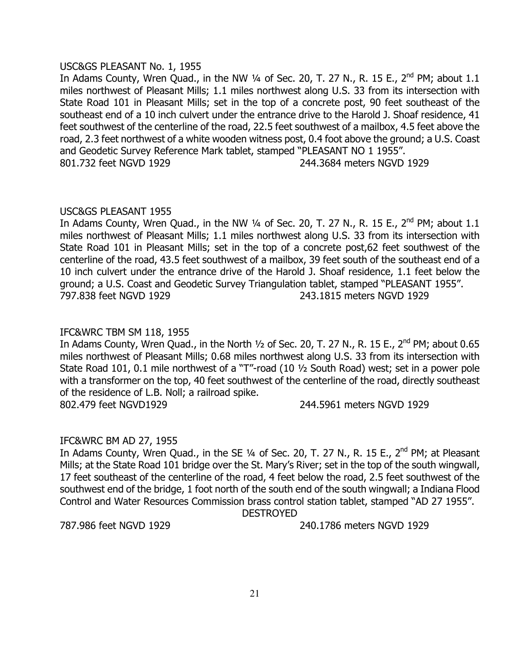#### USC&GS PLEASANT No. 1, 1955

In Adams County, Wren Quad., in the NW  $\frac{1}{4}$  of Sec. 20, T. 27 N., R. 15 E., 2<sup>nd</sup> PM; about 1.1 miles northwest of Pleasant Mills; 1.1 miles northwest along U.S. 33 from its intersection with State Road 101 in Pleasant Mills; set in the top of a concrete post, 90 feet southeast of the southeast end of a 10 inch culvert under the entrance drive to the Harold J. Shoaf residence, 41 feet southwest of the centerline of the road, 22.5 feet southwest of a mailbox, 4.5 feet above the road, 2.3 feet northwest of a white wooden witness post, 0.4 foot above the ground; a U.S. Coast and Geodetic Survey Reference Mark tablet, stamped "PLEASANT NO 1 1955". 801.732 feet NGVD 1929 244.3684 meters NGVD 1929

#### USC&GS PLEASANT 1955

In Adams County, Wren Quad., in the NW  $\frac{1}{4}$  of Sec. 20, T. 27 N., R. 15 E., 2<sup>nd</sup> PM; about 1.1 miles northwest of Pleasant Mills; 1.1 miles northwest along U.S. 33 from its intersection with State Road 101 in Pleasant Mills; set in the top of a concrete post,62 feet southwest of the centerline of the road, 43.5 feet southwest of a mailbox, 39 feet south of the southeast end of a 10 inch culvert under the entrance drive of the Harold J. Shoaf residence, 1.1 feet below the ground; a U.S. Coast and Geodetic Survey Triangulation tablet, stamped "PLEASANT 1955". 797.838 feet NGVD 1929 243.1815 meters NGVD 1929

## IFC&WRC TBM SM 118, 1955

In Adams County, Wren Quad., in the North  $1/2$  of Sec. 20, T. 27 N., R. 15 E., 2<sup>nd</sup> PM; about 0.65 miles northwest of Pleasant Mills; 0.68 miles northwest along U.S. 33 from its intersection with State Road 101, 0.1 mile northwest of a "T"-road (10 ½ South Road) west; set in a power pole with a transformer on the top, 40 feet southwest of the centerline of the road, directly southeast of the residence of L.B. Noll; a railroad spike. 802.479 feet NGVD1929 244.5961 meters NGVD 1929

#### IFC&WRC BM AD 27, 1955

In Adams County, Wren Quad., in the SE  $\frac{1}{4}$  of Sec. 20, T. 27 N., R. 15 E., 2<sup>nd</sup> PM; at Pleasant Mills; at the State Road 101 bridge over the St. Mary's River; set in the top of the south wingwall, 17 feet southeast of the centerline of the road, 4 feet below the road, 2.5 feet southwest of the southwest end of the bridge, 1 foot north of the south end of the south wingwall; a Indiana Flood Control and Water Resources Commission brass control station tablet, stamped "AD 27 1955".

DESTROYED

787.986 feet NGVD 1929 240.1786 meters NGVD 1929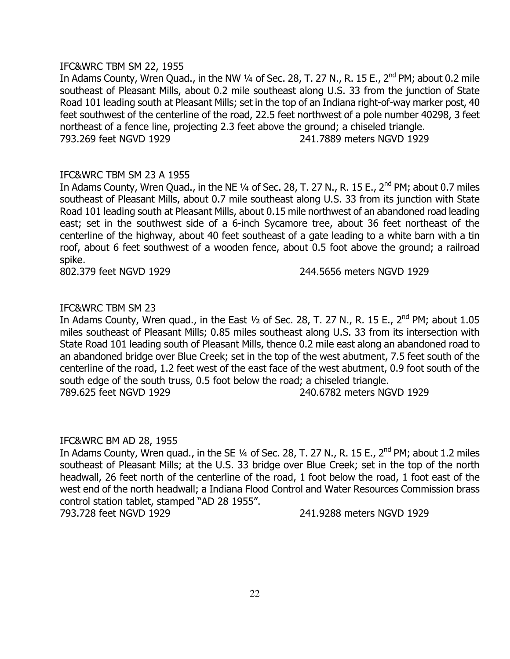#### IFC&WRC TBM SM 22, 1955

In Adams County, Wren Quad., in the NW  $\frac{1}{4}$  of Sec. 28, T. 27 N., R. 15 E., 2<sup>nd</sup> PM; about 0.2 mile southeast of Pleasant Mills, about 0.2 mile southeast along U.S. 33 from the junction of State Road 101 leading south at Pleasant Mills; set in the top of an Indiana right-of-way marker post, 40 feet southwest of the centerline of the road, 22.5 feet northwest of a pole number 40298, 3 feet northeast of a fence line, projecting 2.3 feet above the ground; a chiseled triangle. 793.269 feet NGVD 1929 241.7889 meters NGVD 1929

# IFC&WRC TBM SM 23 A 1955

In Adams County, Wren Quad., in the NE 1/4 of Sec. 28, T. 27 N., R. 15 E., 2<sup>nd</sup> PM; about 0.7 miles southeast of Pleasant Mills, about 0.7 mile southeast along U.S. 33 from its junction with State Road 101 leading south at Pleasant Mills, about 0.15 mile northwest of an abandoned road leading east; set in the southwest side of a 6-inch Sycamore tree, about 36 feet northeast of the centerline of the highway, about 40 feet southeast of a gate leading to a white barn with a tin roof, about 6 feet southwest of a wooden fence, about 0.5 foot above the ground; a railroad spike.

802.379 feet NGVD 1929 244.5656 meters NGVD 1929

# IFC&WRC TBM SM 23

In Adams County, Wren quad., in the East  $\frac{1}{2}$  of Sec. 28, T. 27 N., R. 15 E., 2<sup>nd</sup> PM; about 1.05 miles southeast of Pleasant Mills; 0.85 miles southeast along U.S. 33 from its intersection with State Road 101 leading south of Pleasant Mills, thence 0.2 mile east along an abandoned road to an abandoned bridge over Blue Creek; set in the top of the west abutment, 7.5 feet south of the centerline of the road, 1.2 feet west of the east face of the west abutment, 0.9 foot south of the south edge of the south truss, 0.5 foot below the road; a chiseled triangle. 789.625 feet NGVD 1929 240.6782 meters NGVD 1929

#### IFC&WRC BM AD 28, 1955

In Adams County, Wren quad., in the SE  $\frac{1}{4}$  of Sec. 28, T. 27 N., R. 15 E., 2<sup>nd</sup> PM; about 1.2 miles southeast of Pleasant Mills; at the U.S. 33 bridge over Blue Creek; set in the top of the north headwall, 26 feet north of the centerline of the road, 1 foot below the road, 1 foot east of the west end of the north headwall; a Indiana Flood Control and Water Resources Commission brass control station tablet, stamped "AD 28 1955".

793.728 feet NGVD 1929 241.9288 meters NGVD 1929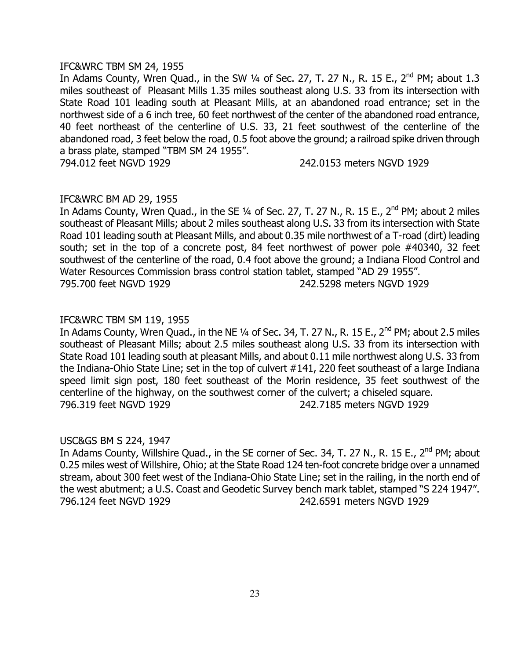#### IFC&WRC TBM SM 24, 1955

In Adams County, Wren Quad., in the SW  $\frac{1}{4}$  of Sec. 27, T. 27 N., R. 15 E., 2<sup>nd</sup> PM; about 1.3 miles southeast of Pleasant Mills 1.35 miles southeast along U.S. 33 from its intersection with State Road 101 leading south at Pleasant Mills, at an abandoned road entrance; set in the northwest side of a 6 inch tree, 60 feet northwest of the center of the abandoned road entrance, 40 feet northeast of the centerline of U.S. 33, 21 feet southwest of the centerline of the abandoned road, 3 feet below the road, 0.5 foot above the ground; a railroad spike driven through a brass plate, stamped "TBM SM 24 1955".

794.012 feet NGVD 1929 242.0153 meters NGVD 1929

### IFC&WRC BM AD 29, 1955

In Adams County, Wren Quad., in the SE  $\frac{1}{4}$  of Sec. 27, T. 27 N., R. 15 E., 2<sup>nd</sup> PM; about 2 miles southeast of Pleasant Mills; about 2 miles southeast along U.S. 33 from its intersection with State Road 101 leading south at Pleasant Mills, and about 0.35 mile northwest of a T-road (dirt) leading south; set in the top of a concrete post, 84 feet northwest of power pole #40340, 32 feet southwest of the centerline of the road, 0.4 foot above the ground; a Indiana Flood Control and Water Resources Commission brass control station tablet, stamped "AD 29 1955". 795.700 feet NGVD 1929 242.5298 meters NGVD 1929

#### IFC&WRC TBM SM 119, 1955

In Adams County, Wren Quad., in the NE  $\frac{1}{4}$  of Sec. 34, T. 27 N., R. 15 E., 2<sup>nd</sup> PM; about 2.5 miles southeast of Pleasant Mills; about 2.5 miles southeast along U.S. 33 from its intersection with State Road 101 leading south at pleasant Mills, and about 0.11 mile northwest along U.S. 33 from the Indiana-Ohio State Line; set in the top of culvert #141, 220 feet southeast of a large Indiana speed limit sign post, 180 feet southeast of the Morin residence, 35 feet southwest of the centerline of the highway, on the southwest corner of the culvert; a chiseled square. 796.319 feet NGVD 1929 242.7185 meters NGVD 1929

#### USC&GS BM S 224, 1947

In Adams County, Willshire Quad., in the SE corner of Sec. 34, T. 27 N., R. 15 E., 2<sup>nd</sup> PM; about 0.25 miles west of Willshire, Ohio; at the State Road 124 ten-foot concrete bridge over a unnamed stream, about 300 feet west of the Indiana-Ohio State Line; set in the railing, in the north end of the west abutment; a U.S. Coast and Geodetic Survey bench mark tablet, stamped "S 224 1947". 796.124 feet NGVD 1929 242.6591 meters NGVD 1929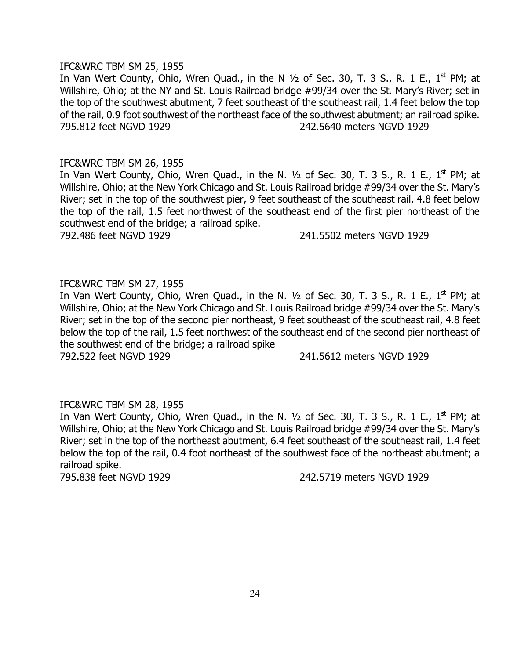#### IFC&WRC TBM SM 25, 1955

In Van Wert County, Ohio, Wren Quad., in the N  $1/2$  of Sec. 30, T. 3 S., R. 1 E., 1<sup>st</sup> PM; at Willshire, Ohio; at the NY and St. Louis Railroad bridge #99/34 over the St. Mary's River; set in the top of the southwest abutment, 7 feet southeast of the southeast rail, 1.4 feet below the top of the rail, 0.9 foot southwest of the northeast face of the southwest abutment; an railroad spike. 795.812 feet NGVD 1929 242.5640 meters NGVD 1929

#### IFC&WRC TBM SM 26, 1955

In Van Wert County, Ohio, Wren Quad., in the N.  $1/2$  of Sec. 30, T. 3 S., R. 1 E.,  $1<sup>st</sup> PM$ ; at Willshire, Ohio; at the New York Chicago and St. Louis Railroad bridge #99/34 over the St. Mary's River; set in the top of the southwest pier, 9 feet southeast of the southeast rail, 4.8 feet below the top of the rail, 1.5 feet northwest of the southeast end of the first pier northeast of the southwest end of the bridge; a railroad spike.

792.486 feet NGVD 1929 241.5502 meters NGVD 1929

## IFC&WRC TBM SM 27, 1955

In Van Wert County, Ohio, Wren Quad., in the N.  $1/2$  of Sec. 30, T. 3 S., R. 1 E.,  $1<sup>st</sup>$  PM; at Willshire, Ohio; at the New York Chicago and St. Louis Railroad bridge #99/34 over the St. Mary's River; set in the top of the second pier northeast, 9 feet southeast of the southeast rail, 4.8 feet below the top of the rail, 1.5 feet northwest of the southeast end of the second pier northeast of the southwest end of the bridge; a railroad spike 792.522 feet NGVD 1929 241.5612 meters NGVD 1929

#### IFC&WRC TBM SM 28, 1955

In Van Wert County, Ohio, Wren Quad., in the N.  $\frac{1}{2}$  of Sec. 30, T. 3 S., R. 1 E., 1<sup>st</sup> PM; at Willshire, Ohio; at the New York Chicago and St. Louis Railroad bridge #99/34 over the St. Mary's River; set in the top of the northeast abutment, 6.4 feet southeast of the southeast rail, 1.4 feet below the top of the rail, 0.4 foot northeast of the southwest face of the northeast abutment; a railroad spike.

795.838 feet NGVD 1929 242.5719 meters NGVD 1929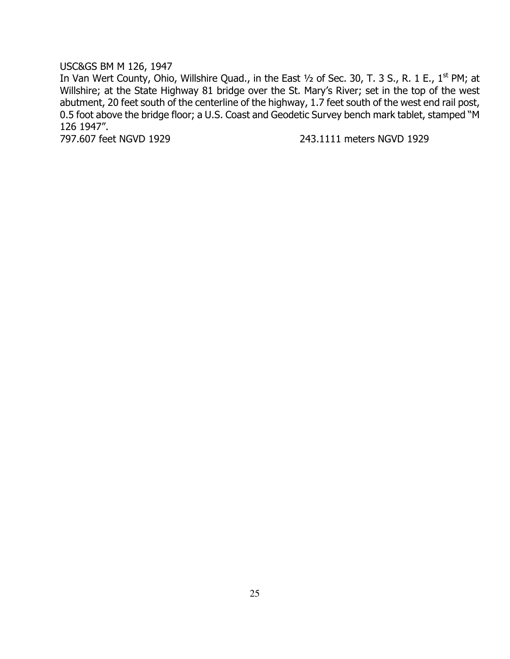# USC&GS BM M 126, 1947

In Van Wert County, Ohio, Willshire Quad., in the East 1/2 of Sec. 30, T. 3 S., R. 1 E., 1<sup>st</sup> PM; at Willshire; at the State Highway 81 bridge over the St. Mary's River; set in the top of the west abutment, 20 feet south of the centerline of the highway, 1.7 feet south of the west end rail post, 0.5 foot above the bridge floor; a U.S. Coast and Geodetic Survey bench mark tablet, stamped "M 126 1947".<br>797.607 feet NGVD 1929

243.1111 meters NGVD 1929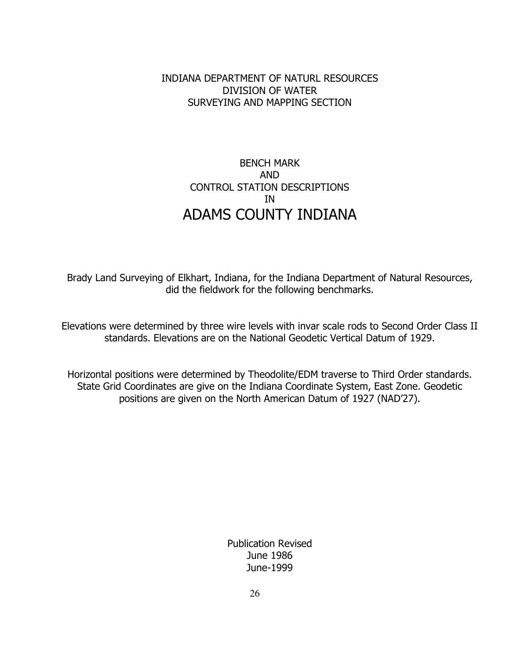# INDIANA DEPARTMENT OF NATURL RESOURCES DIVISION OF WATER SURVEYING AND MAPPING SECTION

# BENCH MARK AND CONTROL STATION DESCRIPTIONS IN ADAMS COUNTY INDIANA

Brady Land Surveying of Elkhart, Indiana, for the Indiana Department of Natural Resources, did the fieldwork for the following benchmarks.

Elevations were determined by three wire levels with invar scale rods to Second Order Class II standards. Elevations are on the National Geodetic Vertical Datum of 1929.

Horizontal positions were determined by Theodolite/EDM traverse to Third Order standards. State Grid Coordinates are give on the Indiana Coordinate System, East Zone. Geodetic positions are given on the North American Datum of 1927 (NAD'27).

> Publication Revised June 1986 June-1999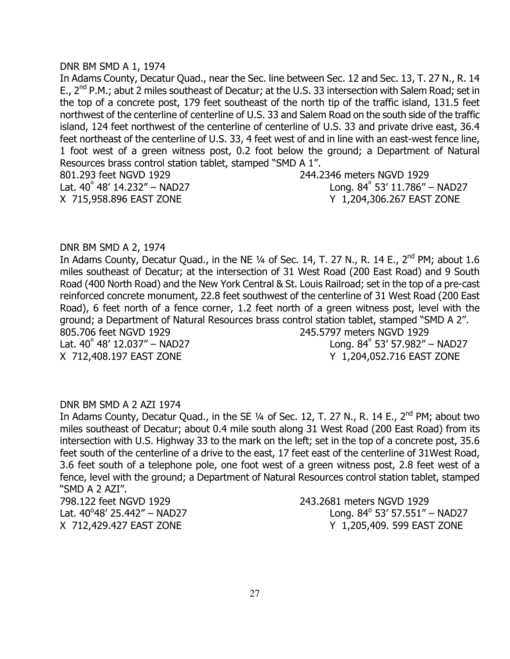#### DNR BM SMD A 1, 1974

In Adams County, Decatur Quad., near the Sec. line between Sec. 12 and Sec. 13, T. 27 N., R. 14 E., 2<sup>nd</sup> P.M.; abut 2 miles southeast of Decatur; at the U.S. 33 intersection with Salem Road; set in the top of a concrete post, 179 feet southeast of the north tip of the traffic island, 131.5 feet northwest of the centerline of centerline of U.S. 33 and Salem Road on the south side of the traffic island, 124 feet northwest of the centerline of centerline of U.S. 33 and private drive east, 36.4 feet northeast of the centerline of U.S. 33, 4 feet west of and in line with an east-west fence line, 1 foot west of a green witness post, 0.2 foot below the ground; a Department of Natural Resources brass control station tablet, stamped "SMD A 1". 801.293 feet NGVD 1929 244.2346 meters NGVD 1929 Lat.  $40^{\circ}$  48' 14.232" – NAD27 Long. 84 $^{\circ}$ Long.  $84^{\circ}$  53' 11.786" – NAD27 X 715,958.896 EAST ZONE Y 1,204,306.267 EAST ZONE

#### DNR BM SMD A 2, 1974

In Adams County, Decatur Quad., in the NE  $\frac{1}{4}$  of Sec. 14, T. 27 N., R. 14 E., 2<sup>nd</sup> PM; about 1.6 miles southeast of Decatur; at the intersection of 31 West Road (200 East Road) and 9 South Road (400 North Road) and the New York Central & St. Louis Railroad; set in the top of a pre-cast reinforced concrete monument, 22.8 feet southwest of the centerline of 31 West Road (200 East Road), 6 feet north of a fence corner, 1.2 feet north of a green witness post, level with the ground; a Department of Natural Resources brass control station tablet, stamped "SMD A 2". 805.706 feet NGVD 1929 245.5797 meters NGVD 1929  $\textsf{Lat.}\;40^\circ\;48'\;12.037'' - \textsf{NAD27} \hspace{25mm}\textsf{Long.}\;84^\circ$ Long,  $84^\circ$  53' 57.982" – NAD27 X 712,408.197 EAST ZONE Y 1,204,052.716 EAST ZONE

#### DNR BM SMD A 2 AZI 1974

In Adams County, Decatur Quad., in the SE  $\frac{1}{4}$  of Sec. 12, T. 27 N., R. 14 E., 2<sup>nd</sup> PM; about two miles southeast of Decatur; about 0.4 mile south along 31 West Road (200 East Road) from its intersection with U.S. Highway 33 to the mark on the left; set in the top of a concrete post, 35.6 feet south of the centerline of a drive to the east, 17 feet east of the centerline of 31West Road, 3.6 feet south of a telephone pole, one foot west of a green witness post, 2.8 feet west of a fence, level with the ground; a Department of Natural Resources control station tablet, stamped "SMD A 2 AZI".

798.122 feet NGVD 1929 243.2681 meters NGVD 1929 Lat.  $40^{\circ}48'$  25.442" – NAD27 Long. 84 $^{\circ}$ 

Long.  $84^{\circ}$  53' 57.551" – NAD27 X 712,429.427 EAST ZONE Y 1,205,409. 599 EAST ZONE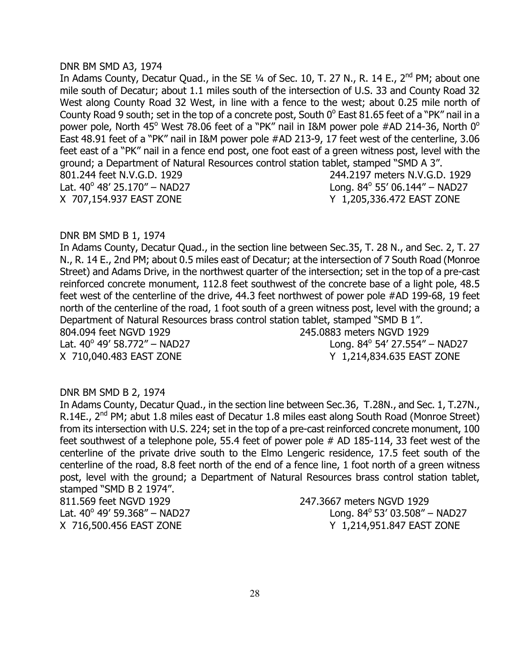#### DNR BM SMD A3, 1974

In Adams County, Decatur Quad., in the SE  $\frac{1}{4}$  of Sec. 10, T. 27 N., R. 14 E., 2<sup>nd</sup> PM; about one mile south of Decatur; about 1.1 miles south of the intersection of U.S. 33 and County Road 32 West along County Road 32 West, in line with a fence to the west; about 0.25 mile north of County Road 9 south; set in the top of a concrete post, South  $0^{\circ}$  East 81.65 feet of a "PK" nail in a power pole, North 45<sup>o</sup> West 78.06 feet of a "PK" nail in I&M power pole #AD 214-36, North 0<sup>o</sup> East 48.91 feet of a "PK" nail in I&M power pole #AD 213-9, 17 feet west of the centerline, 3.06 feet east of a "PK" nail in a fence end post, one foot east of a green witness post, level with the ground; a Department of Natural Resources control station tablet, stamped "SMD A 3". 801.244 feet N.V.G.D. 1929 244.2197 meters N.V.G.D. 1929 Lat.  $40^{\circ}$  48' 25.170" – NAD27 Long. 84 $^{\circ}$ Long.  $84^{\circ}$  55' 06.144" – NAD27 X 707,154.937 EAST ZONE Y 1,205,336.472 EAST ZONE

#### DNR BM SMD B 1, 1974

In Adams County, Decatur Quad., in the section line between Sec.35, T. 28 N., and Sec. 2, T. 27 N., R. 14 E., 2nd PM; about 0.5 miles east of Decatur; at the intersection of 7 South Road (Monroe Street) and Adams Drive, in the northwest quarter of the intersection; set in the top of a pre-cast reinforced concrete monument, 112.8 feet southwest of the concrete base of a light pole, 48.5 feet west of the centerline of the drive, 44.3 feet northwest of power pole #AD 199-68, 19 feet north of the centerline of the road, 1 foot south of a green witness post, level with the ground; a Department of Natural Resources brass control station tablet, stamped "SMD B 1". 804.094 feet NGVD 1929 245.0883 meters NGVD 1929 Lat.  $40^{\circ}$  49' 58.772" – NAD27 Long. 84 $^{\circ}$ Long,  $84^{\circ}$  54' 27.554" – NAD27 X 710,040.483 EAST ZONE Y 1,214,834.635 EAST ZONE

#### DNR BM SMD B 2, 1974

In Adams County, Decatur Quad., in the section line between Sec.36, T.28N., and Sec. 1, T.27N., R.14E.,  $2^{nd}$  PM; abut 1.8 miles east of Decatur 1.8 miles east along South Road (Monroe Street) from its intersection with U.S. 224; set in the top of a pre-cast reinforced concrete monument, 100 feet southwest of a telephone pole, 55.4 feet of power pole # AD 185-114, 33 feet west of the centerline of the private drive south to the Elmo Lengeric residence, 17.5 feet south of the centerline of the road, 8.8 feet north of the end of a fence line, 1 foot north of a green witness post, level with the ground; a Department of Natural Resources brass control station tablet, stamped "SMD B 2 1974".

811.569 feet NGVD 1929 247.3667 meters NGVD 1929 Lat.  $40^{\circ}$  49' 59.368" - NAD27

Long.  $84^{\circ}$  53' 03.508" – NAD27 X 716,500.456 EAST ZONE Y 1,214,951.847 EAST ZONE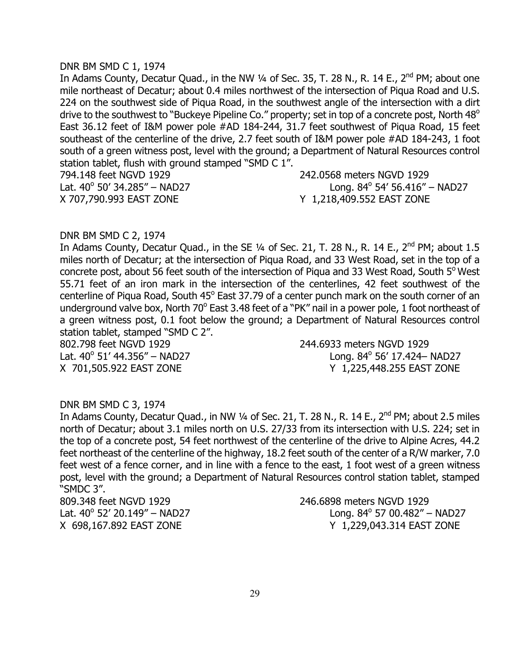#### DNR BM SMD C 1, 1974

In Adams County, Decatur Quad., in the NW  $\frac{1}{4}$  of Sec. 35, T. 28 N., R. 14 E., 2<sup>nd</sup> PM; about one mile northeast of Decatur; about 0.4 miles northwest of the intersection of Piqua Road and U.S. 224 on the southwest side of Piqua Road, in the southwest angle of the intersection with a dirt drive to the southwest to "Buckeye Pipeline Co." property; set in top of a concrete post, North 48<sup>o</sup> East 36.12 feet of I&M power pole #AD 184-244, 31.7 feet southwest of Piqua Road, 15 feet southeast of the centerline of the drive, 2.7 feet south of I&M power pole #AD 184-243, 1 foot south of a green witness post, level with the ground; a Department of Natural Resources control station tablet, flush with ground stamped "SMD C 1".

794.148 feet NGVD 1929 242.0568 meters NGVD 1929 Lat.  $40^{\circ}$  50' 34.285" – NAD27 Long. 84 $^{\circ}$ 

Long.  $84^{\circ}$  54' 56.416" – NAD27 X 707,790.993 EAST ZONE Y 1,218,409.552 EAST ZONE

#### DNR BM SMD C 2, 1974

In Adams County, Decatur Quad., in the SE  $\frac{1}{4}$  of Sec. 21, T. 28 N., R. 14 E., 2<sup>nd</sup> PM; about 1.5 miles north of Decatur; at the intersection of Piqua Road, and 33 West Road, set in the top of a concrete post, about 56 feet south of the intersection of Piqua and 33 West Road, South 5° West 55.71 feet of an iron mark in the intersection of the centerlines, 42 feet southwest of the centerline of Piqua Road, South 45° East 37.79 of a center punch mark on the south corner of an underground valve box, North 70° East 3.48 feet of a "PK" nail in a power pole, 1 foot northeast of a green witness post, 0.1 foot below the ground; a Department of Natural Resources control station tablet, stamped "SMD C 2".

802.798 feet NGVD 1929 244.6933 meters NGVD 1929 Lat.  $40^{\circ}$  51' 44.356" – NAD27 Long. 84 $^{\circ}$ 

Long. 84° 56' 17.424- NAD27 X 701,505.922 EAST ZONE Y 1,225,448.255 EAST ZONE

#### DNR BM SMD C 3, 1974

In Adams County, Decatur Quad., in NW  $\frac{1}{4}$  of Sec. 21, T. 28 N., R. 14 E., 2<sup>nd</sup> PM; about 2.5 miles north of Decatur; about 3.1 miles north on U.S. 27/33 from its intersection with U.S. 224; set in the top of a concrete post, 54 feet northwest of the centerline of the drive to Alpine Acres, 44.2 feet northeast of the centerline of the highway, 18.2 feet south of the center of a R/W marker, 7.0 feet west of a fence corner, and in line with a fence to the east, 1 foot west of a green witness post, level with the ground; a Department of Natural Resources control station tablet, stamped "SMDC 3".

Lat.  $40^{\circ}$  52' 20.149" – NAD27 Long. 84 $^{\circ}$ 

809.348 feet NGVD 1929 246.6898 meters NGVD 1929 Long.  $84^{\circ}$  57 00.482" – NAD27 X 698,167.892 EAST ZONE Y 1,229,043.314 EAST ZONE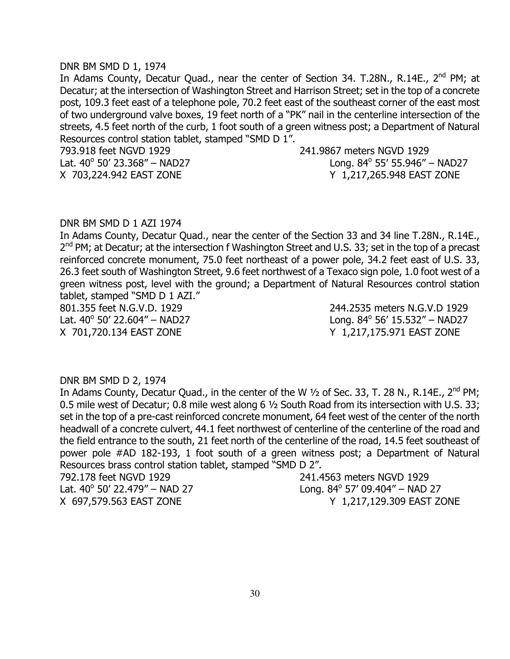#### DNR BM SMD D 1, 1974

In Adams County, Decatur Quad., near the center of Section 34. T.28N., R.14E., 2<sup>nd</sup> PM; at Decatur; at the intersection of Washington Street and Harrison Street; set in the top of a concrete post, 109.3 feet east of a telephone pole, 70.2 feet east of the southeast corner of the east most of two underground valve boxes, 19 feet north of a "PK" nail in the centerline intersection of the streets, 4.5 feet north of the curb, 1 foot south of a green witness post; a Department of Natural Resources control station tablet, stamped "SMD D 1".

Lat.  $40^{\circ}$  50' 23.368" – NAD27 Long. 84 $^{\circ}$ 

793.918 feet NGVD 1929 241.9867 meters NGVD 1929 Long.  $84^{\circ}$  55' 55.946" – NAD27 X 703,224.942 EAST ZONE Y 1,217,265.948 EAST ZONE

#### DNR BM SMD D 1 AZI 1974

In Adams County, Decatur Quad., near the center of the Section 33 and 34 line T.28N., R.14E.,  $2<sup>nd</sup>$  PM; at Decatur; at the intersection f Washington Street and U.S. 33; set in the top of a precast reinforced concrete monument, 75.0 feet northeast of a power pole, 34.2 feet east of U.S. 33, 26.3 feet south of Washington Street, 9.6 feet northwest of a Texaco sign pole, 1.0 foot west of a green witness post, level with the ground; a Department of Natural Resources control station tablet, stamped "SMD D 1 AZI."

801.355 feet N.G.V.D. 1929 244.2535 meters N.G.V.D 1929 Lat.  $40^{\circ}$  50' 22.604" – NAD27 Long. 84 $^{\circ}$ X 701,720.134 EAST ZONE Y 1,217,175.971 EAST ZONE

Long.  $84^{\circ}$  56' 15.532" – NAD27

## DNR BM SMD D 2, 1974

In Adams County, Decatur Quad., in the center of the W 1/2 of Sec. 33, T. 28 N., R.14E., 2<sup>nd</sup> PM; 0.5 mile west of Decatur; 0.8 mile west along 6 ½ South Road from its intersection with U.S. 33; set in the top of a pre-cast reinforced concrete monument, 64 feet west of the center of the north headwall of a concrete culvert, 44.1 feet northwest of centerline of the centerline of the road and the field entrance to the south, 21 feet north of the centerline of the road, 14.5 feet southeast of power pole #AD 182-193, 1 foot south of a green witness post; a Department of Natural Resources brass control station tablet, stamped "SMD D 2".

Lat.  $40^{\circ}$  50' 22.479" – NAD 27 Long. 84 $^{\circ}$ 

792.178 feet NGVD 1929 241.4563 meters NGVD 1929 Long.  $84^{\circ}$  57' 09.404" – NAD 27 X 697,579.563 EAST ZONE Y 1,217,129.309 EAST ZONE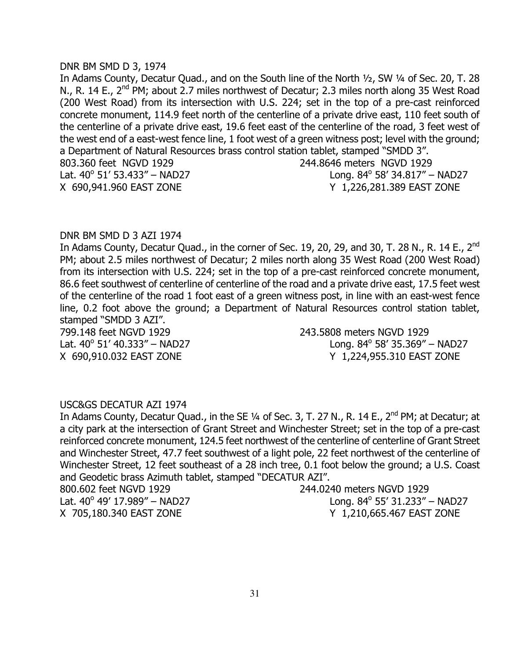#### DNR BM SMD D 3, 1974

In Adams County, Decatur Quad., and on the South line of the North ½, SW ¼ of Sec. 20, T. 28 N., R. 14 E., 2<sup>nd</sup> PM; about 2.7 miles northwest of Decatur; 2.3 miles north along 35 West Road (200 West Road) from its intersection with U.S. 224; set in the top of a pre-cast reinforced concrete monument, 114.9 feet north of the centerline of a private drive east, 110 feet south of the centerline of a private drive east, 19.6 feet east of the centerline of the road, 3 feet west of the west end of a east-west fence line, 1 foot west of a green witness post; level with the ground; a Department of Natural Resources brass control station tablet, stamped "SMDD 3". 803.360 feet NGVD 1929 244.8646 meters NGVD 1929 Lat.  $40^{\circ}$  51' 53.433" – NAD27 Long. 84 $^{\circ}$ Long.  $84^{\circ}$  58' 34.817" – NAD27 X 690,941.960 EAST ZONE Y 1,226,281.389 EAST ZONE

#### DNR BM SMD D 3 AZI 1974

In Adams County, Decatur Quad., in the corner of Sec. 19, 20, 29, and 30, T. 28 N., R. 14 E., 2<sup>nd</sup> PM; about 2.5 miles northwest of Decatur; 2 miles north along 35 West Road (200 West Road) from its intersection with U.S. 224; set in the top of a pre-cast reinforced concrete monument, 86.6 feet southwest of centerline of centerline of the road and a private drive east, 17.5 feet west of the centerline of the road 1 foot east of a green witness post, in line with an east-west fence line, 0.2 foot above the ground; a Department of Natural Resources control station tablet, stamped "SMDD 3 AZI".

799.148 feet NGVD 1929 243.5808 meters NGVD 1929 Lat.  $40^{\circ}$  51' 40.333" – NAD27 Long. 84 $^{\circ}$ 

Long.  $84^{\circ}$  58' 35.369" – NAD27 X 690,910.032 EAST ZONE Y 1,224,955.310 EAST ZONE

#### USC&GS DECATUR AZI 1974

In Adams County, Decatur Quad., in the SE 1/4 of Sec. 3, T. 27 N., R. 14 E., 2<sup>nd</sup> PM; at Decatur; at a city park at the intersection of Grant Street and Winchester Street; set in the top of a pre-cast reinforced concrete monument, 124.5 feet northwest of the centerline of centerline of Grant Street and Winchester Street, 47.7 feet southwest of a light pole, 22 feet northwest of the centerline of Winchester Street, 12 feet southeast of a 28 inch tree, 0.1 foot below the ground; a U.S. Coast and Geodetic brass Azimuth tablet, stamped "DECATUR AZI".

800.602 feet NGVD 1929 244.0240 meters NGVD 1929 Lat.  $40^{\circ}$  49' 17.989" – NAD27 Long. 84 $^{\circ}$ 

Long.  $84^{\circ}$  55' 31.233" – NAD27 X 705,180.340 EAST ZONE Y 1,210,665.467 EAST ZONE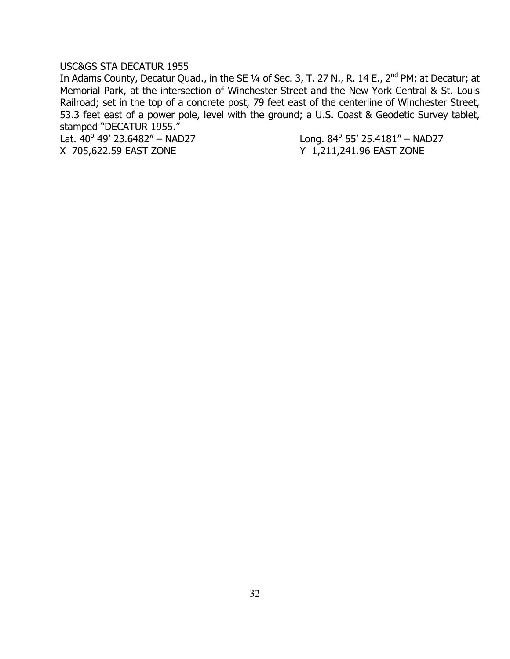#### USC&GS STA DECATUR 1955

In Adams County, Decatur Quad., in the SE 1/4 of Sec. 3, T. 27 N., R. 14 E., 2<sup>nd</sup> PM; at Decatur; at Memorial Park, at the intersection of Winchester Street and the New York Central & St. Louis Railroad; set in the top of a concrete post, 79 feet east of the centerline of Winchester Street, 53.3 feet east of a power pole, level with the ground; a U.S. Coast & Geodetic Survey tablet, stamped "DECATUR 1955."

Lat.  $40^{\circ}$  49' 23.6482" – NAD27 Long. 84 $^{\circ}$ X 705,622.59 EAST ZONE Y 1,211,241.96 EAST ZONE

Long. 84° 55' 25.4181" - NAD27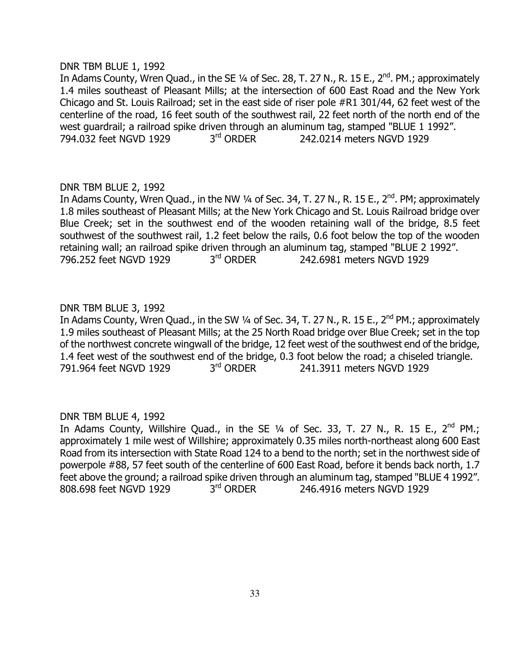#### DNR TBM BLUE 1, 1992

In Adams County, Wren Quad., in the SE  $\frac{1}{4}$  of Sec. 28, T. 27 N., R. 15 E., 2<sup>nd</sup>. PM.; approximately 1.4 miles southeast of Pleasant Mills; at the intersection of 600 East Road and the New York Chicago and St. Louis Railroad; set in the east side of riser pole #R1 301/44, 62 feet west of the centerline of the road, 16 feet south of the southwest rail, 22 feet north of the north end of the west guardrail; a railroad spike driven through an aluminum tag, stamped "BLUE 1 1992". 794.032 feet NGVD 1929 3rd ORDER 242.0214 meters NGVD 1929

# DNR TBM BLUE 2, 1992

In Adams County, Wren Quad., in the NW  $\frac{1}{4}$  of Sec. 34, T. 27 N., R. 15 E., 2<sup>nd</sup>. PM; approximately 1.8 miles southeast of Pleasant Mills; at the New York Chicago and St. Louis Railroad bridge over Blue Creek; set in the southwest end of the wooden retaining wall of the bridge, 8.5 feet southwest of the southwest rail, 1.2 feet below the rails, 0.6 foot below the top of the wooden retaining wall; an railroad spike driven through an aluminum tag, stamped "BLUE 2 1992". 796.252 feet NGVD 1929 3<sup>rd</sup> ORDER 242.6981 meters NGVD 1929

# DNR TBM BLUE 3, 1992

In Adams County, Wren Quad., in the SW 1/4 of Sec. 34, T. 27 N., R. 15 E., 2<sup>nd</sup> PM.; approximately 1.9 miles southeast of Pleasant Mills; at the 25 North Road bridge over Blue Creek; set in the top of the northwest concrete wingwall of the bridge, 12 feet west of the southwest end of the bridge, 1.4 feet west of the southwest end of the bridge, 0.3 foot below the road; a chiseled triangle. 791.964 feet NGVD 1929 3<sup>rd</sup> ORDER 241.3911 meters NGVD 1929

#### DNR TBM BLUE 4, 1992

In Adams County, Willshire Quad., in the SE  $1/4$  of Sec. 33, T. 27 N., R. 15 E., 2<sup>nd</sup> PM.; approximately 1 mile west of Willshire; approximately 0.35 miles north-northeast along 600 East Road from its intersection with State Road 124 to a bend to the north; set in the northwest side of powerpole #88, 57 feet south of the centerline of 600 East Road, before it bends back north, 1.7 feet above the ground; a railroad spike driven through an aluminum tag, stamped "BLUE 4 1992". 808.698 feet NGVD 1929 3<sup>rd</sup> ORDER 246.4916 meters NGVD 1929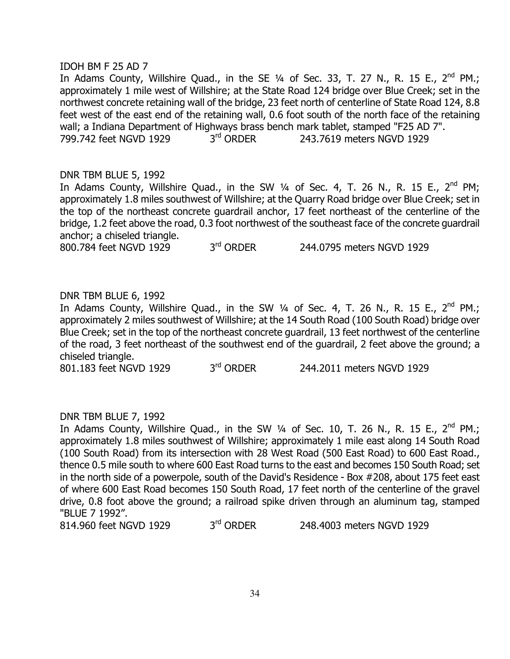#### IDOH BM F 25 AD 7

In Adams County, Willshire Quad., in the SE  $\frac{1}{4}$  of Sec. 33, T. 27 N., R. 15 E., 2<sup>nd</sup> PM.; approximately 1 mile west of Willshire; at the State Road 124 bridge over Blue Creek; set in the northwest concrete retaining wall of the bridge, 23 feet north of centerline of State Road 124, 8.8 feet west of the east end of the retaining wall, 0.6 foot south of the north face of the retaining wall; a Indiana Department of Highways brass bench mark tablet, stamped "F25 AD 7".<br>799.742 feet NGVD 1929 3<sup>rd</sup> ORDER 243.7619 meters NGVD 1929 799.742 feet NGVD 1929 3<sup>rd</sup> ORDER 243.7619 meters NGVD 1929

# DNR TBM BLUE 5, 1992

In Adams County, Willshire Quad., in the SW  $\frac{1}{4}$  of Sec. 4, T. 26 N., R. 15 E.,  $2^{nd}$  PM; approximately 1.8 miles southwest of Willshire; at the Quarry Road bridge over Blue Creek; set in the top of the northeast concrete guardrail anchor, 17 feet northeast of the centerline of the bridge, 1.2 feet above the road, 0.3 foot northwest of the southeast face of the concrete guardrail anchor; a chiseled triangle.

800.784 feet NGVD 1929 3<sup>rd</sup> ORDER 244.0795 meters NGVD 1929

# DNR TBM BLUE 6, 1992

In Adams County, Willshire Quad., in the SW 1/4 of Sec. 4, T. 26 N., R. 15 E., 2<sup>nd</sup> PM.; approximately 2 miles southwest of Willshire; at the 14 South Road (100 South Road) bridge over Blue Creek; set in the top of the northeast concrete guardrail, 13 feet northwest of the centerline of the road, 3 feet northeast of the southwest end of the guardrail, 2 feet above the ground; a chiseled triangle.

801.183 feet NGVD 1929 3<sup>rd</sup> ORDER 244.2011 meters NGVD 1929

#### DNR TBM BLUE 7, 1992

In Adams County, Willshire Quad., in the SW  $1/4$  of Sec. 10, T. 26 N., R. 15 E., 2<sup>nd</sup> PM.; approximately 1.8 miles southwest of Willshire; approximately 1 mile east along 14 South Road (100 South Road) from its intersection with 28 West Road (500 East Road) to 600 East Road., thence 0.5 mile south to where 600 East Road turns to the east and becomes 150 South Road; set in the north side of a powerpole, south of the David's Residence - Box #208, about 175 feet east of where 600 East Road becomes 150 South Road, 17 feet north of the centerline of the gravel drive, 0.8 foot above the ground; a railroad spike driven through an aluminum tag, stamped "BLUE 7 1992".

814.960 feet NGVD 1929 3<sup>rd</sup> ORDER 248.4003 meters NGVD 1929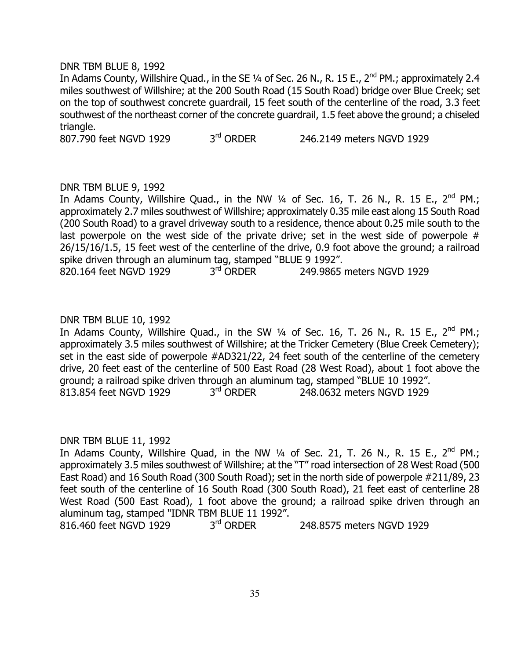#### DNR TBM BLUE 8, 1992

In Adams County, Willshire Quad., in the SE 1/4 of Sec. 26 N., R. 15 E., 2<sup>nd</sup> PM.; approximately 2.4 miles southwest of Willshire; at the 200 South Road (15 South Road) bridge over Blue Creek; set on the top of southwest concrete guardrail, 15 feet south of the centerline of the road, 3.3 feet southwest of the northeast corner of the concrete guardrail, 1.5 feet above the ground; a chiseled triangle.

807.790 feet NGVD 1929 3<sup>rd</sup> ORDER 246.2149 meters NGVD 1929

#### DNR TBM BLUE 9, 1992

In Adams County, Willshire Quad., in the NW  $\frac{1}{4}$  of Sec. 16, T. 26 N., R. 15 E., 2<sup>nd</sup> PM.; approximately 2.7 miles southwest of Willshire; approximately 0.35 mile east along 15 South Road (200 South Road) to a gravel driveway south to a residence, thence about 0.25 mile south to the last powerpole on the west side of the private drive; set in the west side of powerpole  $#$ 26/15/16/1.5, 15 feet west of the centerline of the drive, 0.9 foot above the ground; a railroad spike driven through an aluminum tag, stamped "BLUE 9 1992".

820.164 feet NGVD 1929 3rd ORDER 249.9865 meters NGVD 1929

#### DNR TBM BLUE 10, 1992

In Adams County, Willshire Quad., in the SW  $\frac{1}{4}$  of Sec. 16, T. 26 N., R. 15 E., 2<sup>nd</sup> PM.; approximately 3.5 miles southwest of Willshire; at the Tricker Cemetery (Blue Creek Cemetery); set in the east side of powerpole #AD321/22, 24 feet south of the centerline of the cemetery drive, 20 feet east of the centerline of 500 East Road (28 West Road), about 1 foot above the ground; a railroad spike driven through an aluminum tag, stamped "BLUE 10 1992". 813.854 feet NGVD 1929 3<sup>rd</sup> ORDER 248.0632 meters NGVD 1929

#### DNR TBM BLUE 11, 1992

In Adams County, Willshire Quad, in the NW  $\frac{1}{4}$  of Sec. 21, T. 26 N., R. 15 E., 2<sup>nd</sup> PM.; approximately 3.5 miles southwest of Willshire; at the "T" road intersection of 28 West Road (500 East Road) and 16 South Road (300 South Road); set in the north side of powerpole #211/89, 23 feet south of the centerline of 16 South Road (300 South Road), 21 feet east of centerline 28 West Road (500 East Road), 1 foot above the ground; a railroad spike driven through an aluminum tag, stamped "IDNR TBM BLUE 11 1992".

816.460 feet NGVD 1929 3rd ORDER 248.8575 meters NGVD 1929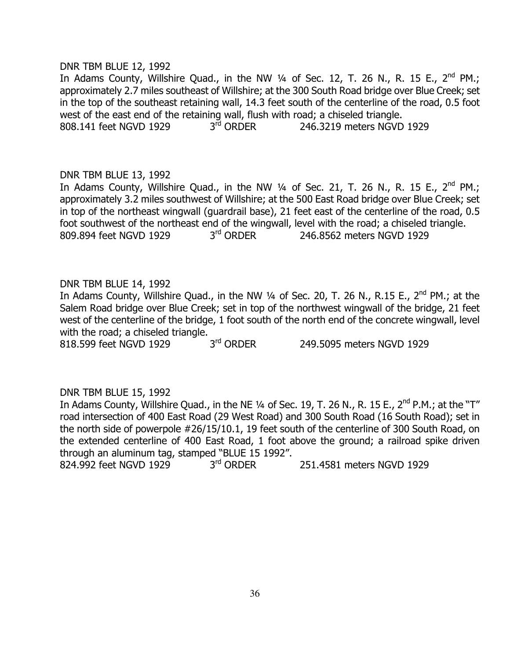#### DNR TBM BLUE 12, 1992

In Adams County, Willshire Quad., in the NW  $\frac{1}{4}$  of Sec. 12, T. 26 N., R. 15 E., 2<sup>nd</sup> PM.; approximately 2.7 miles southeast of Willshire; at the 300 South Road bridge over Blue Creek; set in the top of the southeast retaining wall, 14.3 feet south of the centerline of the road, 0.5 foot west of the east end of the retaining wall, flush with road; a chiseled triangle.<br>808.141 feet NGVD 1929  $3<sup>rd</sup>$  ORDER 246.3219 meters NGVD 808.141 feet NGVD 1929 3rd ORDER 246.3219 meters NGVD 1929

#### DNR TBM BLUE 13, 1992

In Adams County, Willshire Quad., in the NW  $1/4$  of Sec. 21, T. 26 N., R. 15 E., 2<sup>nd</sup> PM.; approximately 3.2 miles southwest of Willshire; at the 500 East Road bridge over Blue Creek; set in top of the northeast wingwall (guardrail base), 21 feet east of the centerline of the road, 0.5 foot southwest of the northeast end of the wingwall, level with the road; a chiseled triangle. 809.894 feet NGVD 1929 3<sup>rd</sup> ORDER 246.8562 meters NGVD 1929

# DNR TBM BLUE 14, 1992

In Adams County, Willshire Quad., in the NW  $\frac{1}{4}$  of Sec. 20, T. 26 N., R.15 E., 2<sup>nd</sup> PM.; at the Salem Road bridge over Blue Creek; set in top of the northwest wingwall of the bridge, 21 feet west of the centerline of the bridge, 1 foot south of the north end of the concrete wingwall, level with the road; a chiseled triangle.

818.599 feet NGVD 1929 3<sup>rd</sup> ORDER 249.5095 meters NGVD 1929

#### DNR TBM BLUE 15, 1992

In Adams County, Willshire Quad., in the NE 1/4 of Sec. 19, T. 26 N., R. 15 E., 2<sup>nd</sup> P.M.; at the "T" road intersection of 400 East Road (29 West Road) and 300 South Road (16 South Road); set in the north side of powerpole #26/15/10.1, 19 feet south of the centerline of 300 South Road, on the extended centerline of 400 East Road, 1 foot above the ground; a railroad spike driven through an aluminum tag, stamped "BLUE 15 1992".

824.992 feet NGVD 1929 3<sup>rd</sup> ORDER 251.4581 meters NGVD 1929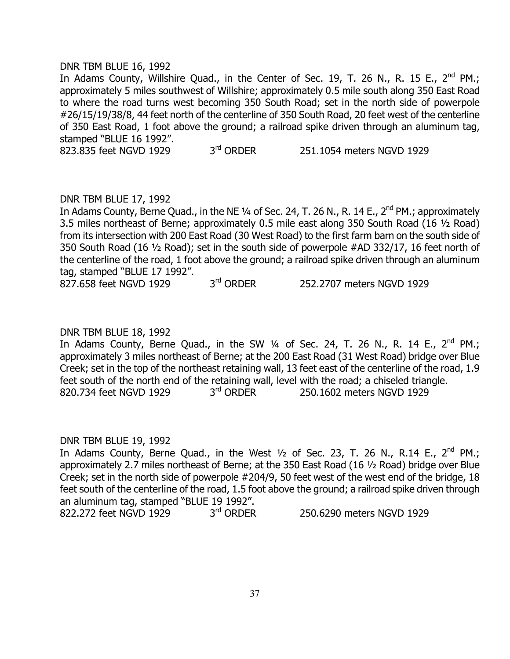#### DNR TBM BLUE 16, 1992

In Adams County, Willshire Quad., in the Center of Sec. 19, T. 26 N., R. 15 E.,  $2^{nd}$  PM.; approximately 5 miles southwest of Willshire; approximately 0.5 mile south along 350 East Road to where the road turns west becoming 350 South Road; set in the north side of powerpole #26/15/19/38/8, 44 feet north of the centerline of 350 South Road, 20 feet west of the centerline of 350 East Road, 1 foot above the ground; a railroad spike driven through an aluminum tag, stamped "BLUE 16 1992".

823.835 feet NGVD 1929 3<sup>rd</sup> ORDER 251.1054 meters NGVD 1929

#### DNR TBM BLUE 17, 1992

In Adams County, Berne Quad., in the NE ¼ of Sec. 24, T. 26 N., R. 14 E., 2<sup>nd</sup> PM.; approximately 3.5 miles northeast of Berne; approximately 0.5 mile east along 350 South Road (16 ½ Road) from its intersection with 200 East Road (30 West Road) to the first farm barn on the south side of 350 South Road (16 ½ Road); set in the south side of powerpole #AD 332/17, 16 feet north of the centerline of the road, 1 foot above the ground; a railroad spike driven through an aluminum tag, stamped "BLUE 17 1992".

827.658 feet NGVD 1929 3<sup>rd</sup> ORDER 252.2707 meters NGVD 1929

#### DNR TBM BLUE 18, 1992

In Adams County, Berne Quad., in the SW  $\frac{1}{4}$  of Sec. 24, T. 26 N., R. 14 E., 2<sup>nd</sup> PM.; approximately 3 miles northeast of Berne; at the 200 East Road (31 West Road) bridge over Blue Creek; set in the top of the northeast retaining wall, 13 feet east of the centerline of the road, 1.9 feet south of the north end of the retaining wall, level with the road; a chiseled triangle.<br> $320.734$  feet NGVD 1929  $3<sup>rd</sup>$  ORDER 250.1602 meters NGVD 1929 820.734 feet NGVD 1929 3<sup>rd</sup> ORDER 250.1602 meters NGVD 1929

#### DNR TBM BLUE 19, 1992

In Adams County, Berne Quad., in the West  $1/2$  of Sec. 23, T. 26 N., R.14 E., 2<sup>nd</sup> PM.; approximately 2.7 miles northeast of Berne; at the 350 East Road (16 ½ Road) bridge over Blue Creek; set in the north side of powerpole #204/9, 50 feet west of the west end of the bridge, 18 feet south of the centerline of the road, 1.5 foot above the ground; a railroad spike driven through an aluminum tag, stamped "BLUE 19 1992".<br>822.272 feet NGVD 1929 3<sup>rd</sup> ORDER

822.272 feet NGVD 1929 3<sup>rd</sup> ORDER 250.6290 meters NGVD 1929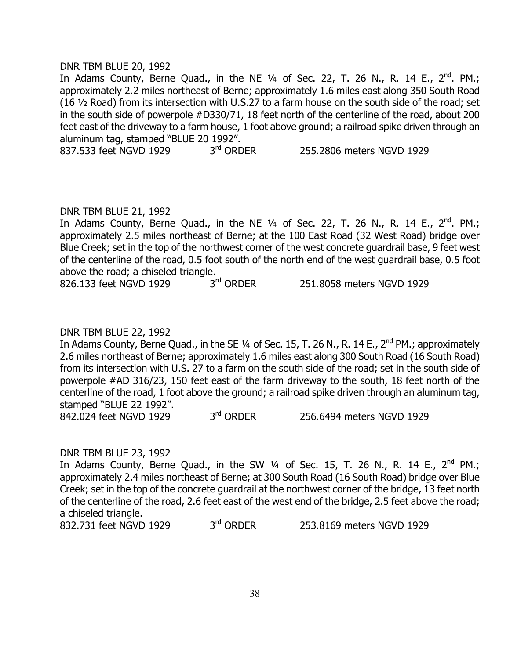#### DNR TBM BLUE 20, 1992

In Adams County, Berne Quad., in the NE  $\frac{1}{4}$  of Sec. 22, T. 26 N., R. 14 E., 2<sup>nd</sup>. PM.; approximately 2.2 miles northeast of Berne; approximately 1.6 miles east along 350 South Road (16 ½ Road) from its intersection with U.S.27 to a farm house on the south side of the road; set in the south side of powerpole #D330/71, 18 feet north of the centerline of the road, about 200 feet east of the driveway to a farm house, 1 foot above ground; a railroad spike driven through an aluminum tag, stamped "BLUE 20 1992".

837.533 feet NGVD 1929 3<sup>rd</sup> ORDER 255.2806 meters NGVD 1929

#### DNR TBM BLUE 21, 1992

In Adams County, Berne Quad., in the NE  $1/4$  of Sec. 22, T. 26 N., R. 14 E., 2<sup>nd</sup>. PM.; approximately 2.5 miles northeast of Berne; at the 100 East Road (32 West Road) bridge over Blue Creek; set in the top of the northwest corner of the west concrete guardrail base, 9 feet west of the centerline of the road, 0.5 foot south of the north end of the west guardrail base, 0.5 foot above the road; a chiseled triangle.<br>826.133 feet NGVD 1929  $3<sup>rd</sup>$  ORDER

826.133 feet NGVD 1929 3<sup>rd</sup> ORDER 251.8058 meters NGVD 1929

#### DNR TBM BLUE 22, 1992

In Adams County, Berne Quad., in the SE 1/4 of Sec. 15, T. 26 N., R. 14 E., 2<sup>nd</sup> PM.; approximately 2.6 miles northeast of Berne; approximately 1.6 miles east along 300 South Road (16 South Road) from its intersection with U.S. 27 to a farm on the south side of the road; set in the south side of powerpole #AD 316/23, 150 feet east of the farm driveway to the south, 18 feet north of the centerline of the road, 1 foot above the ground; a railroad spike driven through an aluminum tag, stamped "BLUE 22 1992".

842.024 feet NGVD 1929 3<sup>rd</sup> ORDER 256.6494 meters NGVD 1929

#### DNR TBM BLUE 23, 1992

In Adams County, Berne Quad., in the SW  $\frac{1}{4}$  of Sec. 15, T. 26 N., R. 14 E., 2<sup>nd</sup> PM.; approximately 2.4 miles northeast of Berne; at 300 South Road (16 South Road) bridge over Blue Creek; set in the top of the concrete guardrail at the northwest corner of the bridge, 13 feet north of the centerline of the road, 2.6 feet east of the west end of the bridge, 2.5 feet above the road; a chiseled triangle.

832.731 feet NGVD 1929 3<sup>rd</sup> ORDER 253.8169 meters NGVD 1929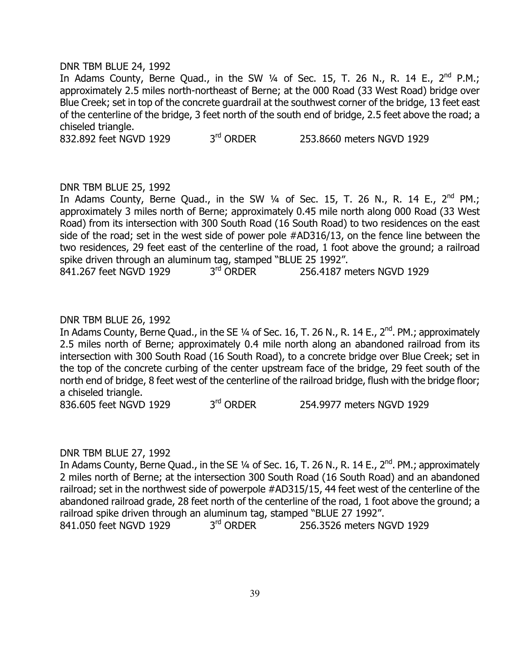#### DNR TBM BLUE 24, 1992

In Adams County, Berne Quad., in the SW  $1/4$  of Sec. 15, T. 26 N., R. 14 E., 2<sup>nd</sup> P.M.; approximately 2.5 miles north-northeast of Berne; at the 000 Road (33 West Road) bridge over Blue Creek; set in top of the concrete guardrail at the southwest corner of the bridge, 13 feet east of the centerline of the bridge, 3 feet north of the south end of bridge, 2.5 feet above the road; a chiseled triangle.

832.892 feet NGVD 1929 3<sup>rd</sup> ORDER 253.8660 meters NGVD 1929

#### DNR TBM BLUE 25, 1992

In Adams County, Berne Quad., in the SW  $\frac{1}{4}$  of Sec. 15, T. 26 N., R. 14 E., 2<sup>nd</sup> PM.; approximately 3 miles north of Berne; approximately 0.45 mile north along 000 Road (33 West Road) from its intersection with 300 South Road (16 South Road) to two residences on the east side of the road; set in the west side of power pole #AD316/13, on the fence line between the two residences, 29 feet east of the centerline of the road, 1 foot above the ground; a railroad spike driven through an aluminum tag, stamped "BLUE 25 1992".

841.267 feet NGVD 1929 3<sup>rd</sup> ORDER 256.4187 meters NGVD 1929

#### DNR TBM BLUE 26, 1992

In Adams County, Berne Quad., in the SE  $\frac{1}{4}$  of Sec. 16, T. 26 N., R. 14 E., 2<sup>nd</sup>. PM.; approximately 2.5 miles north of Berne; approximately 0.4 mile north along an abandoned railroad from its intersection with 300 South Road (16 South Road), to a concrete bridge over Blue Creek; set in the top of the concrete curbing of the center upstream face of the bridge, 29 feet south of the north end of bridge, 8 feet west of the centerline of the railroad bridge, flush with the bridge floor; a chiseled triangle.

836.605 feet NGVD 1929 3<sup>rd</sup> ORDER 254.9977 meters NGVD 1929

#### DNR TBM BLUE 27, 1992

In Adams County, Berne Quad., in the SE  $1/4$  of Sec. 16, T. 26 N., R. 14 E., 2<sup>nd</sup>. PM.; approximately 2 miles north of Berne; at the intersection 300 South Road (16 South Road) and an abandoned railroad; set in the northwest side of powerpole #AD315/15, 44 feet west of the centerline of the abandoned railroad grade, 28 feet north of the centerline of the road, 1 foot above the ground; a railroad spike driven through an aluminum tag, stamped "BLUE 27 1992".<br>841.050 feet NGVD 1929  $3<sup>rd</sup>$  ORDER 256.3526 meters N 841.050 feet NGVD 1929 3<sup>rd</sup> ORDER 256.3526 meters NGVD 1929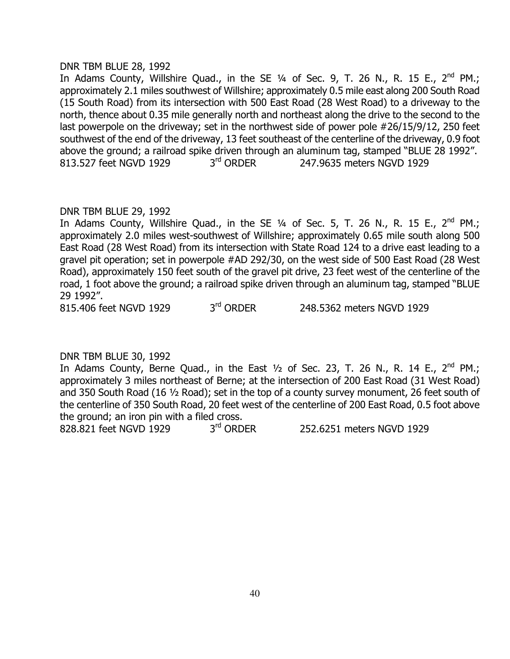### DNR TBM BLUE 28, 1992

In Adams County, Willshire Quad., in the SE  $\frac{1}{4}$  of Sec. 9, T. 26 N., R. 15 E., 2<sup>nd</sup> PM.; approximately 2.1 miles southwest of Willshire; approximately 0.5 mile east along 200 South Road (15 South Road) from its intersection with 500 East Road (28 West Road) to a driveway to the north, thence about 0.35 mile generally north and northeast along the drive to the second to the last powerpole on the driveway; set in the northwest side of power pole #26/15/9/12, 250 feet southwest of the end of the driveway, 13 feet southeast of the centerline of the driveway, 0.9 foot above the ground; a railroad spike driven through an aluminum tag, stamped "BLUE 28 1992". 813.527 feet NGVD 1929 3<sup>rd</sup> ORDER 247.9635 meters NGVD 1929

# DNR TBM BLUE 29, 1992

In Adams County, Willshire Quad., in the SE  $1/4$  of Sec. 5, T. 26 N., R. 15 E., 2<sup>nd</sup> PM.; approximately 2.0 miles west-southwest of Willshire; approximately 0.65 mile south along 500 East Road (28 West Road) from its intersection with State Road 124 to a drive east leading to a gravel pit operation; set in powerpole #AD 292/30, on the west side of 500 East Road (28 West Road), approximately 150 feet south of the gravel pit drive, 23 feet west of the centerline of the road, 1 foot above the ground; a railroad spike driven through an aluminum tag, stamped "BLUE 29 1992".

815.406 feet NGVD 1929 3rd ORDER 248.5362 meters NGVD 1929

# DNR TBM BLUE 30, 1992

In Adams County, Berne Quad., in the East  $\frac{1}{2}$  of Sec. 23, T. 26 N., R. 14 E., 2<sup>nd</sup> PM.; approximately 3 miles northeast of Berne; at the intersection of 200 East Road (31 West Road) and 350 South Road (16 ½ Road); set in the top of a county survey monument, 26 feet south of the centerline of 350 South Road, 20 feet west of the centerline of 200 East Road, 0.5 foot above the ground; an iron pin with a filed cross.

828.821 feet NGVD 1929 3<sup>rd</sup> ORDER 252.6251 meters NGVD 1929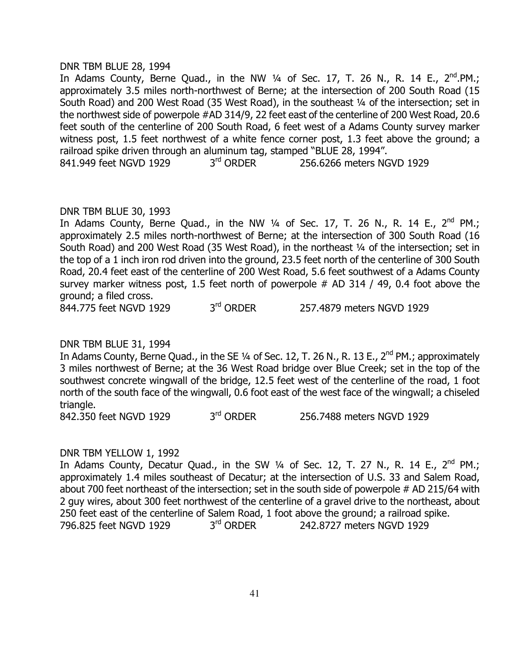#### DNR TBM BLUE 28, 1994

In Adams County, Berne Quad., in the NW  $\frac{1}{4}$  of Sec. 17, T. 26 N., R. 14 E., 2<sup>nd</sup>.PM.; approximately 3.5 miles north-northwest of Berne; at the intersection of 200 South Road (15 South Road) and 200 West Road (35 West Road), in the southeast 1/4 of the intersection; set in the northwest side of powerpole #AD 314/9, 22 feet east of the centerline of 200 West Road, 20.6 feet south of the centerline of 200 South Road, 6 feet west of a Adams County survey marker witness post, 1.5 feet northwest of a white fence corner post, 1.3 feet above the ground; a railroad spike driven through an aluminum tag, stamped "BLUE 28, 1994". 841.949 feet NGVD 1929 3<sup>rd</sup> ORDER 256.6266 meters NGVD 1929

#### DNR TBM BLUE 30, 1993

In Adams County, Berne Quad., in the NW  $1/4$  of Sec. 17, T. 26 N., R. 14 E., 2<sup>nd</sup> PM.; approximately 2.5 miles north-northwest of Berne; at the intersection of 300 South Road (16 South Road) and 200 West Road (35 West Road), in the northeast 1/4 of the intersection; set in the top of a 1 inch iron rod driven into the ground, 23.5 feet north of the centerline of 300 South Road, 20.4 feet east of the centerline of 200 West Road, 5.6 feet southwest of a Adams County survey marker witness post, 1.5 feet north of powerpole # AD 314 / 49, 0.4 foot above the ground; a filed cross.

844.775 feet NGVD 1929 3<sup>rd</sup> ORDER 257.4879 meters NGVD 1929

#### DNR TBM BLUE 31, 1994

In Adams County, Berne Quad., in the SE 1/4 of Sec. 12, T. 26 N., R. 13 E., 2<sup>nd</sup> PM.; approximately 3 miles northwest of Berne; at the 36 West Road bridge over Blue Creek; set in the top of the southwest concrete wingwall of the bridge, 12.5 feet west of the centerline of the road, 1 foot north of the south face of the wingwall, 0.6 foot east of the west face of the wingwall; a chiseled triangle.

842.350 feet NGVD 1929 3<sup>rd</sup> ORDER 256.7488 meters NGVD 1929

#### DNR TBM YELLOW 1, 1992

In Adams County, Decatur Quad., in the SW  $\frac{1}{4}$  of Sec. 12, T. 27 N., R. 14 E., 2<sup>nd</sup> PM.; approximately 1.4 miles southeast of Decatur; at the intersection of U.S. 33 and Salem Road, about 700 feet northeast of the intersection; set in the south side of powerpole # AD 215/64 with 2 guy wires, about 300 feet northwest of the centerline of a gravel drive to the northeast, about 250 feet east of the centerline of Salem Road, 1 foot above the ground; a railroad spike.<br> $796.825$  feet NGVD 1929  $3<sup>rd</sup>$  ORDER 242.8727 meters NGVD 1929 796.825 feet NGVD 1929 3rd ORDER 242.8727 meters NGVD 1929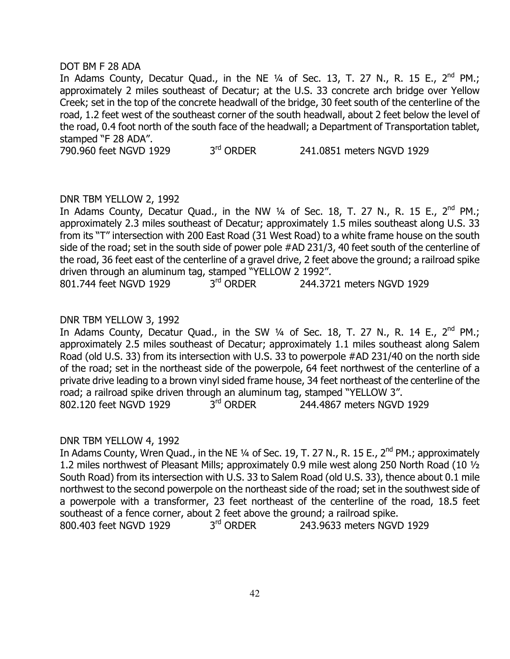# DOT BM F 28 ADA

In Adams County, Decatur Quad., in the NE  $\frac{1}{4}$  of Sec. 13, T. 27 N., R. 15 E., 2<sup>nd</sup> PM.; approximately 2 miles southeast of Decatur; at the U.S. 33 concrete arch bridge over Yellow Creek; set in the top of the concrete headwall of the bridge, 30 feet south of the centerline of the road, 1.2 feet west of the southeast corner of the south headwall, about 2 feet below the level of the road, 0.4 foot north of the south face of the headwall; a Department of Transportation tablet, stamped "F 28 ADA".

790.960 feet NGVD 1929 3<sup>rd</sup> ORDER 241.0851 meters NGVD 1929

# DNR TBM YELLOW 2, 1992

In Adams County, Decatur Quad., in the NW  $\frac{1}{4}$  of Sec. 18, T. 27 N., R. 15 E., 2<sup>nd</sup> PM.; approximately 2.3 miles southeast of Decatur; approximately 1.5 miles southeast along U.S. 33 from its "T" intersection with 200 East Road (31 West Road) to a white frame house on the south side of the road; set in the south side of power pole #AD 231/3, 40 feet south of the centerline of the road, 36 feet east of the centerline of a gravel drive, 2 feet above the ground; a railroad spike driven through an aluminum tag, stamped "YELLOW 2 1992".

# 801.744 feet NGVD 1929 3<sup>rd</sup> ORDER 244.3721 meters NGVD 1929

# DNR TBM YELLOW 3, 1992

In Adams County, Decatur Quad., in the SW  $\frac{1}{4}$  of Sec. 18, T. 27 N., R. 14 E., 2<sup>nd</sup> PM.; approximately 2.5 miles southeast of Decatur; approximately 1.1 miles southeast along Salem Road (old U.S. 33) from its intersection with U.S. 33 to powerpole #AD 231/40 on the north side of the road; set in the northeast side of the powerpole, 64 feet northwest of the centerline of a private drive leading to a brown vinyl sided frame house, 34 feet northeast of the centerline of the road; a railroad spike driven through an aluminum tag, stamped "YELLOW 3". 802.120 feet NGVD 1929 3rd ORDER 244.4867 meters NGVD 1929

#### DNR TBM YELLOW 4, 1992

In Adams County, Wren Quad., in the NE 1/4 of Sec. 19, T. 27 N., R. 15 E., 2<sup>nd</sup> PM.; approximately 1.2 miles northwest of Pleasant Mills; approximately 0.9 mile west along 250 North Road (10 ½ South Road) from its intersection with U.S. 33 to Salem Road (old U.S. 33), thence about 0.1 mile northwest to the second powerpole on the northeast side of the road; set in the southwest side of a powerpole with a transformer, 23 feet northeast of the centerline of the road, 18.5 feet southeast of a fence corner, about 2 feet above the ground; a railroad spike.<br>800.403 feet NGVD 1929  $3<sup>rd</sup>$  ORDER 243.9633 meters NGVI 800.403 feet NGVD 1929 3<sup>rd</sup> ORDER 243.9633 meters NGVD 1929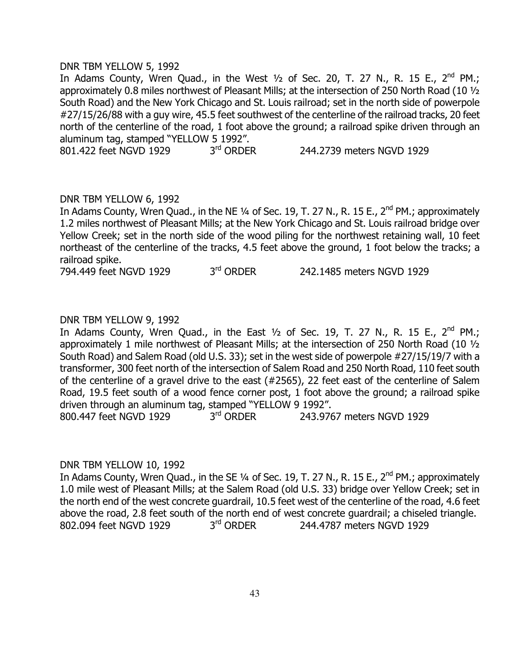#### DNR TBM YELLOW 5, 1992

In Adams County, Wren Quad., in the West  $\frac{1}{2}$  of Sec. 20, T. 27 N., R. 15 E., 2<sup>nd</sup> PM.; approximately 0.8 miles northwest of Pleasant Mills; at the intersection of 250 North Road (10 ½ South Road) and the New York Chicago and St. Louis railroad; set in the north side of powerpole #27/15/26/88 with a guy wire, 45.5 feet southwest of the centerline of the railroad tracks, 20 feet north of the centerline of the road, 1 foot above the ground; a railroad spike driven through an aluminum tag, stamped "YELLOW 5 1992".

801.422 feet NGVD 1929 3<sup>rd</sup> ORDER 244.2739 meters NGVD 1929

# DNR TBM YELLOW 6, 1992

In Adams County, Wren Quad., in the NE ¼ of Sec. 19, T. 27 N., R. 15 E., 2<sup>nd</sup> PM.; approximately 1.2 miles northwest of Pleasant Mills; at the New York Chicago and St. Louis railroad bridge over Yellow Creek; set in the north side of the wood piling for the northwest retaining wall, 10 feet northeast of the centerline of the tracks, 4.5 feet above the ground, 1 foot below the tracks; a railroad spike.

794.449 feet NGVD 1929 3<sup>rd</sup> ORDER 242.1485 meters NGVD 1929

# DNR TBM YELLOW 9, 1992

In Adams County, Wren Quad., in the East  $1/2$  of Sec. 19, T. 27 N., R. 15 E., 2<sup>nd</sup> PM.; approximately 1 mile northwest of Pleasant Mills; at the intersection of 250 North Road (10 ½ South Road) and Salem Road (old U.S. 33); set in the west side of powerpole #27/15/19/7 with a transformer, 300 feet north of the intersection of Salem Road and 250 North Road, 110 feet south of the centerline of a gravel drive to the east (#2565), 22 feet east of the centerline of Salem Road, 19.5 feet south of a wood fence corner post, 1 foot above the ground; a railroad spike driven through an aluminum tag, stamped "YELLOW 9 1992".

800.447 feet NGVD 1929 3<sup>rd</sup> ORDER 243.9767 meters NGVD 1929

#### DNR TBM YELLOW 10, 1992

In Adams County, Wren Quad., in the SE ¼ of Sec. 19, T. 27 N., R. 15 E., 2<sup>nd</sup> PM.; approximately 1.0 mile west of Pleasant Mills; at the Salem Road (old U.S. 33) bridge over Yellow Creek; set in the north end of the west concrete guardrail, 10.5 feet west of the centerline of the road, 4.6 feet above the road, 2.8 feet south of the north end of west concrete guardrail; a chiseled triangle.<br>802.094 feet NGVD 1929  $3<sup>rd</sup>$  ORDER 244.4787 meters NGVD 1929 802.094 feet NGVD 1929 3rd ORDER 244.4787 meters NGVD 1929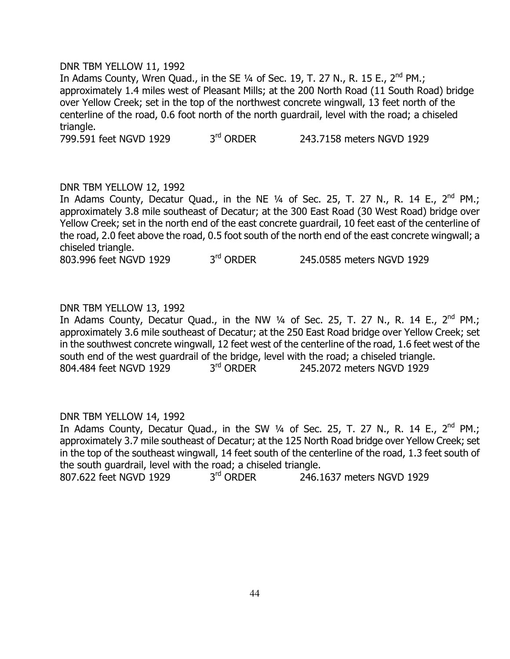#### DNR TBM YELLOW 11, 1992

In Adams County, Wren Quad., in the SE  $\frac{1}{4}$  of Sec. 19, T. 27 N., R. 15 E., 2<sup>nd</sup> PM.; approximately 1.4 miles west of Pleasant Mills; at the 200 North Road (11 South Road) bridge over Yellow Creek; set in the top of the northwest concrete wingwall, 13 feet north of the centerline of the road, 0.6 foot north of the north guardrail, level with the road; a chiseled triangle.

799.591 feet NGVD 1929 3<sup>rd</sup> ORDER 243.7158 meters NGVD 1929

#### DNR TBM YELLOW 12, 1992

In Adams County, Decatur Quad., in the NE  $\frac{1}{4}$  of Sec. 25, T. 27 N., R. 14 E., 2<sup>nd</sup> PM.; approximately 3.8 mile southeast of Decatur; at the 300 East Road (30 West Road) bridge over Yellow Creek; set in the north end of the east concrete guardrail, 10 feet east of the centerline of the road, 2.0 feet above the road, 0.5 foot south of the north end of the east concrete wingwall; a chiseled triangle.

803.996 feet NGVD 1929 3<sup>rd</sup> ORDER 245.0585 meters NGVD 1929

# DNR TBM YELLOW 13, 1992

In Adams County, Decatur Quad., in the NW  $\frac{1}{4}$  of Sec. 25, T. 27 N., R. 14 E., 2<sup>nd</sup> PM.; approximately 3.6 mile southeast of Decatur; at the 250 East Road bridge over Yellow Creek; set in the southwest concrete wingwall, 12 feet west of the centerline of the road, 1.6 feet west of the south end of the west guardrail of the bridge, level with the road; a chiseled triangle. 804.484 feet NGVD 1929 3<sup>rd</sup> ORDER 245.2072 meters NGVD 1929

#### DNR TBM YELLOW 14, 1992

In Adams County, Decatur Quad., in the SW 1/4 of Sec. 25, T. 27 N., R. 14 E., 2<sup>nd</sup> PM.; approximately 3.7 mile southeast of Decatur; at the 125 North Road bridge over Yellow Creek; set in the top of the southeast wingwall, 14 feet south of the centerline of the road, 1.3 feet south of the south guardrail, level with the road; a chiseled triangle. 807.622 feet NGVD 1929 3<sup>rd</sup> ORDER 246.1637 meters NGVD 1929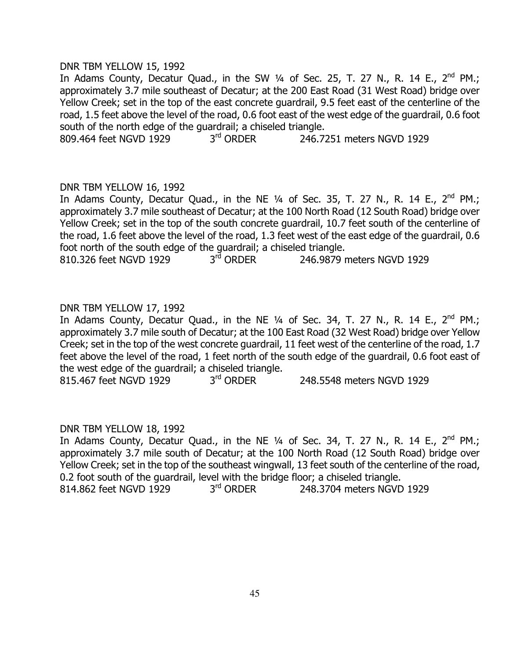#### DNR TBM YELLOW 15, 1992

In Adams County, Decatur Quad., in the SW  $\frac{1}{4}$  of Sec. 25, T. 27 N., R. 14 E., 2<sup>nd</sup> PM.; approximately 3.7 mile southeast of Decatur; at the 200 East Road (31 West Road) bridge over Yellow Creek; set in the top of the east concrete guardrail, 9.5 feet east of the centerline of the road, 1.5 feet above the level of the road, 0.6 foot east of the west edge of the guardrail, 0.6 foot south of the north edge of the guardrail; a chiseled triangle.<br>809.464 feet NGVD 1929  $3<sup>rd</sup>$  ORDER 246.7

809.464 feet NGVD 1929 3<sup>rd</sup> ORDER 246.7251 meters NGVD 1929

#### DNR TBM YELLOW 16, 1992

In Adams County, Decatur Quad., in the NE  $\frac{1}{4}$  of Sec. 35, T. 27 N., R. 14 E., 2<sup>nd</sup> PM.; approximately 3.7 mile southeast of Decatur; at the 100 North Road (12 South Road) bridge over Yellow Creek; set in the top of the south concrete guardrail, 10.7 feet south of the centerline of the road, 1.6 feet above the level of the road, 1.3 feet west of the east edge of the guardrail, 0.6 foot north of the south edge of the guardrail; a chiseled triangle.<br>810.326 feet NGVD 1929  $3<sup>rd</sup>$  ORDER 246.9879 r

810.326 feet NGVD 1929 3<sup>rd</sup> ORDER 246.9879 meters NGVD 1929

# DNR TBM YELLOW 17, 1992

In Adams County, Decatur Quad., in the NE  $\frac{1}{4}$  of Sec. 34, T. 27 N., R. 14 E., 2<sup>nd</sup> PM.; approximately 3.7 mile south of Decatur; at the 100 East Road (32 West Road) bridge over Yellow Creek; set in the top of the west concrete guardrail, 11 feet west of the centerline of the road, 1.7 feet above the level of the road, 1 feet north of the south edge of the guardrail, 0.6 foot east of the west edge of the guardrail; a chiseled triangle.

815.467 feet NGVD 1929 3<sup>rd</sup> ORDER 248.5548 meters NGVD 1929

# DNR TBM YELLOW 18, 1992

In Adams County, Decatur Quad., in the NE  $\frac{1}{4}$  of Sec. 34, T. 27 N., R. 14 E., 2<sup>nd</sup> PM.; approximately 3.7 mile south of Decatur; at the 100 North Road (12 South Road) bridge over Yellow Creek; set in the top of the southeast wingwall, 13 feet south of the centerline of the road, 0.2 foot south of the guardrail, level with the bridge floor; a chiseled triangle. 814.862 feet NGVD 1929 3<sup>rd</sup> ORDER 248.3704 meters NGVD 1929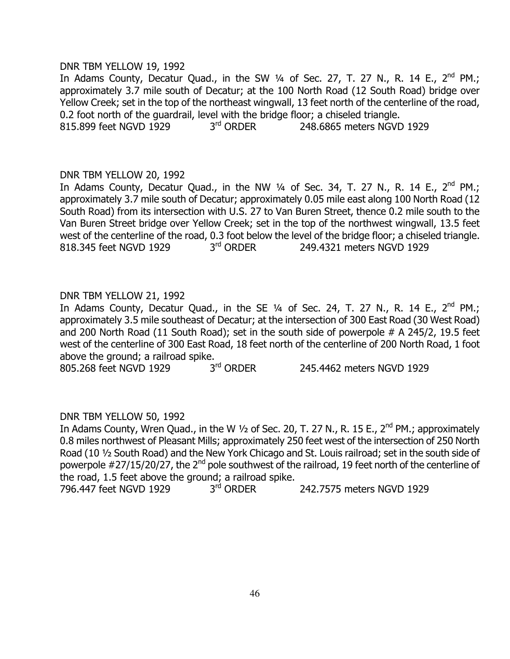## DNR TBM YELLOW 19, 1992

In Adams County, Decatur Quad., in the SW  $\frac{1}{4}$  of Sec. 27, T. 27 N., R. 14 E., 2<sup>nd</sup> PM.; approximately 3.7 mile south of Decatur; at the 100 North Road (12 South Road) bridge over Yellow Creek; set in the top of the northeast wingwall, 13 feet north of the centerline of the road, 0.2 foot north of the guardrail, level with the bridge floor; a chiseled triangle. 815.899 feet NGVD 1929 3<sup>rd</sup> ORDER 248.6865 meters NGVD 1929

# DNR TBM YELLOW 20, 1992

In Adams County, Decatur Quad., in the NW  $\frac{1}{4}$  of Sec. 34, T. 27 N., R. 14 E., 2<sup>nd</sup> PM.; approximately 3.7 mile south of Decatur; approximately 0.05 mile east along 100 North Road (12 South Road) from its intersection with U.S. 27 to Van Buren Street, thence 0.2 mile south to the Van Buren Street bridge over Yellow Creek; set in the top of the northwest wingwall, 13.5 feet west of the centerline of the road, 0.3 foot below the level of the bridge floor; a chiseled triangle. 818.345 feet NGVD 1929 3<sup>rd</sup> ORDER 249.4321 meters NGVD 1929

# DNR TBM YELLOW 21, 1992

In Adams County, Decatur Quad., in the SE 1/4 of Sec. 24, T. 27 N., R. 14 E., 2<sup>nd</sup> PM.; approximately 3.5 mile southeast of Decatur; at the intersection of 300 East Road (30 West Road) and 200 North Road (11 South Road); set in the south side of powerpole # A 245/2, 19.5 feet west of the centerline of 300 East Road, 18 feet north of the centerline of 200 North Road, 1 foot above the ground; a railroad spike.

805.268 feet NGVD 1929 3<sup>rd</sup> ORDER 245.4462 meters NGVD 1929

# DNR TBM YELLOW 50, 1992

In Adams County, Wren Quad., in the W 1/2 of Sec. 20, T. 27 N., R. 15 E., 2<sup>nd</sup> PM.; approximately 0.8 miles northwest of Pleasant Mills; approximately 250 feet west of the intersection of 250 North Road (10 ½ South Road) and the New York Chicago and St. Louis railroad; set in the south side of powerpole #27/15/20/27, the 2nd pole southwest of the railroad, 19 feet north of the centerline of the road, 1.5 feet above the ground; a railroad spike.

796.447 feet NGVD 1929 3<sup>rd</sup> ORDER 242.7575 meters NGVD 1929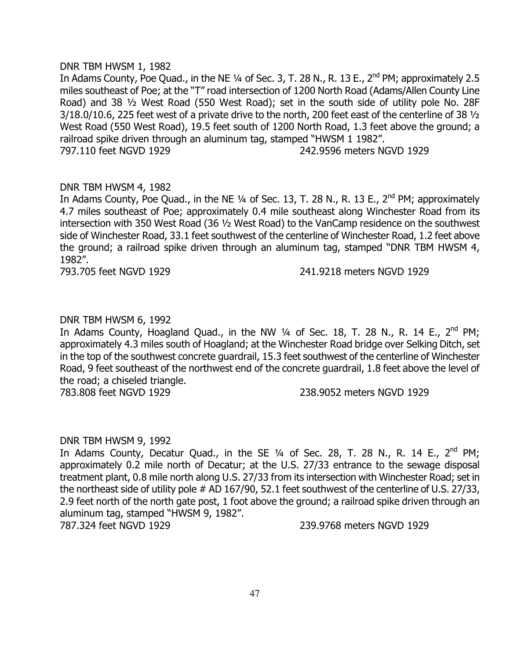#### DNR TBM HWSM 1, 1982

In Adams County, Poe Quad., in the NE  $\frac{1}{4}$  of Sec. 3, T. 28 N., R. 13 E., 2<sup>nd</sup> PM; approximately 2.5 miles southeast of Poe; at the "T" road intersection of 1200 North Road (Adams/Allen County Line Road) and 38 ½ West Road (550 West Road); set in the south side of utility pole No. 28F 3/18.0/10.6, 225 feet west of a private drive to the north, 200 feet east of the centerline of 38 ½ West Road (550 West Road), 19.5 feet south of 1200 North Road, 1.3 feet above the ground; a railroad spike driven through an aluminum tag, stamped "HWSM 1 1982". 797.110 feet NGVD 1929 242.9596 meters NGVD 1929

#### DNR TBM HWSM 4, 1982

In Adams County, Poe Quad., in the NE  $\frac{1}{4}$  of Sec. 13, T. 28 N., R. 13 E., 2<sup>nd</sup> PM; approximately 4.7 miles southeast of Poe; approximately 0.4 mile southeast along Winchester Road from its intersection with 350 West Road (36 ½ West Road) to the VanCamp residence on the southwest side of Winchester Road, 33.1 feet southwest of the centerline of Winchester Road, 1.2 feet above the ground; a railroad spike driven through an aluminum tag, stamped "DNR TBM HWSM 4, 1982".

793.705 feet NGVD 1929 241.9218 meters NGVD 1929

# DNR TBM HWSM 6, 1992

In Adams County, Hoagland Quad., in the NW  $\frac{1}{4}$  of Sec. 18, T. 28 N., R. 14 E., 2<sup>nd</sup> PM; approximately 4.3 miles south of Hoagland; at the Winchester Road bridge over Selking Ditch, set in the top of the southwest concrete guardrail, 15.3 feet southwest of the centerline of Winchester Road, 9 feet southeast of the northwest end of the concrete guardrail, 1.8 feet above the level of the road; a chiseled triangle.

783.808 feet NGVD 1929 238.9052 meters NGVD 1929

#### DNR TBM HWSM 9, 1992

In Adams County, Decatur Quad., in the SE  $\frac{1}{4}$  of Sec. 28, T. 28 N., R. 14 E., 2<sup>nd</sup> PM; approximately 0.2 mile north of Decatur; at the U.S. 27/33 entrance to the sewage disposal treatment plant, 0.8 mile north along U.S. 27/33 from its intersection with Winchester Road; set in the northeast side of utility pole # AD 167/90, 52.1 feet southwest of the centerline of U.S. 27/33, 2.9 feet north of the north gate post, 1 foot above the ground; a railroad spike driven through an aluminum tag, stamped "HWSM 9, 1982".

787.324 feet NGVD 1929 239.9768 meters NGVD 1929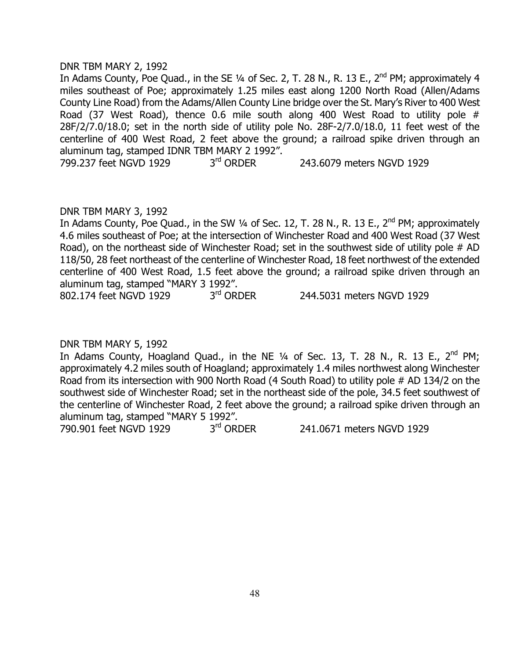#### DNR TBM MARY 2, 1992

In Adams County, Poe Quad., in the SE  $\frac{1}{4}$  of Sec. 2, T. 28 N., R. 13 E., 2<sup>nd</sup> PM; approximately 4 miles southeast of Poe; approximately 1.25 miles east along 1200 North Road (Allen/Adams County Line Road) from the Adams/Allen County Line bridge over the St. Mary's River to 400 West Road (37 West Road), thence 0.6 mile south along 400 West Road to utility pole # 28F/2/7.0/18.0; set in the north side of utility pole No. 28F-2/7.0/18.0, 11 feet west of the centerline of 400 West Road, 2 feet above the ground; a railroad spike driven through an aluminum tag, stamped IDNR TBM MARY 2 1992".

799.237 feet NGVD 1929 3<sup>rd</sup> ORDER 243.6079 meters NGVD 1929

# DNR TBM MARY 3, 1992

In Adams County, Poe Quad., in the SW  $\frac{1}{4}$  of Sec. 12, T. 28 N., R. 13 E., 2<sup>nd</sup> PM; approximately 4.6 miles southeast of Poe; at the intersection of Winchester Road and 400 West Road (37 West Road), on the northeast side of Winchester Road; set in the southwest side of utility pole # AD 118/50, 28 feet northeast of the centerline of Winchester Road, 18 feet northwest of the extended centerline of 400 West Road, 1.5 feet above the ground; a railroad spike driven through an aluminum tag, stamped "MARY 3 1992".

802.174 feet NGVD 1929 3<sup>rd</sup> ORDER 244.5031 meters NGVD 1929

# DNR TBM MARY 5, 1992

In Adams County, Hoagland Quad., in the NE  $1/4$  of Sec. 13, T. 28 N., R. 13 E., 2<sup>nd</sup> PM; approximately 4.2 miles south of Hoagland; approximately 1.4 miles northwest along Winchester Road from its intersection with 900 North Road (4 South Road) to utility pole # AD 134/2 on the southwest side of Winchester Road; set in the northeast side of the pole, 34.5 feet southwest of the centerline of Winchester Road, 2 feet above the ground; a railroad spike driven through an aluminum tag, stamped "MARY 5 1992".<br>790.901 feet NGVD 1929 3<sup>rd</sup> ORDER

790.901 feet NGVD 1929 3rd ORDER 241.0671 meters NGVD 1929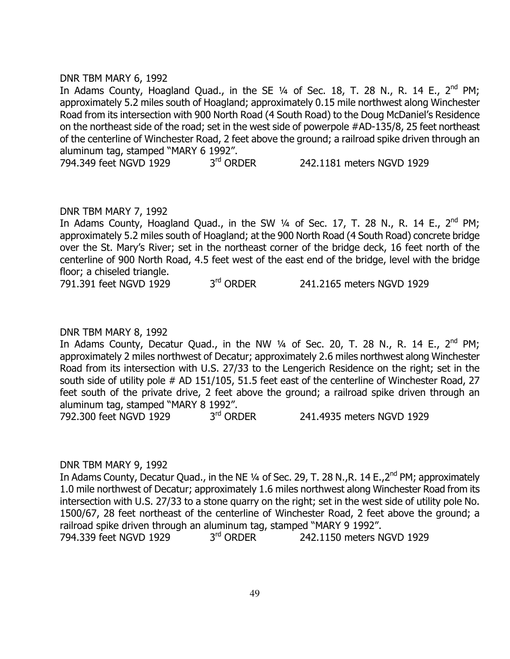#### DNR TBM MARY 6, 1992

In Adams County, Hoagland Quad., in the SE  $\frac{1}{4}$  of Sec. 18, T. 28 N., R. 14 E., 2<sup>nd</sup> PM; approximately 5.2 miles south of Hoagland; approximately 0.15 mile northwest along Winchester Road from its intersection with 900 North Road (4 South Road) to the Doug McDaniel's Residence on the northeast side of the road; set in the west side of powerpole #AD-135/8, 25 feet northeast of the centerline of Winchester Road, 2 feet above the ground; a railroad spike driven through an aluminum tag, stamped "MARY 6 1992".

794.349 feet NGVD 1929 3<sup>rd</sup> ORDER 242.1181 meters NGVD 1929

#### DNR TBM MARY 7, 1992

In Adams County, Hoagland Quad., in the SW 1/4 of Sec. 17, T. 28 N., R. 14 E., 2<sup>nd</sup> PM; approximately 5.2 miles south of Hoagland; at the 900 North Road (4 South Road) concrete bridge over the St. Mary's River; set in the northeast corner of the bridge deck, 16 feet north of the centerline of 900 North Road, 4.5 feet west of the east end of the bridge, level with the bridge floor; a chiseled triangle.

791.391 feet NGVD 1929 3<sup>rd</sup> ORDER 241.2165 meters NGVD 1929

#### DNR TBM MARY 8, 1992

In Adams County, Decatur Quad., in the NW  $\frac{1}{4}$  of Sec. 20, T. 28 N., R. 14 E., 2<sup>nd</sup> PM; approximately 2 miles northwest of Decatur; approximately 2.6 miles northwest along Winchester Road from its intersection with U.S. 27/33 to the Lengerich Residence on the right; set in the south side of utility pole # AD 151/105, 51.5 feet east of the centerline of Winchester Road, 27 feet south of the private drive, 2 feet above the ground; a railroad spike driven through an aluminum tag, stamped "MARY 8 1992".

792.300 feet NGVD 1929 3<sup>rd</sup> ORDER 241.4935 meters NGVD 1929

# DNR TBM MARY 9, 1992

In Adams County, Decatur Quad., in the NE 1/4 of Sec. 29, T. 28 N., R. 14 E., 2<sup>nd</sup> PM; approximately 1.0 mile northwest of Decatur; approximately 1.6 miles northwest along Winchester Road from its intersection with U.S. 27/33 to a stone quarry on the right; set in the west side of utility pole No. 1500/67, 28 feet northeast of the centerline of Winchester Road, 2 feet above the ground; a railroad spike driven through an aluminum tag, stamped "MARY 9 1992". 794.339 feet NGVD 1929 3<sup>rd</sup> ORDER 242.1150 meters NGVD 1929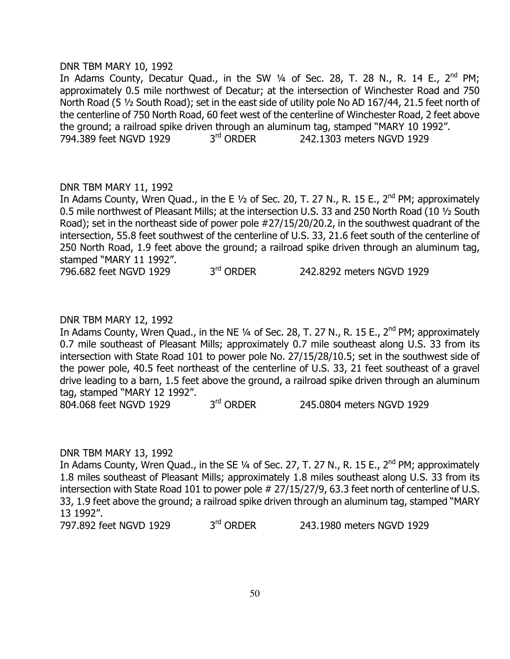#### DNR TBM MARY 10, 1992

In Adams County, Decatur Quad., in the SW  $\frac{1}{4}$  of Sec. 28, T. 28 N., R. 14 E., 2<sup>nd</sup> PM; approximately 0.5 mile northwest of Decatur; at the intersection of Winchester Road and 750 North Road (5 ½ South Road); set in the east side of utility pole No AD 167/44, 21.5 feet north of the centerline of 750 North Road, 60 feet west of the centerline of Winchester Road, 2 feet above the ground; a railroad spike driven through an aluminum tag, stamped "MARY 10 1992". 794.389 feet NGVD 1929 3rd ORDER 242.1303 meters NGVD 1929

#### DNR TBM MARY 11, 1992

In Adams County, Wren Quad., in the E  $1/2$  of Sec. 20, T. 27 N., R. 15 E., 2<sup>nd</sup> PM; approximately 0.5 mile northwest of Pleasant Mills; at the intersection U.S. 33 and 250 North Road (10 ½ South Road); set in the northeast side of power pole #27/15/20/20.2, in the southwest quadrant of the intersection, 55.8 feet southwest of the centerline of U.S. 33, 21.6 feet south of the centerline of 250 North Road, 1.9 feet above the ground; a railroad spike driven through an aluminum tag, stamped "MARY 11 1992".

796.682 feet NGVD 1929 3<sup>rd</sup> ORDER 242.8292 meters NGVD 1929

# DNR TBM MARY 12, 1992

In Adams County, Wren Quad., in the NE  $\frac{1}{4}$  of Sec. 28, T. 27 N., R. 15 E., 2<sup>nd</sup> PM; approximately 0.7 mile southeast of Pleasant Mills; approximately 0.7 mile southeast along U.S. 33 from its intersection with State Road 101 to power pole No. 27/15/28/10.5; set in the southwest side of the power pole, 40.5 feet northeast of the centerline of U.S. 33, 21 feet southeast of a gravel drive leading to a barn, 1.5 feet above the ground, a railroad spike driven through an aluminum tag, stamped "MARY 12 1992".

804.068 feet NGVD 1929 3<sup>rd</sup> ORDER 245.0804 meters NGVD 1929

#### DNR TBM MARY 13, 1992

In Adams County, Wren Quad., in the SE  $\frac{1}{4}$  of Sec. 27, T. 27 N., R. 15 E., 2<sup>nd</sup> PM; approximately 1.8 miles southeast of Pleasant Mills; approximately 1.8 miles southeast along U.S. 33 from its intersection with State Road 101 to power pole # 27/15/27/9, 63.3 feet north of centerline of U.S. 33, 1.9 feet above the ground; a railroad spike driven through an aluminum tag, stamped "MARY 13 1992".

797.892 feet NGVD 1929 3<sup>rd</sup> ORDER 243.1980 meters NGVD 1929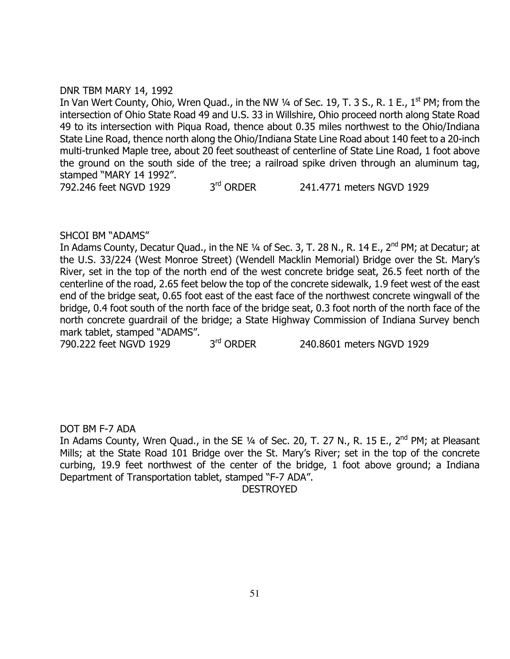# DNR TBM MARY 14, 1992

In Van Wert County, Ohio, Wren Quad., in the NW  $\frac{1}{4}$  of Sec. 19, T. 3 S., R. 1 E., 1<sup>st</sup> PM; from the intersection of Ohio State Road 49 and U.S. 33 in Willshire, Ohio proceed north along State Road 49 to its intersection with Piqua Road, thence about 0.35 miles northwest to the Ohio/Indiana State Line Road, thence north along the Ohio/Indiana State Line Road about 140 feet to a 20-inch multi-trunked Maple tree, about 20 feet southeast of centerline of State Line Road, 1 foot above the ground on the south side of the tree; a railroad spike driven through an aluminum tag, stamped "MARY 14 1992".

792.246 feet NGVD 1929 3<sup>rd</sup> ORDER 241.4771 meters NGVD 1929

# SHCOI BM "ADAMS"

In Adams County, Decatur Quad., in the NE 1/4 of Sec. 3, T. 28 N., R. 14 E., 2<sup>nd</sup> PM; at Decatur; at the U.S. 33/224 (West Monroe Street) (Wendell Macklin Memorial) Bridge over the St. Mary's River, set in the top of the north end of the west concrete bridge seat, 26.5 feet north of the centerline of the road, 2.65 feet below the top of the concrete sidewalk, 1.9 feet west of the east end of the bridge seat, 0.65 foot east of the east face of the northwest concrete wingwall of the bridge, 0.4 foot south of the north face of the bridge seat, 0.3 foot north of the north face of the north concrete guardrail of the bridge; a State Highway Commission of Indiana Survey bench mark tablet, stamped "ADAMS".

790.222 feet NGVD 1929 3<sup>rd</sup> ORDER 240.8601 meters NGVD 1929

# DOT BM F-7 ADA

In Adams County, Wren Quad., in the SE 1/4 of Sec. 20, T. 27 N., R. 15 E., 2<sup>nd</sup> PM; at Pleasant Mills; at the State Road 101 Bridge over the St. Mary's River; set in the top of the concrete curbing, 19.9 feet northwest of the center of the bridge, 1 foot above ground; a Indiana Department of Transportation tablet, stamped "F-7 ADA".

DESTROYED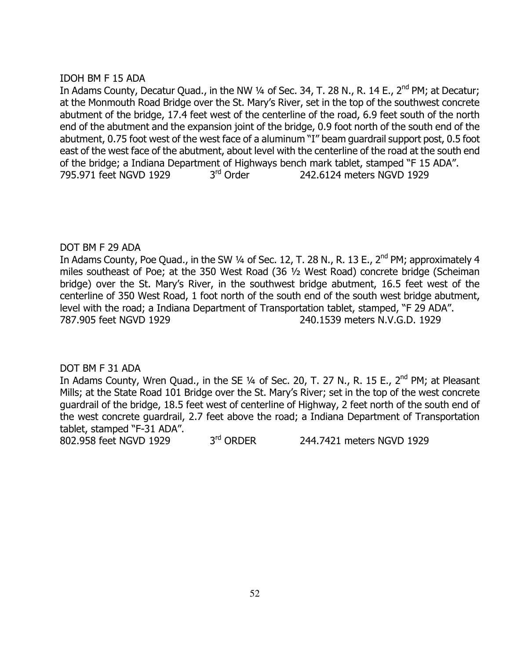# IDOH BM F 15 ADA

In Adams County, Decatur Quad., in the NW 1/4 of Sec. 34, T. 28 N., R. 14 E., 2<sup>nd</sup> PM; at Decatur; at the Monmouth Road Bridge over the St. Mary's River, set in the top of the southwest concrete abutment of the bridge, 17.4 feet west of the centerline of the road, 6.9 feet south of the north end of the abutment and the expansion joint of the bridge, 0.9 foot north of the south end of the abutment, 0.75 foot west of the west face of a aluminum "I" beam guardrail support post, 0.5 foot east of the west face of the abutment, about level with the centerline of the road at the south end of the bridge; a Indiana Department of Highways bench mark tablet, stamped "F 15 ADA". 795.971 feet NGVD 1929 3<sup>rd</sup> Order 242.6124 meters NGVD 1929

# DOT BM F 29 ADA

In Adams County, Poe Quad., in the SW 1/4 of Sec. 12, T. 28 N., R. 13 E., 2<sup>nd</sup> PM; approximately 4 miles southeast of Poe; at the 350 West Road (36 ½ West Road) concrete bridge (Scheiman bridge) over the St. Mary's River, in the southwest bridge abutment, 16.5 feet west of the centerline of 350 West Road, 1 foot north of the south end of the south west bridge abutment, level with the road; a Indiana Department of Transportation tablet, stamped, "F 29 ADA". 787.905 feet NGVD 1929 240.1539 meters N.V.G.D. 1929

# DOT BM F 31 ADA

In Adams County, Wren Quad., in the SE 1/4 of Sec. 20, T. 27 N., R. 15 E., 2<sup>nd</sup> PM; at Pleasant Mills; at the State Road 101 Bridge over the St. Mary's River; set in the top of the west concrete guardrail of the bridge, 18.5 feet west of centerline of Highway, 2 feet north of the south end of the west concrete guardrail, 2.7 feet above the road; a Indiana Department of Transportation tablet, stamped "F-31 ADA".

802.958 feet NGVD 1929 3<sup>rd</sup> ORDER 244.7421 meters NGVD 1929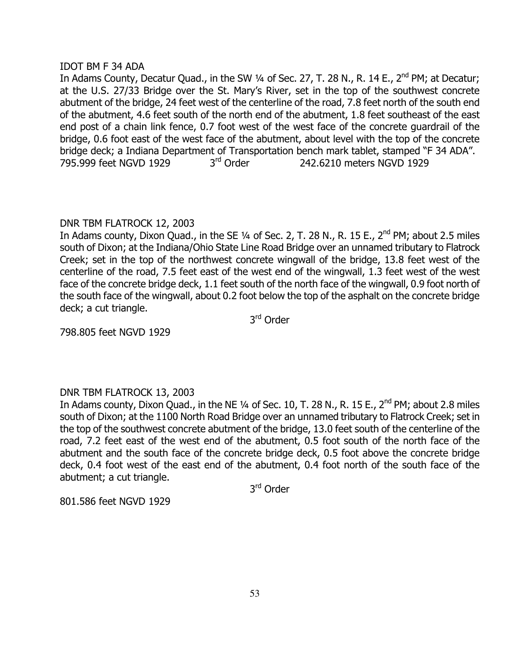# IDOT BM F 34 ADA

In Adams County, Decatur Quad., in the SW 1/4 of Sec. 27, T. 28 N., R. 14 E., 2<sup>nd</sup> PM; at Decatur; at the U.S. 27/33 Bridge over the St. Mary's River, set in the top of the southwest concrete abutment of the bridge, 24 feet west of the centerline of the road, 7.8 feet north of the south end of the abutment, 4.6 feet south of the north end of the abutment, 1.8 feet southeast of the east end post of a chain link fence, 0.7 foot west of the west face of the concrete guardrail of the bridge, 0.6 foot east of the west face of the abutment, about level with the top of the concrete bridge deck; a Indiana Department of Transportation bench mark tablet, stamped "F 34 ADA". 795.999 feet NGVD 1929 3<sup>rd</sup> Order 242.6210 meters NGVD 1929

# DNR TBM FLATROCK 12, 2003

In Adams county, Dixon Quad., in the SE 1/4 of Sec. 2, T. 28 N., R. 15 E., 2<sup>nd</sup> PM; about 2.5 miles south of Dixon; at the Indiana/Ohio State Line Road Bridge over an unnamed tributary to Flatrock Creek; set in the top of the northwest concrete wingwall of the bridge, 13.8 feet west of the centerline of the road, 7.5 feet east of the west end of the wingwall, 1.3 feet west of the west face of the concrete bridge deck, 1.1 feet south of the north face of the wingwall, 0.9 foot north of the south face of the wingwall, about 0.2 foot below the top of the asphalt on the concrete bridge deck; a cut triangle.

3rd Order

798.805 feet NGVD 1929

# DNR TBM FLATROCK 13, 2003

In Adams county, Dixon Quad., in the NE  $\frac{1}{4}$  of Sec. 10, T. 28 N., R. 15 E., 2<sup>nd</sup> PM; about 2.8 miles south of Dixon; at the 1100 North Road Bridge over an unnamed tributary to Flatrock Creek; set in the top of the southwest concrete abutment of the bridge, 13.0 feet south of the centerline of the road, 7.2 feet east of the west end of the abutment, 0.5 foot south of the north face of the abutment and the south face of the concrete bridge deck, 0.5 foot above the concrete bridge deck, 0.4 foot west of the east end of the abutment, 0.4 foot north of the south face of the abutment; a cut triangle.

3rd Order

801.586 feet NGVD 1929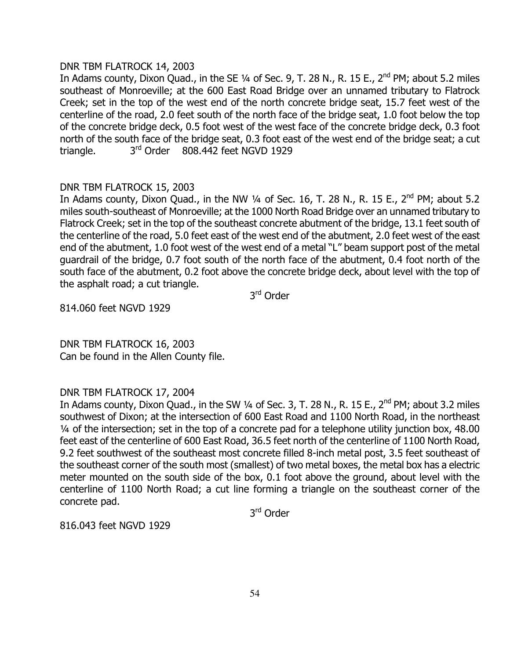## DNR TBM FLATROCK 14, 2003

In Adams county, Dixon Quad., in the SE  $\frac{1}{4}$  of Sec. 9, T. 28 N., R. 15 E., 2<sup>nd</sup> PM; about 5.2 miles southeast of Monroeville; at the 600 East Road Bridge over an unnamed tributary to Flatrock Creek; set in the top of the west end of the north concrete bridge seat, 15.7 feet west of the centerline of the road, 2.0 feet south of the north face of the bridge seat, 1.0 foot below the top of the concrete bridge deck, 0.5 foot west of the west face of the concrete bridge deck, 0.3 foot north of the south face of the bridge seat, 0.3 foot east of the west end of the bridge seat; a cut triangle. 3<sup>rd</sup> Order 808.442 feet NGVD 1929

# DNR TBM FLATROCK 15, 2003

In Adams county, Dixon Quad., in the NW  $\frac{1}{4}$  of Sec. 16, T. 28 N., R. 15 E., 2<sup>nd</sup> PM; about 5.2 miles south-southeast of Monroeville; at the 1000 North Road Bridge over an unnamed tributary to Flatrock Creek; set in the top of the southeast concrete abutment of the bridge, 13.1 feet south of the centerline of the road, 5.0 feet east of the west end of the abutment, 2.0 feet west of the east end of the abutment, 1.0 foot west of the west end of a metal "L" beam support post of the metal guardrail of the bridge, 0.7 foot south of the north face of the abutment, 0.4 foot north of the south face of the abutment, 0.2 foot above the concrete bridge deck, about level with the top of the asphalt road; a cut triangle.

3rd Order

814.060 feet NGVD 1929

DNR TBM FLATROCK 16, 2003 Can be found in the Allen County file.

# DNR TBM FLATROCK 17, 2004

In Adams county, Dixon Quad., in the SW  $\frac{1}{4}$  of Sec. 3, T. 28 N., R. 15 E., 2<sup>nd</sup> PM; about 3.2 miles southwest of Dixon; at the intersection of 600 East Road and 1100 North Road, in the northeast ¼ of the intersection; set in the top of a concrete pad for a telephone utility junction box, 48.00 feet east of the centerline of 600 East Road, 36.5 feet north of the centerline of 1100 North Road, 9.2 feet southwest of the southeast most concrete filled 8-inch metal post, 3.5 feet southeast of the southeast corner of the south most (smallest) of two metal boxes, the metal box has a electric meter mounted on the south side of the box, 0.1 foot above the ground, about level with the centerline of 1100 North Road; a cut line forming a triangle on the southeast corner of the concrete pad.

3rd Order

816.043 feet NGVD 1929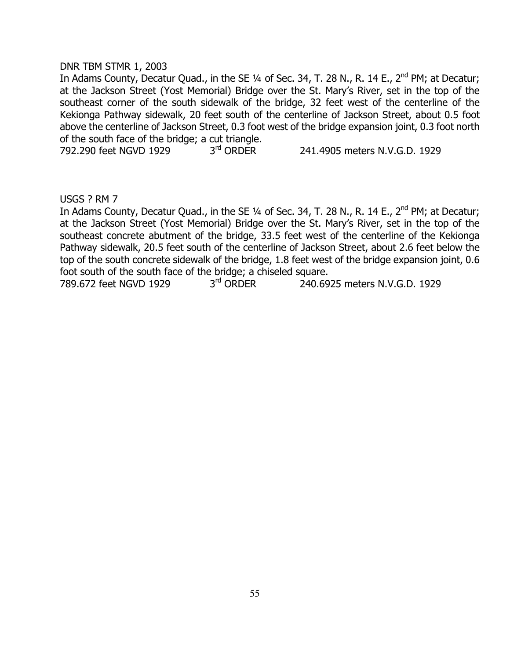#### DNR TBM STMR 1, 2003

In Adams County, Decatur Quad., in the SE 1/4 of Sec. 34, T. 28 N., R. 14 E., 2<sup>nd</sup> PM; at Decatur; at the Jackson Street (Yost Memorial) Bridge over the St. Mary's River, set in the top of the southeast corner of the south sidewalk of the bridge, 32 feet west of the centerline of the Kekionga Pathway sidewalk, 20 feet south of the centerline of Jackson Street, about 0.5 foot above the centerline of Jackson Street, 0.3 foot west of the bridge expansion joint, 0.3 foot north of the south face of the bridge; a cut triangle.

792.290 feet NGVD 1929 3<sup>rd</sup> ORDER 241.4905 meters N.V.G.D. 1929

#### USGS ? RM 7

In Adams County, Decatur Quad., in the SE 1/4 of Sec. 34, T. 28 N., R. 14 E., 2<sup>nd</sup> PM; at Decatur; at the Jackson Street (Yost Memorial) Bridge over the St. Mary's River, set in the top of the southeast concrete abutment of the bridge, 33.5 feet west of the centerline of the Kekionga Pathway sidewalk, 20.5 feet south of the centerline of Jackson Street, about 2.6 feet below the top of the south concrete sidewalk of the bridge, 1.8 feet west of the bridge expansion joint, 0.6 foot south of the south face of the bridge; a chiseled square.

789.672 feet NGVD 1929 3rd ORDER 240.6925 meters N.V.G.D. 1929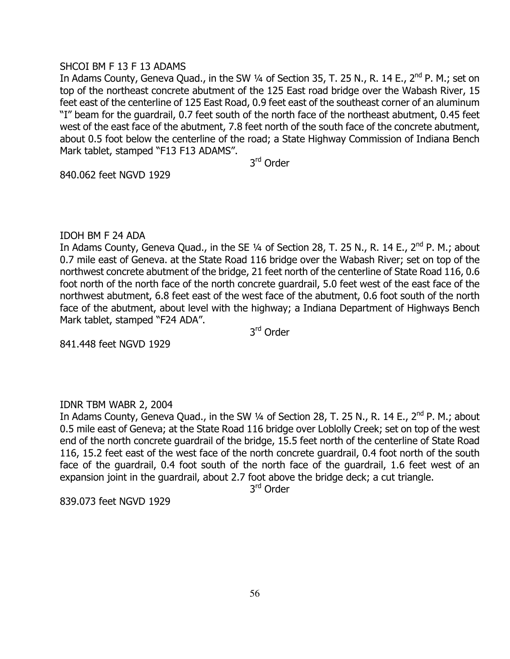## SHCOI BM F 13 F 13 ADAMS

In Adams County, Geneva Quad., in the SW 1/4 of Section 35, T. 25 N., R. 14 E., 2<sup>nd</sup> P. M.; set on top of the northeast concrete abutment of the 125 East road bridge over the Wabash River, 15 feet east of the centerline of 125 East Road, 0.9 feet east of the southeast corner of an aluminum "I" beam for the guardrail, 0.7 feet south of the north face of the northeast abutment, 0.45 feet west of the east face of the abutment, 7.8 feet north of the south face of the concrete abutment, about 0.5 foot below the centerline of the road; a State Highway Commission of Indiana Bench Mark tablet, stamped "F13 F13 ADAMS".

3rd Order

840.062 feet NGVD 1929

# IDOH BM F 24 ADA

In Adams County, Geneva Quad., in the SE 1/4 of Section 28, T. 25 N., R. 14 E., 2<sup>nd</sup> P. M.; about 0.7 mile east of Geneva. at the State Road 116 bridge over the Wabash River; set on top of the northwest concrete abutment of the bridge, 21 feet north of the centerline of State Road 116, 0.6 foot north of the north face of the north concrete guardrail, 5.0 feet west of the east face of the northwest abutment, 6.8 feet east of the west face of the abutment, 0.6 foot south of the north face of the abutment, about level with the highway; a Indiana Department of Highways Bench Mark tablet, stamped "F24 ADA".

3rd Order

841.448 feet NGVD 1929

# IDNR TBM WABR 2, 2004

In Adams County, Geneva Quad., in the SW 1/4 of Section 28, T. 25 N., R. 14 E., 2<sup>nd</sup> P. M.; about 0.5 mile east of Geneva; at the State Road 116 bridge over Loblolly Creek; set on top of the west end of the north concrete guardrail of the bridge, 15.5 feet north of the centerline of State Road 116, 15.2 feet east of the west face of the north concrete guardrail, 0.4 foot north of the south face of the guardrail, 0.4 foot south of the north face of the guardrail, 1.6 feet west of an expansion joint in the guardrail, about 2.7 foot above the bridge deck; a cut triangle.

3rd Order

839.073 feet NGVD 1929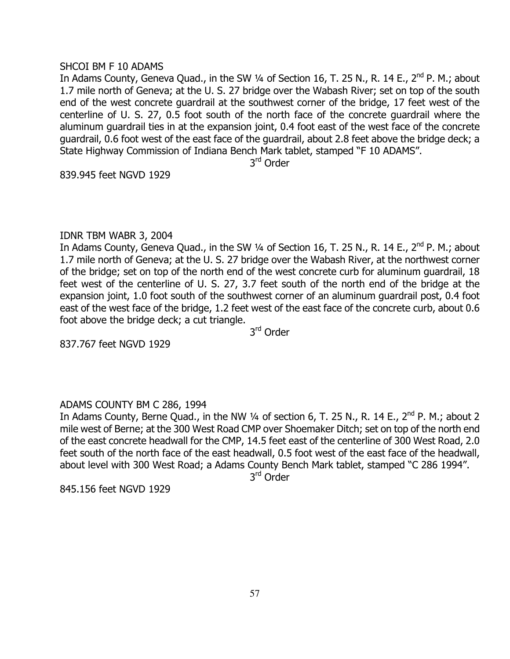#### SHCOI BM F 10 ADAMS

In Adams County, Geneva Quad., in the SW 1/4 of Section 16, T. 25 N., R. 14 E., 2<sup>nd</sup> P. M.; about 1.7 mile north of Geneva; at the U. S. 27 bridge over the Wabash River; set on top of the south end of the west concrete guardrail at the southwest corner of the bridge, 17 feet west of the centerline of U. S. 27, 0.5 foot south of the north face of the concrete guardrail where the aluminum guardrail ties in at the expansion joint, 0.4 foot east of the west face of the concrete guardrail, 0.6 foot west of the east face of the guardrail, about 2.8 feet above the bridge deck; a State Highway Commission of Indiana Bench Mark tablet, stamped "F 10 ADAMS".

3rd Order

839.945 feet NGVD 1929

# IDNR TBM WABR 3, 2004

In Adams County, Geneva Quad., in the SW 1/4 of Section 16, T. 25 N., R. 14 E., 2<sup>nd</sup> P. M.: about 1.7 mile north of Geneva; at the U. S. 27 bridge over the Wabash River, at the northwest corner of the bridge; set on top of the north end of the west concrete curb for aluminum guardrail, 18 feet west of the centerline of U. S. 27, 3.7 feet south of the north end of the bridge at the expansion joint, 1.0 foot south of the southwest corner of an aluminum guardrail post, 0.4 foot east of the west face of the bridge, 1.2 feet west of the east face of the concrete curb, about 0.6 foot above the bridge deck; a cut triangle.

3rd Order

837.767 feet NGVD 1929

# ADAMS COUNTY BM C 286, 1994

In Adams County, Berne Quad., in the NW  $\frac{1}{4}$  of section 6, T. 25 N., R. 14 E.,  $2^{nd}$  P. M.; about 2 mile west of Berne; at the 300 West Road CMP over Shoemaker Ditch; set on top of the north end of the east concrete headwall for the CMP, 14.5 feet east of the centerline of 300 West Road, 2.0 feet south of the north face of the east headwall, 0.5 foot west of the east face of the headwall, about level with 300 West Road; a Adams County Bench Mark tablet, stamped "C 286 1994".

3rd Order

845.156 feet NGVD 1929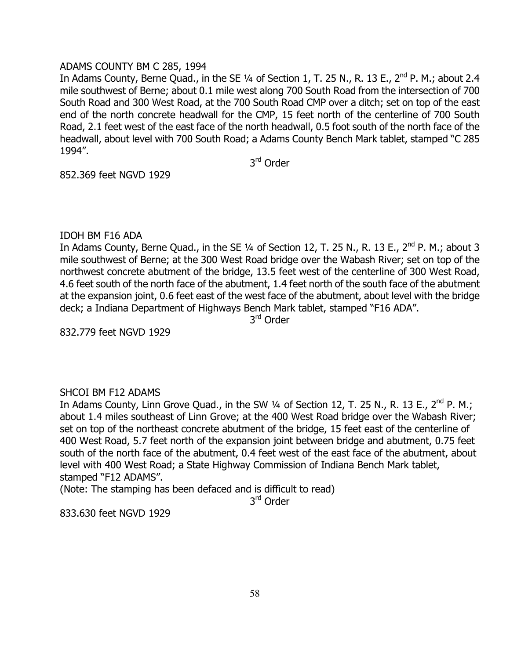# ADAMS COUNTY BM C 285, 1994

In Adams County, Berne Quad., in the SE 1/4 of Section 1, T. 25 N., R. 13 E., 2<sup>nd</sup> P. M.; about 2.4 mile southwest of Berne; about 0.1 mile west along 700 South Road from the intersection of 700 South Road and 300 West Road, at the 700 South Road CMP over a ditch; set on top of the east end of the north concrete headwall for the CMP, 15 feet north of the centerline of 700 South Road, 2.1 feet west of the east face of the north headwall, 0.5 foot south of the north face of the headwall, about level with 700 South Road; a Adams County Bench Mark tablet, stamped "C 285 1994".

3rd Order

852.369 feet NGVD 1929

# IDOH BM F16 ADA

In Adams County, Berne Quad., in the SE  $1/4$  of Section 12, T. 25 N., R. 13 E.,  $2^{nd}$  P. M.; about 3 mile southwest of Berne; at the 300 West Road bridge over the Wabash River; set on top of the northwest concrete abutment of the bridge, 13.5 feet west of the centerline of 300 West Road, 4.6 feet south of the north face of the abutment, 1.4 feet north of the south face of the abutment at the expansion joint, 0.6 feet east of the west face of the abutment, about level with the bridge deck; a Indiana Department of Highways Bench Mark tablet, stamped "F16 ADA".

3rd Order

832.779 feet NGVD 1929

# SHCOI BM F12 ADAMS

In Adams County, Linn Grove Quad., in the SW 1/4 of Section 12, T. 25 N., R. 13 E., 2<sup>nd</sup> P. M.; about 1.4 miles southeast of Linn Grove; at the 400 West Road bridge over the Wabash River; set on top of the northeast concrete abutment of the bridge, 15 feet east of the centerline of 400 West Road, 5.7 feet north of the expansion joint between bridge and abutment, 0.75 feet south of the north face of the abutment, 0.4 feet west of the east face of the abutment, about level with 400 West Road; a State Highway Commission of Indiana Bench Mark tablet, stamped "F12 ADAMS".

(Note: The stamping has been defaced and is difficult to read)

3rd Order

833.630 feet NGVD 1929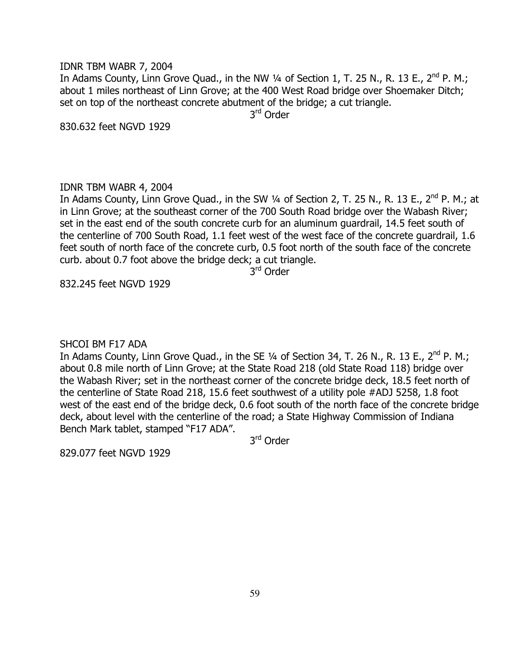#### IDNR TBM WABR 7, 2004

In Adams County, Linn Grove Quad., in the NW 1/4 of Section 1, T. 25 N., R. 13 E., 2<sup>nd</sup> P. M.; about 1 miles northeast of Linn Grove; at the 400 West Road bridge over Shoemaker Ditch; set on top of the northeast concrete abutment of the bridge; a cut triangle.

3rd Order

830.632 feet NGVD 1929

#### IDNR TBM WABR 4, 2004

In Adams County, Linn Grove Quad., in the SW 1/4 of Section 2, T. 25 N., R. 13 E., 2<sup>nd</sup> P. M.; at in Linn Grove; at the southeast corner of the 700 South Road bridge over the Wabash River; set in the east end of the south concrete curb for an aluminum guardrail, 14.5 feet south of the centerline of 700 South Road, 1.1 feet west of the west face of the concrete guardrail, 1.6 feet south of north face of the concrete curb, 0.5 foot north of the south face of the concrete curb. about 0.7 foot above the bridge deck; a cut triangle.

3rd Order

832.245 feet NGVD 1929

#### SHCOI BM F17 ADA

In Adams County, Linn Grove Quad., in the SE 1/4 of Section 34, T. 26 N., R. 13 E., 2<sup>nd</sup> P. M.; about 0.8 mile north of Linn Grove; at the State Road 218 (old State Road 118) bridge over the Wabash River; set in the northeast corner of the concrete bridge deck, 18.5 feet north of the centerline of State Road 218, 15.6 feet southwest of a utility pole #ADJ 5258, 1.8 foot west of the east end of the bridge deck, 0.6 foot south of the north face of the concrete bridge deck, about level with the centerline of the road; a State Highway Commission of Indiana Bench Mark tablet, stamped "F17 ADA".

3<sup>rd</sup> Order

829.077 feet NGVD 1929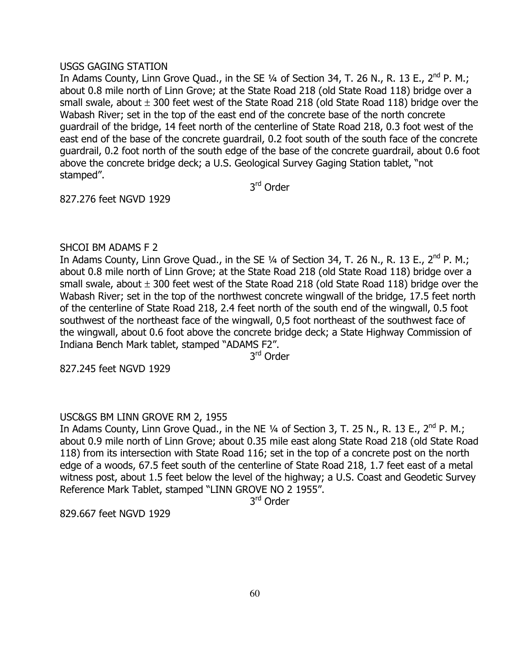# USGS GAGING STATION

In Adams County, Linn Grove Quad., in the SE  $\frac{1}{4}$  of Section 34, T. 26 N., R. 13 E., 2<sup>nd</sup> P. M.; about 0.8 mile north of Linn Grove; at the State Road 218 (old State Road 118) bridge over a small swale, about  $\pm$  300 feet west of the State Road 218 (old State Road 118) bridge over the Wabash River; set in the top of the east end of the concrete base of the north concrete guardrail of the bridge, 14 feet north of the centerline of State Road 218, 0.3 foot west of the east end of the base of the concrete guardrail, 0.2 foot south of the south face of the concrete guardrail, 0.2 foot north of the south edge of the base of the concrete guardrail, about 0.6 foot above the concrete bridge deck; a U.S. Geological Survey Gaging Station tablet, "not stamped".

3rd Order

827.276 feet NGVD 1929

# SHCOI BM ADAMS F 2

In Adams County, Linn Grove Quad., in the SE 1/4 of Section 34, T. 26 N., R. 13 E., 2<sup>nd</sup> P. M.; about 0.8 mile north of Linn Grove; at the State Road 218 (old State Road 118) bridge over a small swale, about  $\pm$  300 feet west of the State Road 218 (old State Road 118) bridge over the Wabash River; set in the top of the northwest concrete wingwall of the bridge, 17.5 feet north of the centerline of State Road 218, 2.4 feet north of the south end of the wingwall, 0.5 foot southwest of the northeast face of the wingwall, 0,5 foot northeast of the southwest face of the wingwall, about 0.6 foot above the concrete bridge deck; a State Highway Commission of Indiana Bench Mark tablet, stamped "ADAMS F2".

3rd Order

827.245 feet NGVD 1929

# USC&GS BM LINN GROVE RM 2, 1955

In Adams County, Linn Grove Quad., in the NE  $\frac{1}{4}$  of Section 3, T. 25 N., R. 13 E., 2<sup>nd</sup> P. M.; about 0.9 mile north of Linn Grove; about 0.35 mile east along State Road 218 (old State Road 118) from its intersection with State Road 116; set in the top of a concrete post on the north edge of a woods, 67.5 feet south of the centerline of State Road 218, 1.7 feet east of a metal witness post, about 1.5 feet below the level of the highway; a U.S. Coast and Geodetic Survey Reference Mark Tablet, stamped "LINN GROVE NO 2 1955".

3rd Order

829.667 feet NGVD 1929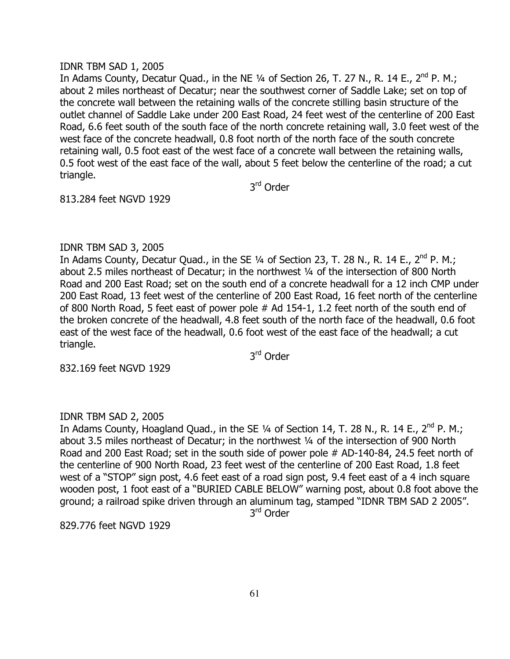#### IDNR TBM SAD 1, 2005

In Adams County, Decatur Quad., in the NE  $\frac{1}{4}$  of Section 26, T. 27 N., R. 14 E., 2<sup>nd</sup> P. M.; about 2 miles northeast of Decatur; near the southwest corner of Saddle Lake; set on top of the concrete wall between the retaining walls of the concrete stilling basin structure of the outlet channel of Saddle Lake under 200 East Road, 24 feet west of the centerline of 200 East Road, 6.6 feet south of the south face of the north concrete retaining wall, 3.0 feet west of the west face of the concrete headwall, 0.8 foot north of the north face of the south concrete retaining wall, 0.5 foot east of the west face of a concrete wall between the retaining walls, 0.5 foot west of the east face of the wall, about 5 feet below the centerline of the road; a cut triangle.

3rd Order

813.284 feet NGVD 1929

#### IDNR TBM SAD 3, 2005

In Adams County, Decatur Quad., in the SE  $\frac{1}{4}$  of Section 23, T. 28 N., R. 14 E., 2<sup>nd</sup> P. M.; about 2.5 miles northeast of Decatur; in the northwest ¼ of the intersection of 800 North Road and 200 East Road; set on the south end of a concrete headwall for a 12 inch CMP under 200 East Road, 13 feet west of the centerline of 200 East Road, 16 feet north of the centerline of 800 North Road, 5 feet east of power pole # Ad 154-1, 1.2 feet north of the south end of the broken concrete of the headwall, 4.8 feet south of the north face of the headwall, 0.6 foot east of the west face of the headwall, 0.6 foot west of the east face of the headwall; a cut triangle.

3<sup>rd</sup> Order

832.169 feet NGVD 1929

#### IDNR TBM SAD 2, 2005

In Adams County, Hoagland Quad., in the SE  $1/4$  of Section 14, T. 28 N., R. 14 E., 2<sup>nd</sup> P. M.; about 3.5 miles northeast of Decatur; in the northwest ¼ of the intersection of 900 North Road and 200 East Road; set in the south side of power pole # AD-140-84, 24.5 feet north of the centerline of 900 North Road, 23 feet west of the centerline of 200 East Road, 1.8 feet west of a "STOP" sign post, 4.6 feet east of a road sign post, 9.4 feet east of a 4 inch square wooden post, 1 foot east of a "BURIED CABLE BELOW" warning post, about 0.8 foot above the ground; a railroad spike driven through an aluminum tag, stamped "IDNR TBM SAD 2 2005".

3rd Order

829.776 feet NGVD 1929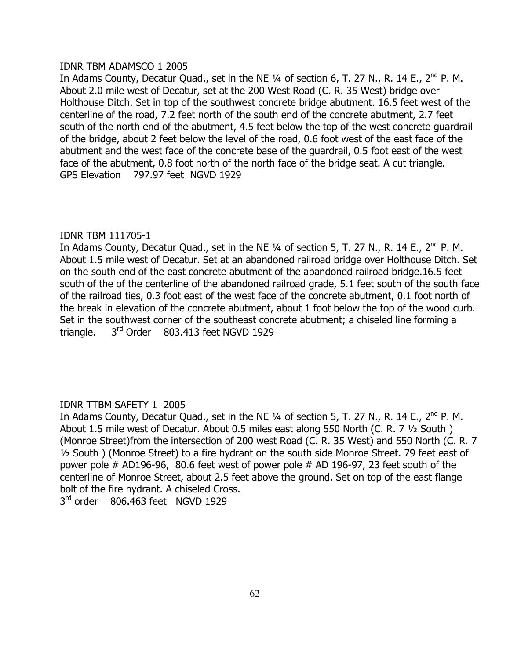### IDNR TBM ADAMSCO 1 2005

In Adams County, Decatur Quad., set in the NE 1/4 of section 6, T. 27 N., R. 14 E., 2<sup>nd</sup> P. M. About 2.0 mile west of Decatur, set at the 200 West Road (C. R. 35 West) bridge over Holthouse Ditch. Set in top of the southwest concrete bridge abutment. 16.5 feet west of the centerline of the road, 7.2 feet north of the south end of the concrete abutment, 2.7 feet south of the north end of the abutment, 4.5 feet below the top of the west concrete guardrail of the bridge, about 2 feet below the level of the road, 0.6 foot west of the east face of the abutment and the west face of the concrete base of the guardrail, 0.5 foot east of the west face of the abutment, 0.8 foot north of the north face of the bridge seat. A cut triangle. GPS Elevation 797.97 feet NGVD 1929

# IDNR TBM 111705-1

In Adams County, Decatur Quad., set in the NE 1/4 of section 5, T. 27 N., R. 14 E., 2<sup>nd</sup> P. M. About 1.5 mile west of Decatur. Set at an abandoned railroad bridge over Holthouse Ditch. Set on the south end of the east concrete abutment of the abandoned railroad bridge.16.5 feet south of the of the centerline of the abandoned railroad grade, 5.1 feet south of the south face of the railroad ties, 0.3 foot east of the west face of the concrete abutment, 0.1 foot north of the break in elevation of the concrete abutment, about 1 foot below the top of the wood curb. Set in the southwest corner of the southeast concrete abutment; a chiseled line forming a triangle.  $3^{rd}$  Order 803.413 feet NGVD 1929

# IDNR TTBM SAFETY 1 2005

In Adams County, Decatur Quad., set in the NE 1/4 of section 5, T. 27 N., R. 14 E., 2<sup>nd</sup> P. M. About 1.5 mile west of Decatur. About 0.5 miles east along 550 North (C. R. 7 ½ South ) (Monroe Street)from the intersection of 200 west Road (C. R. 35 West) and 550 North (C. R. 7 ½ South ) (Monroe Street) to a fire hydrant on the south side Monroe Street. 79 feet east of power pole # AD196-96, 80.6 feet west of power pole # AD 196-97, 23 feet south of the centerline of Monroe Street, about 2.5 feet above the ground. Set on top of the east flange bolt of the fire hydrant. A chiseled Cross. 3rd order 806.463 feet NGVD 1929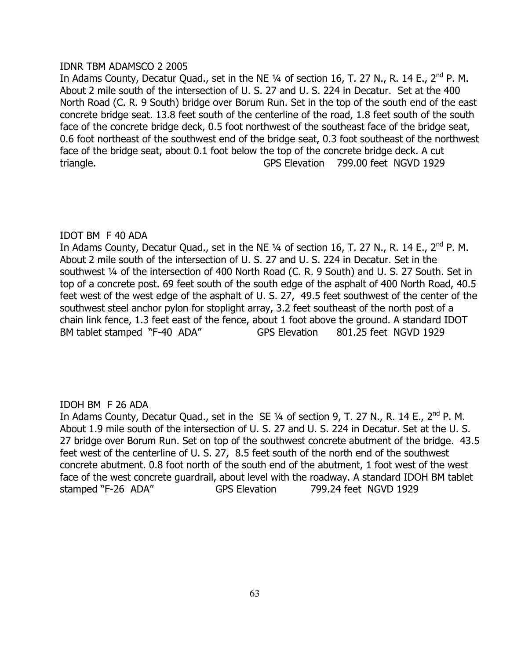# IDNR TBM ADAMSCO 2 2005

In Adams County, Decatur Quad., set in the NE  $\frac{1}{4}$  of section 16, T. 27 N., R. 14 E., 2<sup>nd</sup> P. M. About 2 mile south of the intersection of U. S. 27 and U. S. 224 in Decatur. Set at the 400 North Road (C. R. 9 South) bridge over Borum Run. Set in the top of the south end of the east concrete bridge seat. 13.8 feet south of the centerline of the road, 1.8 feet south of the south face of the concrete bridge deck, 0.5 foot northwest of the southeast face of the bridge seat, 0.6 foot northeast of the southwest end of the bridge seat, 0.3 foot southeast of the northwest face of the bridge seat, about 0.1 foot below the top of the concrete bridge deck. A cut triangle. GPS Elevation 799.00 feet NGVD 1929

# IDOT BM F 40 ADA

In Adams County, Decatur Quad., set in the NE  $\frac{1}{4}$  of section 16, T. 27 N., R. 14 E., 2<sup>nd</sup> P. M. About 2 mile south of the intersection of U. S. 27 and U. S. 224 in Decatur. Set in the southwest ¼ of the intersection of 400 North Road (C. R. 9 South) and U. S. 27 South. Set in top of a concrete post. 69 feet south of the south edge of the asphalt of 400 North Road, 40.5 feet west of the west edge of the asphalt of U. S. 27, 49.5 feet southwest of the center of the southwest steel anchor pylon for stoplight array, 3.2 feet southeast of the north post of a chain link fence, 1.3 feet east of the fence, about 1 foot above the ground. A standard IDOT BM tablet stamped "F-40 ADA" GPS Elevation 801.25 feet NGVD 1929

# IDOH BM F 26 ADA

In Adams County, Decatur Quad., set in the SE 1/4 of section 9, T. 27 N., R. 14 E., 2<sup>nd</sup> P. M. About 1.9 mile south of the intersection of U. S. 27 and U. S. 224 in Decatur. Set at the U. S. 27 bridge over Borum Run. Set on top of the southwest concrete abutment of the bridge. 43.5 feet west of the centerline of U. S. 27, 8.5 feet south of the north end of the southwest concrete abutment. 0.8 foot north of the south end of the abutment, 1 foot west of the west face of the west concrete guardrail, about level with the roadway. A standard IDOH BM tablet stamped "F-26 ADA" GPS Elevation 799.24 feet NGVD 1929